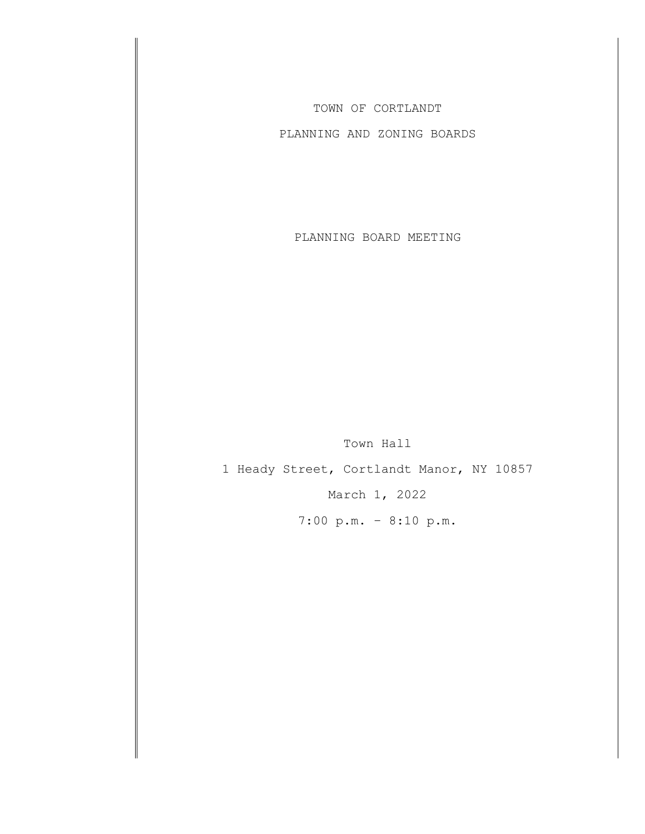TOWN OF CORTLANDT

PLANNING AND ZONING BOARDS

PLANNING BOARD MEETING

Town Hall

1 Heady Street, Cortlandt Manor, NY 10857 March 1, 2022

7:00 p.m. – 8:10 p.m.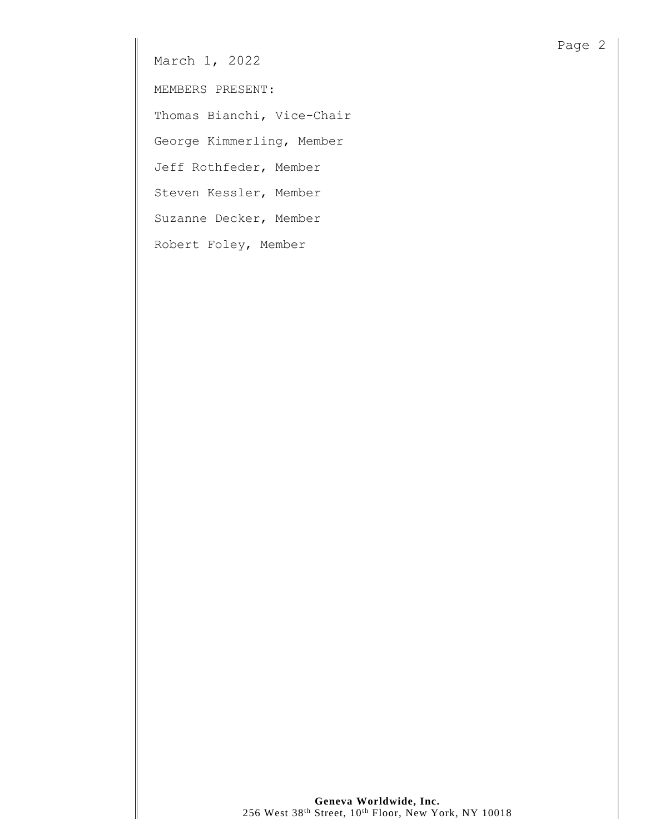March 1, 2022

MEMBERS PRESENT:

Thomas Bianchi, Vice-Chair

George Kimmerling, Member

Jeff Rothfeder, Member

Steven Kessler, Member

Suzanne Decker, Member

Robert Foley, Member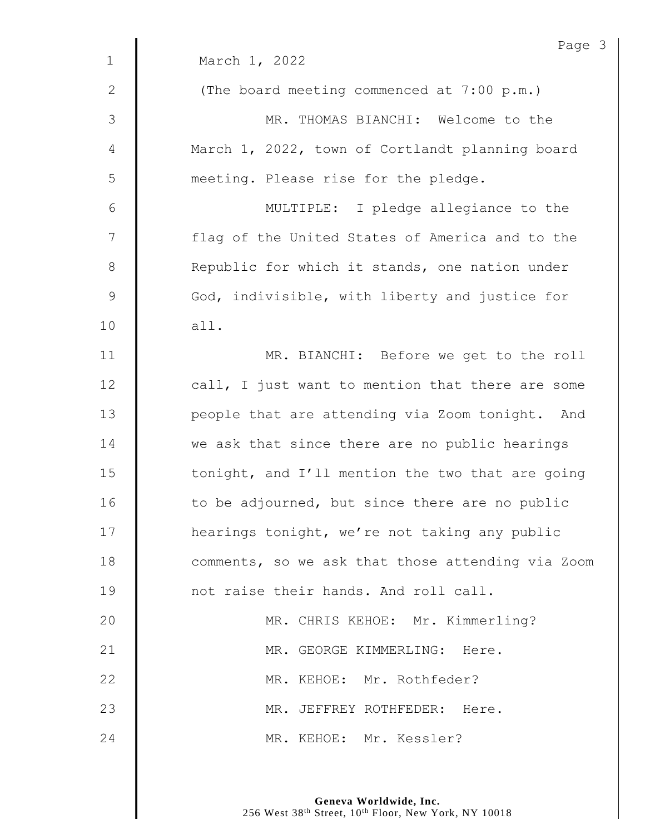|                | Page 3                                            |
|----------------|---------------------------------------------------|
| $\mathbf 1$    | March 1, 2022                                     |
| $\mathbf{2}$   | (The board meeting commenced at 7:00 p.m.)        |
| $\mathfrak{Z}$ | MR. THOMAS BIANCHI: Welcome to the                |
| 4              | March 1, 2022, town of Cortlandt planning board   |
| 5              | meeting. Please rise for the pledge.              |
| 6              | MULTIPLE: I pledge allegiance to the              |
| 7              | flag of the United States of America and to the   |
| $\,8\,$        | Republic for which it stands, one nation under    |
| $\mathsf 9$    | God, indivisible, with liberty and justice for    |
| 10             | all.                                              |
| 11             | MR. BIANCHI: Before we get to the roll            |
| 12             | call, I just want to mention that there are some  |
| 13             | people that are attending via Zoom tonight. And   |
| 14             | we ask that since there are no public hearings    |
| 15             | tonight, and I'll mention the two that are going  |
| 16             | to be adjourned, but since there are no public    |
| 17             | hearings tonight, we're not taking any public     |
| 18             | comments, so we ask that those attending via Zoom |
| 19             | not raise their hands. And roll call.             |
| 20             | MR. CHRIS KEHOE: Mr. Kimmerling?                  |
| 21             | MR. GEORGE KIMMERLING: Here.                      |
| 22             | MR. KEHOE: Mr. Rothfeder?                         |
| 23             | MR. JEFFREY ROTHFEDER: Here.                      |
| 24             | MR. KEHOE: Mr. Kessler?                           |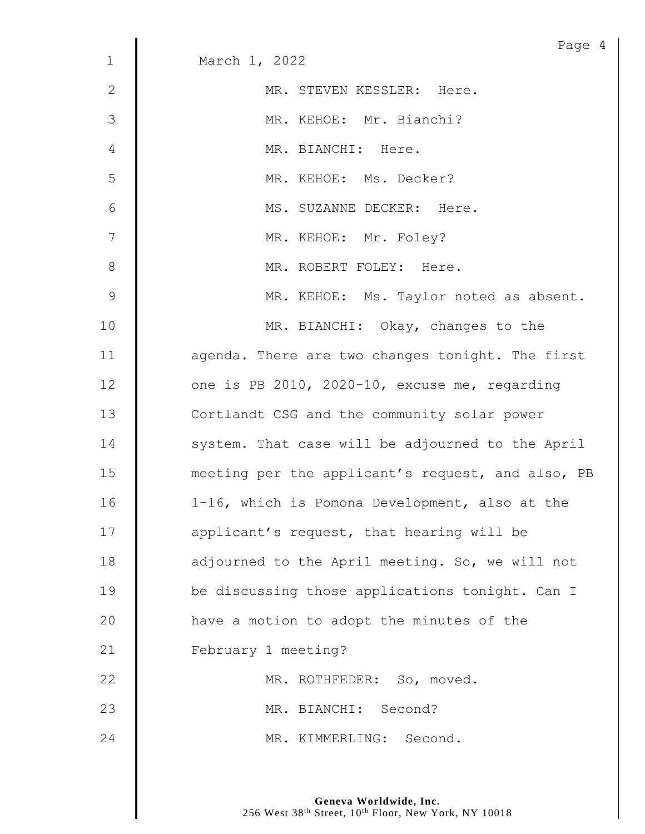| $\mathbf 1$    | Page 4<br>March 1, 2022                           |
|----------------|---------------------------------------------------|
|                |                                                   |
| $\mathbf{2}$   | MR. STEVEN KESSLER: Here.                         |
| 3              | MR. KEHOE: Mr. Bianchi?                           |
| $\overline{4}$ | MR. BIANCHI: Here.                                |
| 5              | MR. KEHOE: Ms. Decker?                            |
| $6\,$          | MS. SUZANNE DECKER: Here.                         |
| 7              | MR. KEHOE: Mr. Foley?                             |
| $8\,$          | MR. ROBERT FOLEY: Here.                           |
| $\mathcal{G}$  | MR. KEHOE: Ms. Taylor noted as absent.            |
| 10             | MR. BIANCHI: Okay, changes to the                 |
| 11             | agenda. There are two changes tonight. The first  |
| 12             | one is PB 2010, 2020-10, excuse me, regarding     |
| 13             | Cortlandt CSG and the community solar power       |
| 14             | system. That case will be adjourned to the April  |
| 15             | meeting per the applicant's request, and also, PB |
| 16             | 1-16, which is Pomona Development, also at the    |
| 17             | applicant's request, that hearing will be         |
| 18             | adjourned to the April meeting. So, we will not   |
| 19             | be discussing those applications tonight. Can I   |
| 20             | have a motion to adopt the minutes of the         |
| 21             | February 1 meeting?                               |
| 22             | MR. ROTHFEDER: So, moved.                         |
| 23             | MR. BIANCHI: Second?                              |
| 24             | MR. KIMMERLING: Second.                           |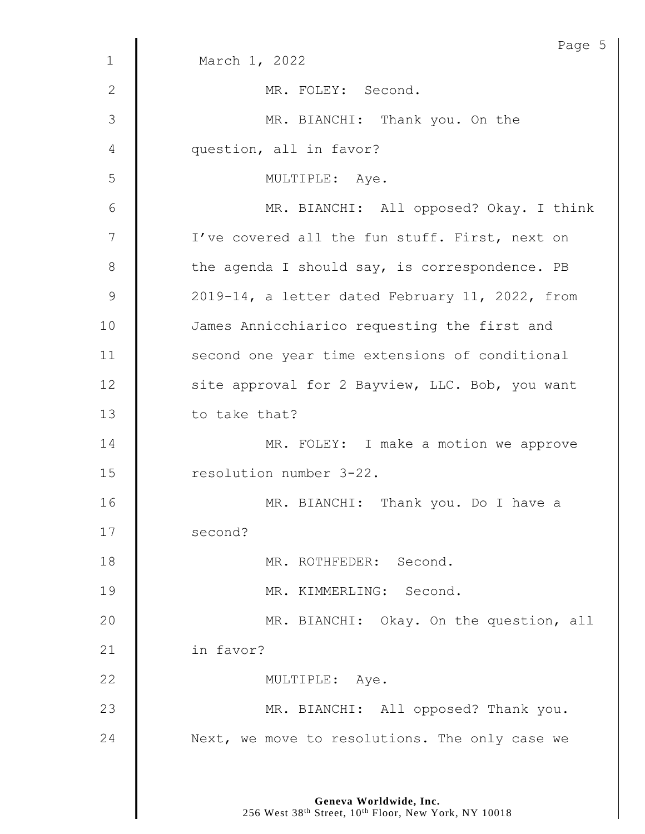|              | Page 5                                          |
|--------------|-------------------------------------------------|
| $\mathbf 1$  | March 1, 2022                                   |
| $\mathbf{2}$ | MR. FOLEY: Second.                              |
| 3            | MR. BIANCHI: Thank you. On the                  |
| 4            | question, all in favor?                         |
| 5            | MULTIPLE: Aye.                                  |
| 6            | MR. BIANCHI: All opposed? Okay. I think         |
| 7            | I've covered all the fun stuff. First, next on  |
| $8\,$        | the agenda I should say, is correspondence. PB  |
| 9            | 2019-14, a letter dated February 11, 2022, from |
| 10           | James Annicchiarico requesting the first and    |
| 11           | second one year time extensions of conditional  |
| 12           | site approval for 2 Bayview, LLC. Bob, you want |
| 13           | to take that?                                   |
| 14           | MR. FOLEY: I make a motion we approve           |
| 15           | resolution number 3-22.                         |
| 16           | MR. BIANCHI: Thank you. Do I have a             |
| 17           | second?                                         |
| 18           | MR. ROTHFEDER: Second.                          |
| 19           | MR. KIMMERLING: Second.                         |
| 20           | MR. BIANCHI: Okay. On the question, all         |
| 21           | in favor?                                       |
| 22           | MULTIPLE: Aye.                                  |
| 23           | MR. BIANCHI: All opposed? Thank you.            |
| 24           | Next, we move to resolutions. The only case we  |
|              |                                                 |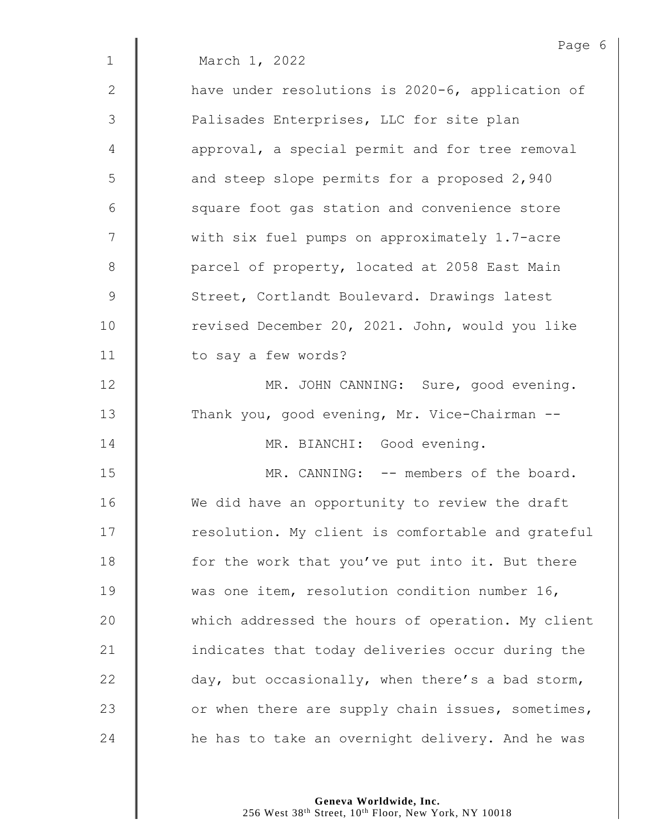|              | Page 6                                            |
|--------------|---------------------------------------------------|
| $\mathbf{1}$ | March 1, 2022                                     |
| $\mathbf{2}$ | have under resolutions is 2020-6, application of  |
| 3            | Palisades Enterprises, LLC for site plan          |
| 4            | approval, a special permit and for tree removal   |
| 5            | and steep slope permits for a proposed 2,940      |
| 6            | square foot gas station and convenience store     |
| 7            | with six fuel pumps on approximately 1.7-acre     |
| $8\,$        | parcel of property, located at 2058 East Main     |
| 9            | Street, Cortlandt Boulevard. Drawings latest      |
| 10           | revised December 20, 2021. John, would you like   |
| 11           | to say a few words?                               |
| 12           | MR. JOHN CANNING: Sure, good evening.             |
| 13           | Thank you, good evening, Mr. Vice-Chairman --     |
| 14           | MR. BIANCHI: Good evening.                        |
| 15           | MR. CANNING: -- members of the board.             |
| 16           | We did have an opportunity to review the draft    |
| 17           | resolution. My client is comfortable and grateful |
| 18           | for the work that you've put into it. But there   |
| 19           | was one item, resolution condition number 16,     |
| 20           | which addressed the hours of operation. My client |
| 21           | indicates that today deliveries occur during the  |
| 22           | day, but occasionally, when there's a bad storm,  |
| 23           | or when there are supply chain issues, sometimes, |
| 24           | he has to take an overnight delivery. And he was  |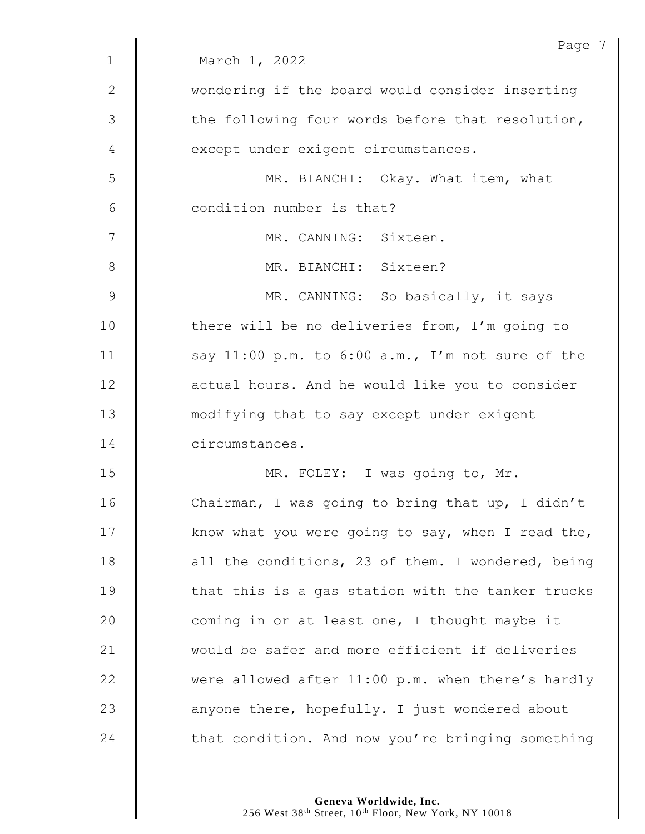|              | Page 7                                            |
|--------------|---------------------------------------------------|
| $\mathbf{1}$ | March 1, 2022                                     |
| $\mathbf{2}$ | wondering if the board would consider inserting   |
| 3            | the following four words before that resolution,  |
| 4            | except under exigent circumstances.               |
| 5            | MR. BIANCHI: Okay. What item, what                |
| 6            | condition number is that?                         |
| 7            | MR. CANNING: Sixteen.                             |
| $8\,$        | MR. BIANCHI: Sixteen?                             |
| 9            | MR. CANNING: So basically, it says                |
| 10           | there will be no deliveries from, I'm going to    |
| 11           | say 11:00 p.m. to 6:00 a.m., I'm not sure of the  |
| 12           | actual hours. And he would like you to consider   |
| 13           | modifying that to say except under exigent        |
| 14           | circumstances.                                    |
| 15           | MR. FOLEY: I was going to, Mr.                    |
| 16           | Chairman, I was going to bring that up, I didn't  |
| 17           | know what you were going to say, when I read the, |
| 18           | all the conditions, 23 of them. I wondered, being |
| 19           | that this is a gas station with the tanker trucks |
| 20           | coming in or at least one, I thought maybe it     |
| 21           | would be safer and more efficient if deliveries   |
| 22           | were allowed after 11:00 p.m. when there's hardly |
| 23           | anyone there, hopefully. I just wondered about    |
| 24           | that condition. And now you're bringing something |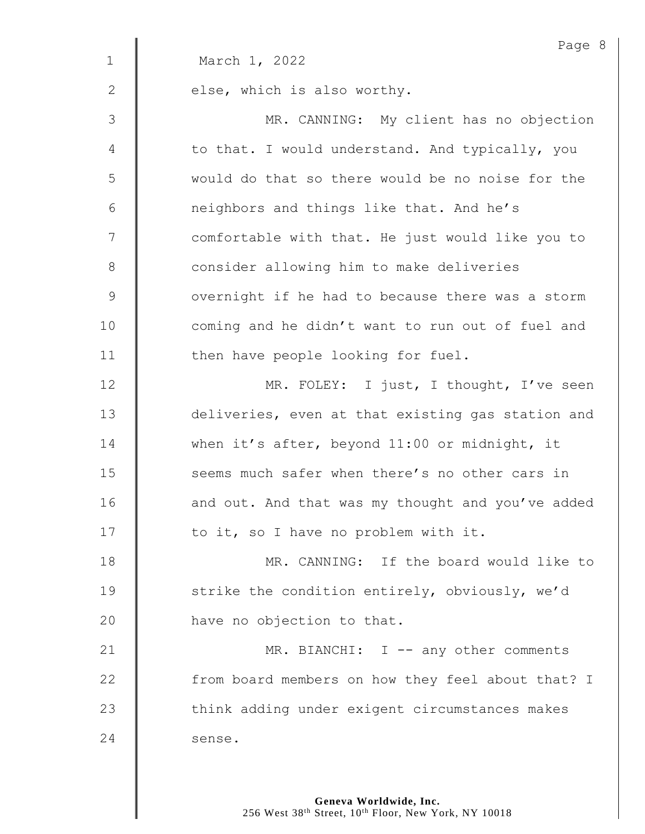|              | Page 8                                            |
|--------------|---------------------------------------------------|
| $\mathbf 1$  | March 1, 2022                                     |
| $\mathbf{2}$ | else, which is also worthy.                       |
| 3            | MR. CANNING: My client has no objection           |
| 4            | to that. I would understand. And typically, you   |
| 5            | would do that so there would be no noise for the  |
| $\epsilon$   | neighbors and things like that. And he's          |
| 7            | comfortable with that. He just would like you to  |
| $8\,$        | consider allowing him to make deliveries          |
| $\mathsf 9$  | overnight if he had to because there was a storm  |
| 10           | coming and he didn't want to run out of fuel and  |
| 11           | then have people looking for fuel.                |
| 12           | MR. FOLEY: I just, I thought, I've seen           |
| 13           | deliveries, even at that existing gas station and |
| 14           | when it's after, beyond 11:00 or midnight, it     |
| 15           | seems much safer when there's no other cars in    |
| 16           | and out. And that was my thought and you've added |
| 17           | to it, so I have no problem with it.              |
| 18           | MR. CANNING: If the board would like to           |
| 19           | strike the condition entirely, obviously, we'd    |
| 20           | have no objection to that.                        |
| 21           | MR. BIANCHI: I -- any other comments              |
| 22           | from board members on how they feel about that? I |
| 23           | think adding under exigent circumstances makes    |
| 24           | sense.                                            |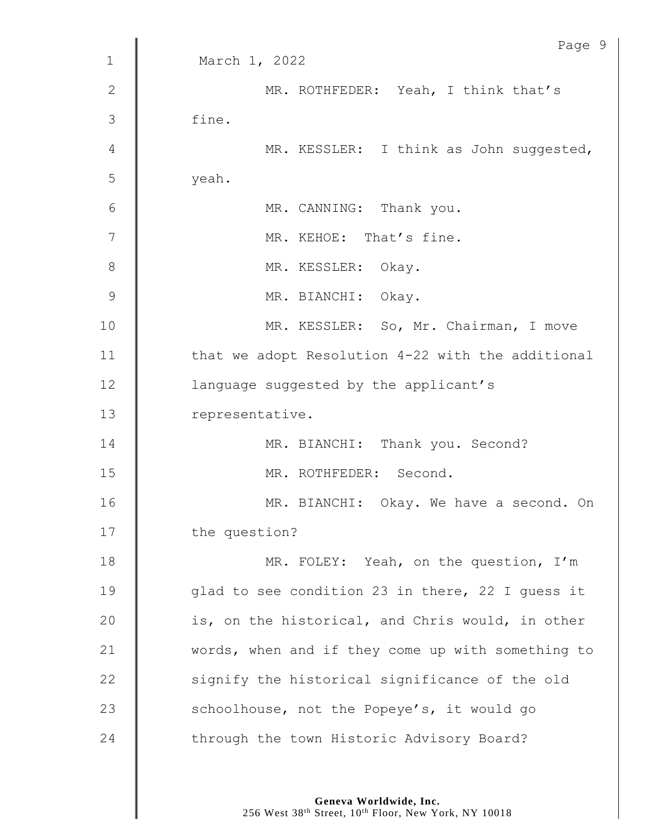|                 | Page 9                                            |
|-----------------|---------------------------------------------------|
| $\mathbf 1$     | March 1, 2022                                     |
| $\mathbf{2}$    | MR. ROTHFEDER: Yeah, I think that's               |
| 3               | fine.                                             |
| 4               | MR. KESSLER: I think as John suggested,           |
| 5               | yeah.                                             |
| $6\phantom{1}6$ | MR. CANNING: Thank you.                           |
| 7               | MR. KEHOE: That's fine.                           |
| 8               | MR. KESSLER: Okay.                                |
| 9               | MR. BIANCHI: Okay.                                |
| 10              | MR. KESSLER: So, Mr. Chairman, I move             |
| 11              | that we adopt Resolution 4-22 with the additional |
| 12              | language suggested by the applicant's             |
| 13              | representative.                                   |
| 14              | MR. BIANCHI: Thank you. Second?                   |
| 15              | MR. ROTHFEDER: Second.                            |
| 16              | MR. BIANCHI: Okay. We have a second. On           |
| 17              | the question?                                     |
| 18              | MR. FOLEY: Yeah, on the question, I'm             |
| 19              | glad to see condition 23 in there, 22 I guess it  |
| 20              | is, on the historical, and Chris would, in other  |
| 21              | words, when and if they come up with something to |
| 22              | signify the historical significance of the old    |
| 23              | schoolhouse, not the Popeye's, it would go        |
| 24              | through the town Historic Advisory Board?         |
|                 |                                                   |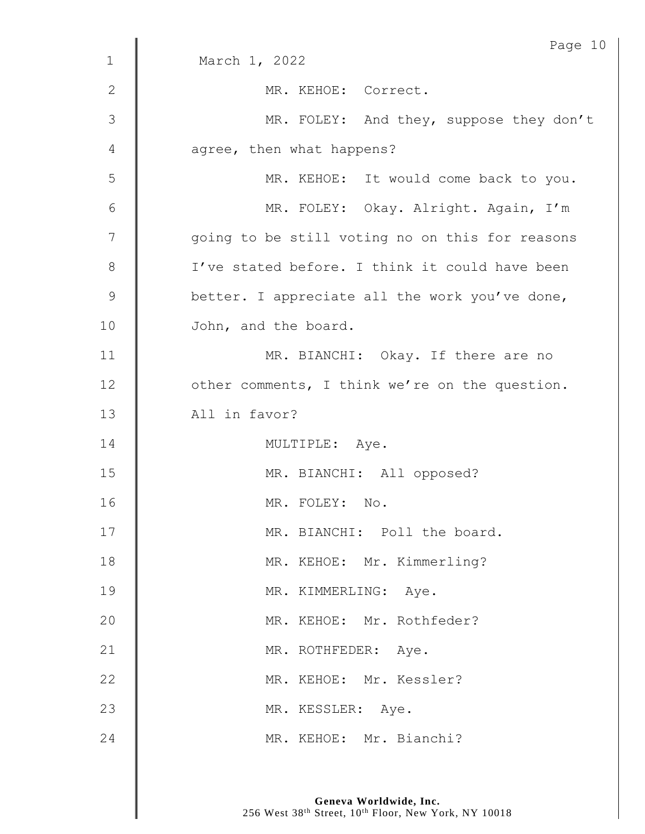|              | Page 10                                         |
|--------------|-------------------------------------------------|
| $\mathbf 1$  | March 1, 2022                                   |
| $\mathbf{2}$ | MR. KEHOE: Correct.                             |
| 3            | MR. FOLEY: And they, suppose they don't         |
| 4            | agree, then what happens?                       |
| 5            | MR. KEHOE: It would come back to you.           |
| 6            | MR. FOLEY: Okay. Alright. Again, I'm            |
| 7            | going to be still voting no on this for reasons |
| $\,8\,$      | I've stated before. I think it could have been  |
| $\mathsf 9$  | better. I appreciate all the work you've done,  |
| 10           | John, and the board.                            |
| 11           | MR. BIANCHI: Okay. If there are no              |
| 12           | other comments, I think we're on the question.  |
| 13           | All in favor?                                   |
| 14           | MULTIPLE: Aye.                                  |
| 15           | MR. BIANCHI: All opposed?                       |
| 16           | MR. FOLEY: No.                                  |
| 17           | MR. BIANCHI: Poll the board.                    |
| 18           | MR. KEHOE: Mr. Kimmerling?                      |
| 19           | MR. KIMMERLING: Aye.                            |
| 20           | MR. KEHOE: Mr. Rothfeder?                       |
| 21           | MR. ROTHFEDER: Aye.                             |
| 22           | MR. KEHOE: Mr. Kessler?                         |
| 23           | MR. KESSLER: Aye.                               |
| 24           | MR. KEHOE: Mr. Bianchi?                         |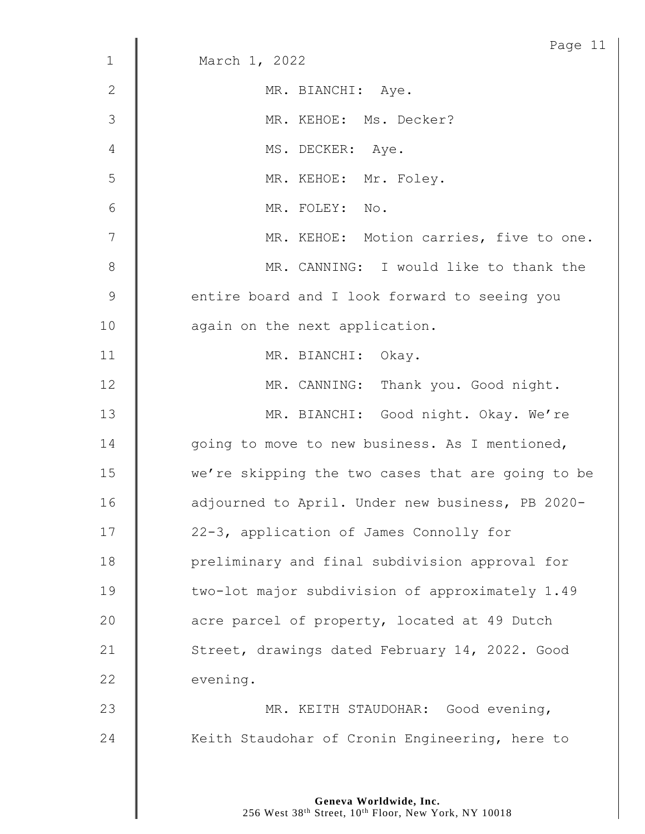|                | Page 11                                           |
|----------------|---------------------------------------------------|
| $\mathbf 1$    | March 1, 2022                                     |
| $\mathbf{2}$   | MR. BIANCHI: Aye.                                 |
| 3              | MR. KEHOE: Ms. Decker?                            |
| 4              | MS. DECKER: Aye.                                  |
| 5              | MR. KEHOE: Mr. Foley.                             |
| 6              | MR. FOLEY: No.                                    |
| $\overline{7}$ | MR. KEHOE: Motion carries, five to one.           |
| $8\,$          | MR. CANNING: I would like to thank the            |
| $\mathsf 9$    | entire board and I look forward to seeing you     |
| 10             | again on the next application.                    |
| 11             | MR. BIANCHI: Okay.                                |
| 12             | MR. CANNING: Thank you. Good night.               |
| 13             | MR. BIANCHI: Good night. Okay. We're              |
| 14             | going to move to new business. As I mentioned,    |
| 15             | we're skipping the two cases that are going to be |
| 16             | adjourned to April. Under new business, PB 2020-  |
| 17             | 22-3, application of James Connolly for           |
| 18             | preliminary and final subdivision approval for    |
| 19             | two-lot major subdivision of approximately 1.49   |
| 20             | acre parcel of property, located at 49 Dutch      |
| 21             | Street, drawings dated February 14, 2022. Good    |
| 22             | evening.                                          |
| 23             | MR. KEITH STAUDOHAR: Good evening,                |
| 24             | Keith Staudohar of Cronin Engineering, here to    |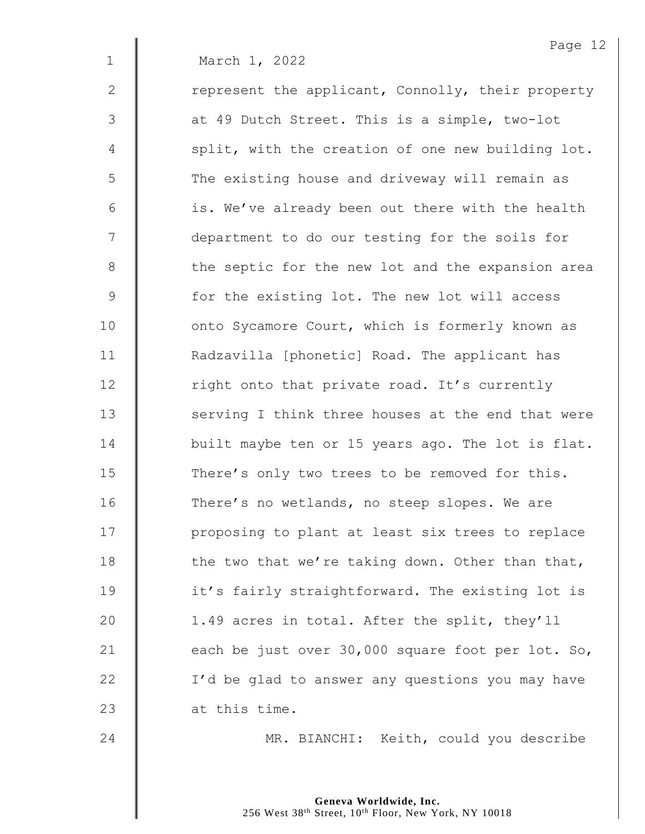1 March 1, 2022 2 | represent the applicant, Connolly, their property 3 | at 49 Dutch Street. This is a simple, two-lot 4 | split, with the creation of one new building lot. 5 | The existing house and driveway will remain as  $6 \parallel$  is. We've already been out there with the health 7 | department to do our testing for the soils for 8 | the septic for the new lot and the expansion area 9 | for the existing lot. The new lot will access 10 | onto Sycamore Court, which is formerly known as 11 | Radzavilla [phonetic] Road. The applicant has  $12$  | right onto that private road. It's currently 13 Serving I think three houses at the end that were 14 **built maybe ten or 15 years ago. The lot is flat.** 15 There's only two trees to be removed for this. 16 | There's no wetlands, no steep slopes. We are 17 | proposing to plant at least six trees to replace 18  $\parallel$  the two that we're taking down. Other than that, 19 **it's** fairly straightforward. The existing lot is 20 | 1.49 acres in total. After the split, they'll 21  $\parallel$  each be just over 30,000 square foot per lot. So, 22 | I'd be glad to answer any questions you may have 23  $\parallel$  at this time.

24 | MR. BIANCHI: Keith, could you describe

Page 12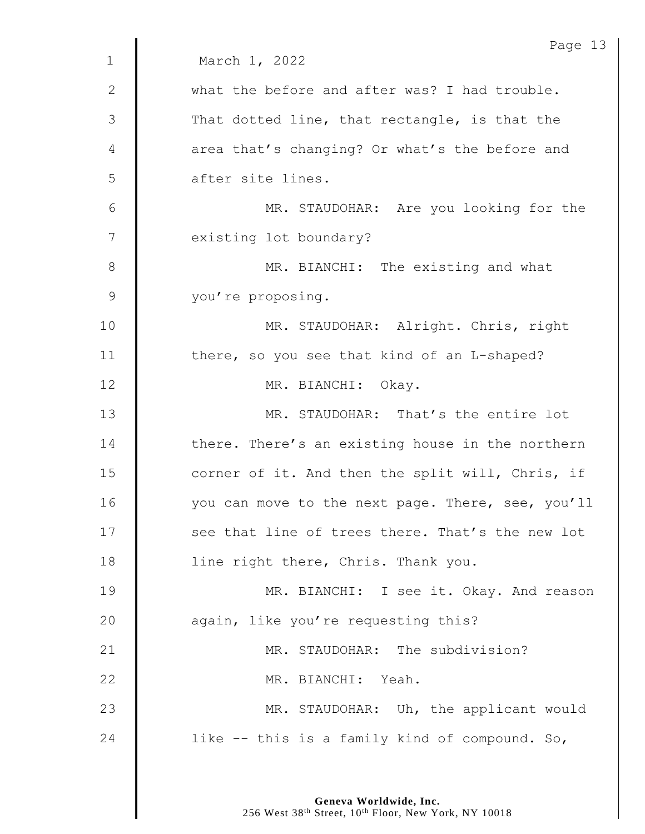|              | Page 13                                           |
|--------------|---------------------------------------------------|
| $\mathbf 1$  | March 1, 2022                                     |
| $\mathbf{2}$ | what the before and after was? I had trouble.     |
| 3            | That dotted line, that rectangle, is that the     |
| 4            | area that's changing? Or what's the before and    |
| 5            | after site lines.                                 |
| 6            | MR. STAUDOHAR: Are you looking for the            |
| 7            | existing lot boundary?                            |
| 8            | MR. BIANCHI: The existing and what                |
| $\mathsf 9$  | you're proposing.                                 |
| 10           | MR. STAUDOHAR: Alright. Chris, right              |
| 11           | there, so you see that kind of an L-shaped?       |
| 12           | MR. BIANCHI: Okay.                                |
| 13           | MR. STAUDOHAR: That's the entire lot              |
| 14           | there. There's an existing house in the northern  |
| 15           | corner of it. And then the split will, Chris, if  |
| 16           | you can move to the next page. There, see, you'll |
| 17           | see that line of trees there. That's the new lot  |
| 18           | line right there, Chris. Thank you.               |
| 19           | MR. BIANCHI: I see it. Okay. And reason           |
| 20           | again, like you're requesting this?               |
| 21           | MR. STAUDOHAR: The subdivision?                   |
| 22           | MR. BIANCHI: Yeah.                                |
| 23           | MR. STAUDOHAR: Uh, the applicant would            |
| 24           | like -- this is a family kind of compound. So,    |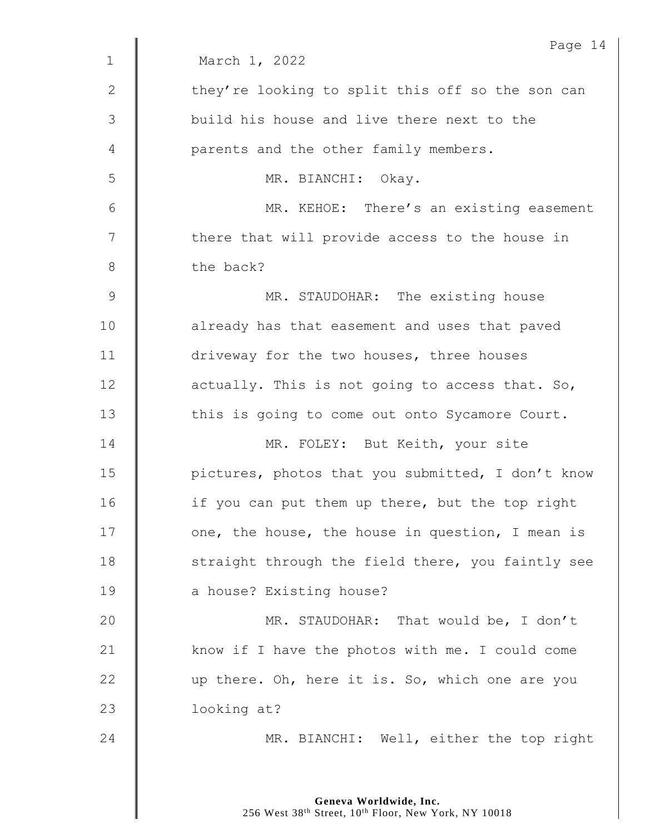|              | Page 14                                           |
|--------------|---------------------------------------------------|
| $\mathbf 1$  | March 1, 2022                                     |
| $\mathbf{2}$ | they're looking to split this off so the son can  |
| 3            | build his house and live there next to the        |
| 4            | parents and the other family members.             |
| 5            | MR. BIANCHI: Okay.                                |
| 6            | MR. KEHOE: There's an existing easement           |
| 7            | there that will provide access to the house in    |
| $8\,$        | the back?                                         |
| $\mathsf 9$  | MR. STAUDOHAR: The existing house                 |
| 10           | already has that easement and uses that paved     |
| 11           | driveway for the two houses, three houses         |
| 12           | actually. This is not going to access that. So,   |
| 13           | this is going to come out onto Sycamore Court.    |
| 14           | MR. FOLEY: But Keith, your site                   |
| 15           | pictures, photos that you submitted, I don't know |
| 16           | if you can put them up there, but the top right   |
| 17           | one, the house, the house in question, I mean is  |
| 18           | straight through the field there, you faintly see |
| 19           | a house? Existing house?                          |
| 20           | MR. STAUDOHAR: That would be, I don't             |
| 21           | know if I have the photos with me. I could come   |
| 22           | up there. Oh, here it is. So, which one are you   |
| 23           | looking at?                                       |
| 24           | MR. BIANCHI: Well, either the top right           |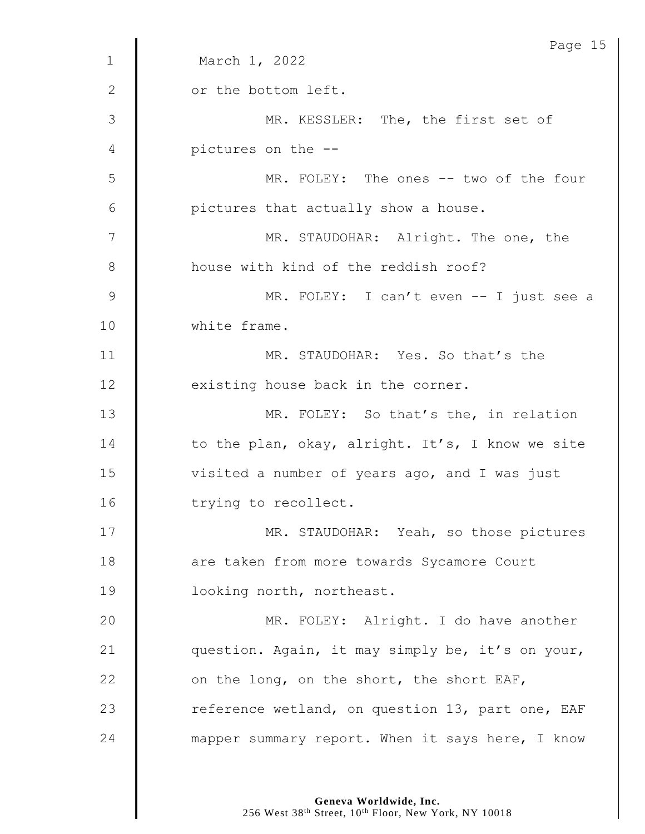|              | Page 15                                          |
|--------------|--------------------------------------------------|
| $\mathbf{1}$ | March 1, 2022                                    |
| $\mathbf{2}$ | or the bottom left.                              |
| 3            | MR. KESSLER: The, the first set of               |
| 4            | pictures on the --                               |
| 5            | MR. FOLEY: The ones -- two of the four           |
| 6            | pictures that actually show a house.             |
| 7            | MR. STAUDOHAR: Alright. The one, the             |
| 8            | house with kind of the reddish roof?             |
| 9            | MR. FOLEY: I can't even -- I just see a          |
| 10           | white frame.                                     |
| 11           | MR. STAUDOHAR: Yes. So that's the                |
| 12           | existing house back in the corner.               |
| 13           | MR. FOLEY: So that's the, in relation            |
| 14           | to the plan, okay, alright. It's, I know we site |
| 15           | visited a number of years ago, and I was just    |
| 16           | trying to recollect.                             |
| 17           | MR. STAUDOHAR: Yeah, so those pictures           |
| 18           | are taken from more towards Sycamore Court       |
| 19           | looking north, northeast.                        |
| 20           | MR. FOLEY: Alright. I do have another            |
| 21           | question. Again, it may simply be, it's on your, |
| 22           | on the long, on the short, the short EAF,        |
| 23           | reference wetland, on question 13, part one, EAF |
| 24           | mapper summary report. When it says here, I know |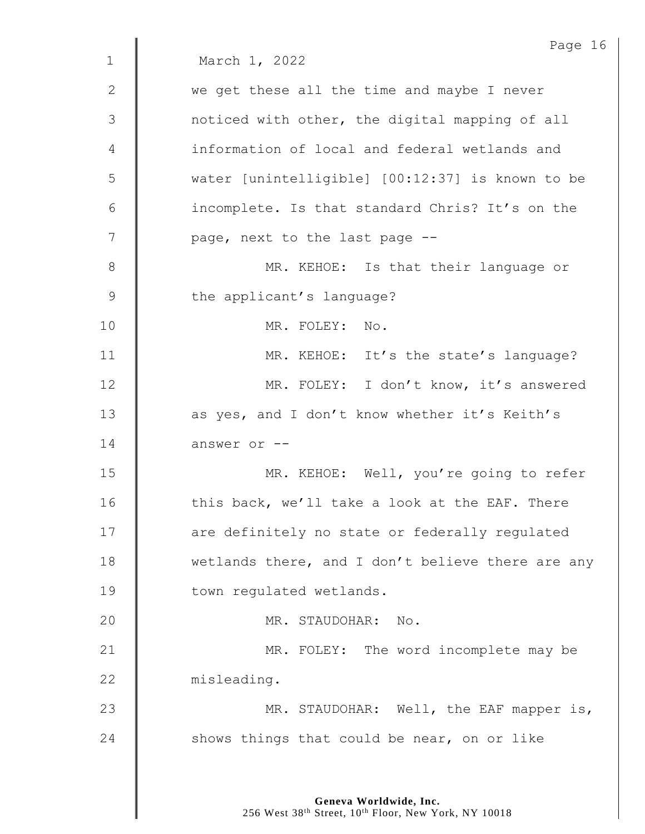|              | Page 16                                           |
|--------------|---------------------------------------------------|
| $\mathbf{1}$ | March 1, 2022                                     |
| $\mathbf{2}$ | we get these all the time and maybe I never       |
| 3            | noticed with other, the digital mapping of all    |
| 4            | information of local and federal wetlands and     |
| 5            | water [unintelligible] [00:12:37] is known to be  |
| 6            | incomplete. Is that standard Chris? It's on the   |
| 7            | page, next to the last page --                    |
| 8            | MR. KEHOE: Is that their language or              |
| 9            | the applicant's language?                         |
| 10           | MR. FOLEY: No.                                    |
| 11           | MR. KEHOE: It's the state's language?             |
| 12           | MR. FOLEY: I don't know, it's answered            |
| 13           | as yes, and I don't know whether it's Keith's     |
| 14           | answer or --                                      |
| 15           | MR. KEHOE: Well, you're going to refer            |
| 16           | this back, we'll take a look at the EAF. There    |
| 17           | are definitely no state or federally regulated    |
| 18           | wetlands there, and I don't believe there are any |
| 19           | town regulated wetlands.                          |
| 20           | MR. STAUDOHAR: No.                                |
| 21           | MR. FOLEY: The word incomplete may be             |
| 22           | misleading.                                       |
| 23           | MR. STAUDOHAR: Well, the EAF mapper is,           |
| 24           | shows things that could be near, on or like       |
|              |                                                   |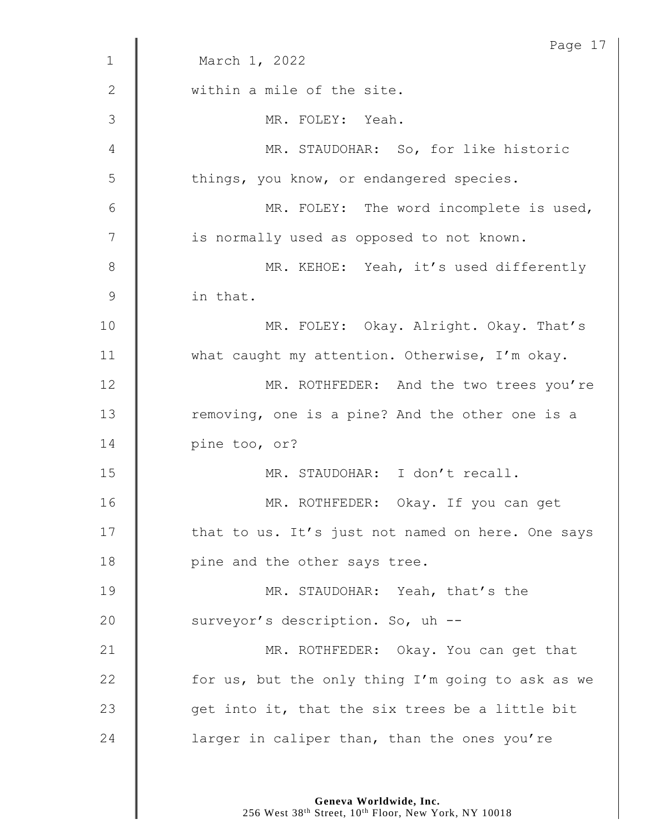|                | Page 17                                           |
|----------------|---------------------------------------------------|
| $\mathbf{1}$   | March 1, 2022                                     |
| $\mathbf{2}$   | within a mile of the site.                        |
| 3              | MR. FOLEY: Yeah.                                  |
| 4              | MR. STAUDOHAR: So, for like historic              |
| 5              | things, you know, or endangered species.          |
| 6              | MR. FOLEY: The word incomplete is used,           |
| $\overline{7}$ | is normally used as opposed to not known.         |
| 8              | MR. KEHOE: Yeah, it's used differently            |
| 9              | in that.                                          |
| 10             | MR. FOLEY: Okay. Alright. Okay. That's            |
| 11             | what caught my attention. Otherwise, I'm okay.    |
| 12             | MR. ROTHFEDER: And the two trees you're           |
| 13             | removing, one is a pine? And the other one is a   |
| 14             | pine too, or?                                     |
| 15             | MR. STAUDOHAR: I don't recall.                    |
| 16             | MR. ROTHFEDER: Okay. If you can get               |
| 17             | that to us. It's just not named on here. One says |
| 18             | pine and the other says tree.                     |
| 19             | MR. STAUDOHAR: Yeah, that's the                   |
| 20             | surveyor's description. So, uh --                 |
| 21             | MR. ROTHFEDER: Okay. You can get that             |
| 22             | for us, but the only thing I'm going to ask as we |
| 23             | get into it, that the six trees be a little bit   |
| 24             | larger in caliper than, than the ones you're      |
|                |                                                   |

**Geneva Worldwide, Inc.**

256 West 38th Street, 10th Floor, New York, NY 10018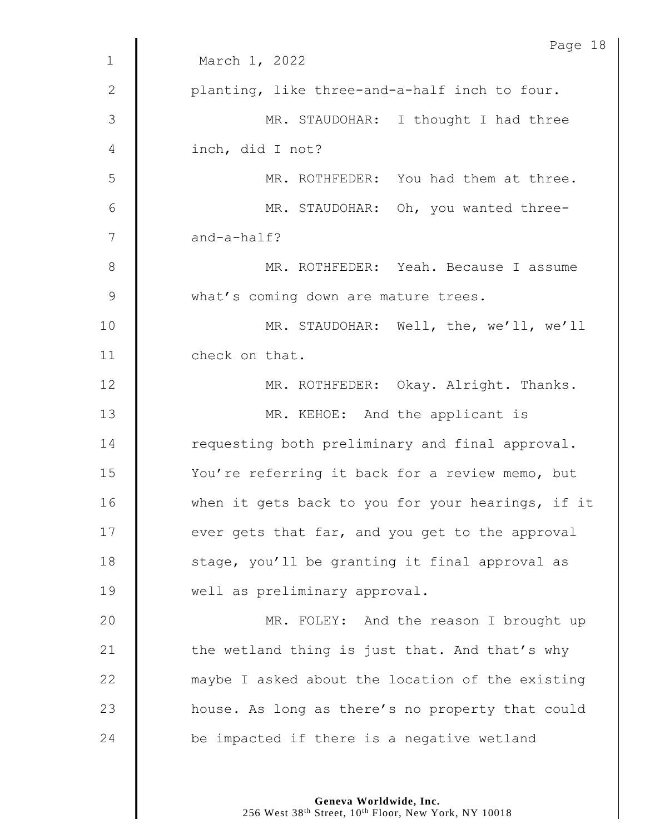|               | Page 18                                           |
|---------------|---------------------------------------------------|
| $\mathbf{1}$  | March 1, 2022                                     |
| 2             | planting, like three-and-a-half inch to four.     |
| $\mathcal{S}$ | MR. STAUDOHAR: I thought I had three              |
| 4             | inch, did I not?                                  |
| 5             | MR. ROTHFEDER: You had them at three.             |
| 6             | MR. STAUDOHAR: Oh, you wanted three-              |
| 7             | and-a-half?                                       |
| 8             | MR. ROTHFEDER: Yeah. Because I assume             |
| $\mathsf 9$   | what's coming down are mature trees.              |
| 10            | MR. STAUDOHAR: Well, the, we'll, we'll            |
| 11            | check on that.                                    |
| 12            | MR. ROTHFEDER: Okay. Alright. Thanks.             |
| 13            | MR. KEHOE: And the applicant is                   |
| 14            | requesting both preliminary and final approval.   |
| 15            | You're referring it back for a review memo, but   |
| 16            | when it gets back to you for your hearings, if it |
| 17            | ever gets that far, and you get to the approval   |
| 18            | stage, you'll be granting it final approval as    |
| 19            | well as preliminary approval.                     |
| 20            | MR. FOLEY: And the reason I brought up            |
| 21            | the wetland thing is just that. And that's why    |
| 22            | maybe I asked about the location of the existing  |
| 23            | house. As long as there's no property that could  |
| 24            | be impacted if there is a negative wetland        |
|               |                                                   |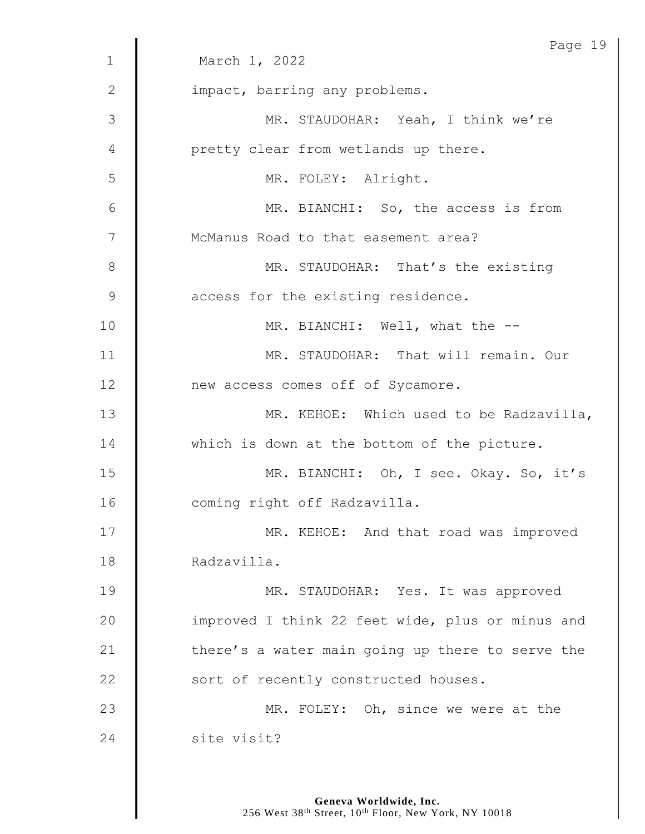|              | Page 19                                          |
|--------------|--------------------------------------------------|
| $\mathbf{1}$ | March 1, 2022                                    |
| $\mathbf{2}$ | impact, barring any problems.                    |
| 3            | MR. STAUDOHAR: Yeah, I think we're               |
| 4            | pretty clear from wetlands up there.             |
| 5            | MR. FOLEY: Alright.                              |
| 6            | MR. BIANCHI: So, the access is from              |
| 7            | McManus Road to that easement area?              |
| $8\,$        | MR. STAUDOHAR: That's the existing               |
| 9            | access for the existing residence.               |
| 10           | MR. BIANCHI: Well, what the --                   |
| 11           | MR. STAUDOHAR: That will remain. Our             |
| 12           | new access comes off of Sycamore.                |
| 13           | MR. KEHOE: Which used to be Radzavilla,          |
| 14           | which is down at the bottom of the picture.      |
| 15           | MR. BIANCHI: Oh, I see. Okay. So, it's           |
| 16           | coming right off Radzavilla.                     |
| 17           | MR. KEHOE: And that road was improved            |
| 18           | Radzavilla.                                      |
| 19           | MR. STAUDOHAR: Yes. It was approved              |
| 20           | improved I think 22 feet wide, plus or minus and |
| 21           | there's a water main going up there to serve the |
| 22           | sort of recently constructed houses.             |
| 23           | MR. FOLEY: Oh, since we were at the              |
| 24           | site visit?                                      |
|              |                                                  |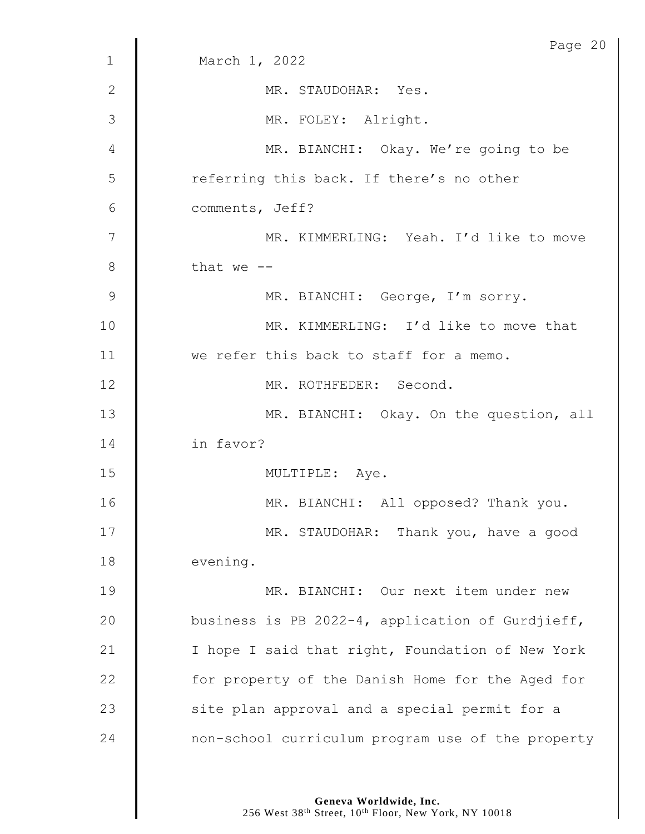|              | Page 20                                           |
|--------------|---------------------------------------------------|
| $\mathbf 1$  | March 1, 2022                                     |
| $\mathbf{2}$ | MR. STAUDOHAR: Yes.                               |
| 3            | MR. FOLEY: Alright.                               |
| 4            | MR. BIANCHI: Okay. We're going to be              |
| 5            | referring this back. If there's no other          |
| 6            | comments, Jeff?                                   |
| 7            | MR. KIMMERLING: Yeah. I'd like to move            |
| 8            | that we $-$                                       |
| 9            | MR. BIANCHI: George, I'm sorry.                   |
| 10           | MR. KIMMERLING: I'd like to move that             |
| 11           | we refer this back to staff for a memo.           |
| 12           | MR. ROTHFEDER: Second.                            |
| 13           | MR. BIANCHI: Okay. On the question, all           |
| 14           | in favor?                                         |
| 15           | MULTIPLE: Aye.                                    |
| 16           | MR. BIANCHI: All opposed? Thank you.              |
| 17           | MR. STAUDOHAR: Thank you, have a good             |
| 18           | evening.                                          |
| 19           | MR. BIANCHI: Our next item under new              |
| 20           | business is PB 2022-4, application of Gurdjieff,  |
| 21           | I hope I said that right, Foundation of New York  |
| 22           | for property of the Danish Home for the Aged for  |
| 23           | site plan approval and a special permit for a     |
| 24           | non-school curriculum program use of the property |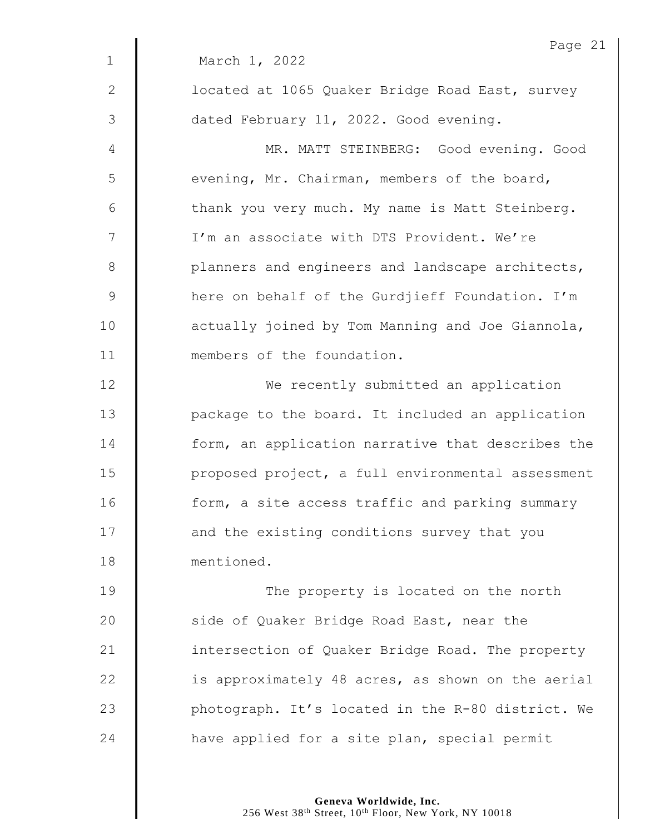|                 | Page 21                                           |
|-----------------|---------------------------------------------------|
| $\mathbf{1}$    | March 1, 2022                                     |
| $\mathbf{2}$    | located at 1065 Quaker Bridge Road East, survey   |
| 3               | dated February 11, 2022. Good evening.            |
| 4               | MR. MATT STEINBERG: Good evening. Good            |
| 5               | evening, Mr. Chairman, members of the board,      |
| $6\phantom{1}6$ | thank you very much. My name is Matt Steinberg.   |
| 7               | I'm an associate with DTS Provident. We're        |
| $8\,$           | planners and engineers and landscape architects,  |
| $\mathsf 9$     | here on behalf of the Gurdjieff Foundation. I'm   |
| 10              | actually joined by Tom Manning and Joe Giannola,  |
| 11              | members of the foundation.                        |
| 12              | We recently submitted an application              |
| 13              | package to the board. It included an application  |
| 14              | form, an application narrative that describes the |
| 15              | proposed project, a full environmental assessment |
| 16              | form, a site access traffic and parking summary   |
| 17              | and the existing conditions survey that you       |
| 18              | mentioned.                                        |
| 19              | The property is located on the north              |
| 20              | side of Quaker Bridge Road East, near the         |
| 21              | intersection of Quaker Bridge Road. The property  |
| 22              | is approximately 48 acres, as shown on the aerial |
| 23              | photograph. It's located in the R-80 district. We |
| 24              | have applied for a site plan, special permit      |
|                 |                                                   |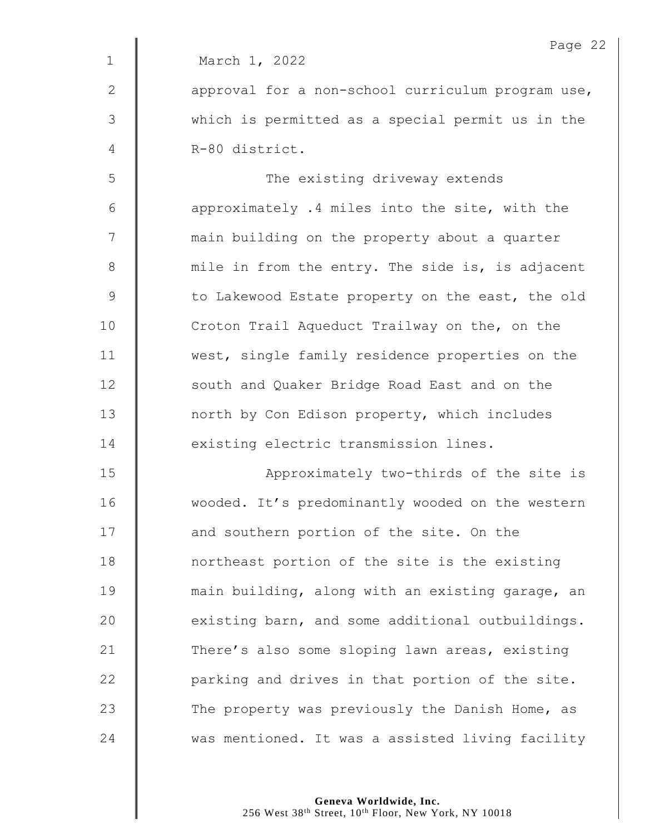|              | Page 22                                           |
|--------------|---------------------------------------------------|
| $\mathbf{1}$ | March 1, 2022                                     |
| $\mathbf{2}$ | approval for a non-school curriculum program use, |
| 3            | which is permitted as a special permit us in the  |
| 4            | R-80 district.                                    |
| 5            | The existing driveway extends                     |
| 6            | approximately .4 miles into the site, with the    |
| 7            | main building on the property about a quarter     |
| 8            | mile in from the entry. The side is, is adjacent  |
| $\mathsf 9$  | to Lakewood Estate property on the east, the old  |
| 10           | Croton Trail Aqueduct Trailway on the, on the     |
| 11           | west, single family residence properties on the   |
| 12           | south and Quaker Bridge Road East and on the      |
| 13           | north by Con Edison property, which includes      |
| 14           | existing electric transmission lines.             |
| 15           | Approximately two-thirds of the site is           |
| 16           | wooded. It's predominantly wooded on the western  |
| 17           | and southern portion of the site. On the          |
| 18           | northeast portion of the site is the existing     |
| 19           | main building, along with an existing garage, an  |
| 20           | existing barn, and some additional outbuildings.  |
| 21           | There's also some sloping lawn areas, existing    |
| 22           | parking and drives in that portion of the site.   |
| 23           | The property was previously the Danish Home, as   |
| 24           | was mentioned. It was a assisted living facility  |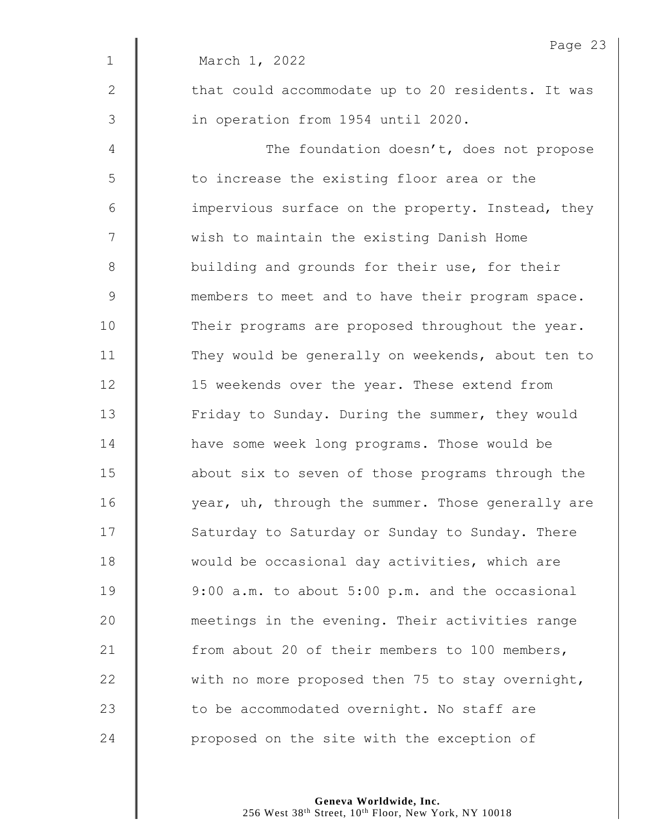|               | Page 23                                           |
|---------------|---------------------------------------------------|
| $\mathbf 1$   | March 1, 2022                                     |
| 2             | that could accommodate up to 20 residents. It was |
| 3             | in operation from 1954 until 2020.                |
| 4             | The foundation doesn't, does not propose          |
| 5             | to increase the existing floor area or the        |
| 6             | impervious surface on the property. Instead, they |
| 7             | wish to maintain the existing Danish Home         |
| $8\,$         | building and grounds for their use, for their     |
| $\mathcal{G}$ | members to meet and to have their program space.  |
| 10            | Their programs are proposed throughout the year.  |
| 11            | They would be generally on weekends, about ten to |
| 12            | 15 weekends over the year. These extend from      |
| 13            | Friday to Sunday. During the summer, they would   |
| 14            | have some week long programs. Those would be      |
| 15            | about six to seven of those programs through the  |
| 16            | year, uh, through the summer. Those generally are |
| 17            | Saturday to Saturday or Sunday to Sunday. There   |
| 18            | would be occasional day activities, which are     |
| 19            | 9:00 a.m. to about 5:00 p.m. and the occasional   |
| 20            | meetings in the evening. Their activities range   |
| 21            | from about 20 of their members to 100 members,    |
| 22            | with no more proposed then 75 to stay overnight,  |
| 23            | to be accommodated overnight. No staff are        |
| 24            | proposed on the site with the exception of        |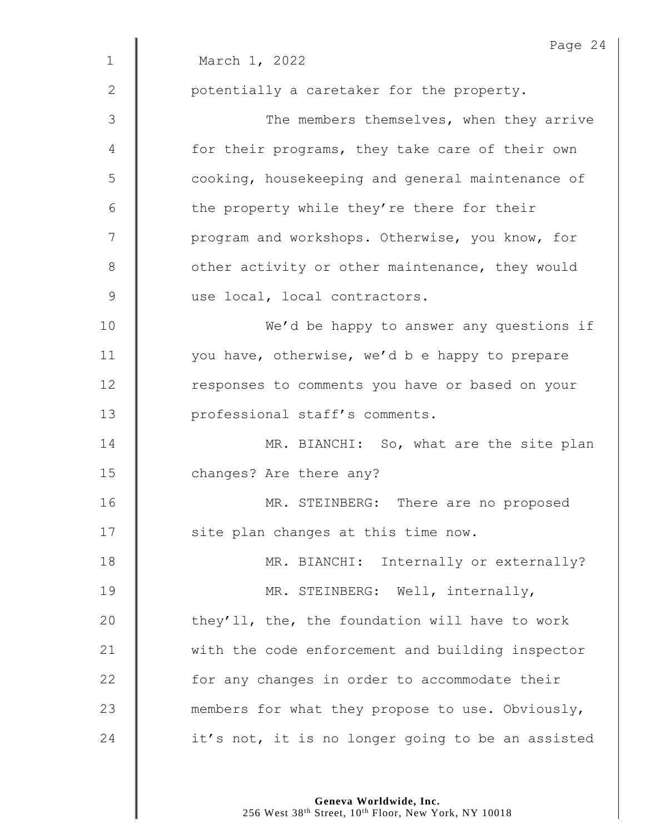|               | Page 24                                           |
|---------------|---------------------------------------------------|
| $\mathbf 1$   | March 1, 2022                                     |
| 2             | potentially a caretaker for the property.         |
| 3             | The members themselves, when they arrive          |
| 4             | for their programs, they take care of their own   |
| 5             | cooking, housekeeping and general maintenance of  |
| 6             | the property while they're there for their        |
| 7             | program and workshops. Otherwise, you know, for   |
| 8             | other activity or other maintenance, they would   |
| $\mathcal{G}$ | use local, local contractors.                     |
| 10            | We'd be happy to answer any questions if          |
| 11            | you have, otherwise, we'd b e happy to prepare    |
| 12            | responses to comments you have or based on your   |
| 13            | professional staff's comments.                    |
| 14            | MR. BIANCHI: So, what are the site plan           |
| 15            | changes? Are there any?                           |
| 16            | MR. STEINBERG: There are no proposed              |
| 17            | site plan changes at this time now.               |
| 18            | MR. BIANCHI: Internally or externally?            |
| 19            | MR. STEINBERG: Well, internally,                  |
| 20            | they'll, the, the foundation will have to work    |
| 21            | with the code enforcement and building inspector  |
| 22            | for any changes in order to accommodate their     |
| 23            | members for what they propose to use. Obviously,  |
| 24            | it's not, it is no longer going to be an assisted |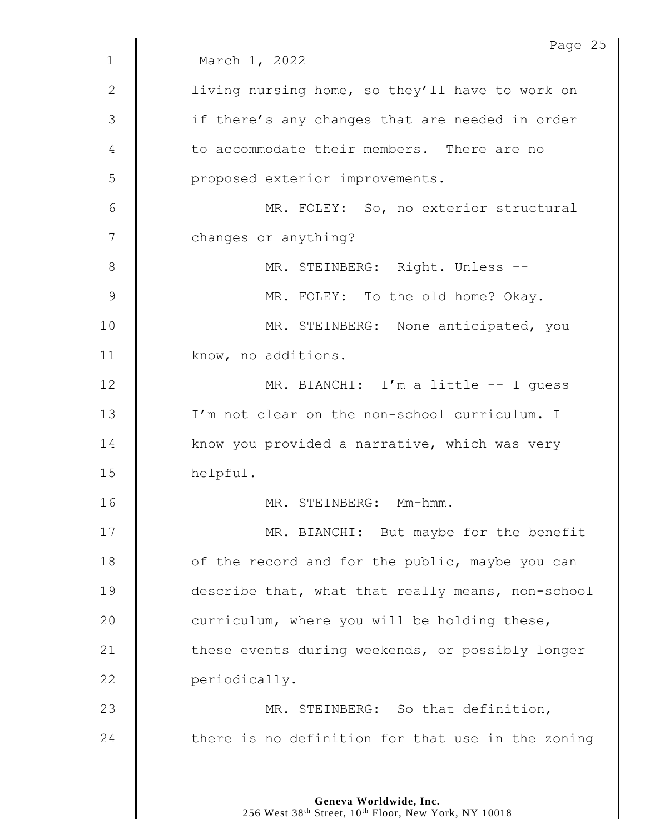|                | Page 25                                           |
|----------------|---------------------------------------------------|
| $\mathbf 1$    | March 1, 2022                                     |
| 2              | living nursing home, so they'll have to work on   |
| $\mathfrak{Z}$ | if there's any changes that are needed in order   |
| 4              | to accommodate their members. There are no        |
| 5              | proposed exterior improvements.                   |
| 6              | MR. FOLEY: So, no exterior structural             |
| 7              | changes or anything?                              |
| 8              | MR. STEINBERG: Right. Unless --                   |
| $\mathcal{G}$  | MR. FOLEY: To the old home? Okay.                 |
| 10             | MR. STEINBERG: None anticipated, you              |
| 11             | know, no additions.                               |
| 12             | MR. BIANCHI: I'm a little -- I guess              |
| 13             | I'm not clear on the non-school curriculum. I     |
| 14             | know you provided a narrative, which was very     |
| 15             | helpful.                                          |
| 16             | MR. STEINBERG: Mm-hmm.                            |
| 17             | MR. BIANCHI: But maybe for the benefit            |
| 18             | of the record and for the public, maybe you can   |
| 19             | describe that, what that really means, non-school |
| 20             | curriculum, where you will be holding these,      |
| 21             | these events during weekends, or possibly longer  |
| 22             | periodically.                                     |
| 23             | MR. STEINBERG: So that definition,                |
| 24             | there is no definition for that use in the zoning |
|                |                                                   |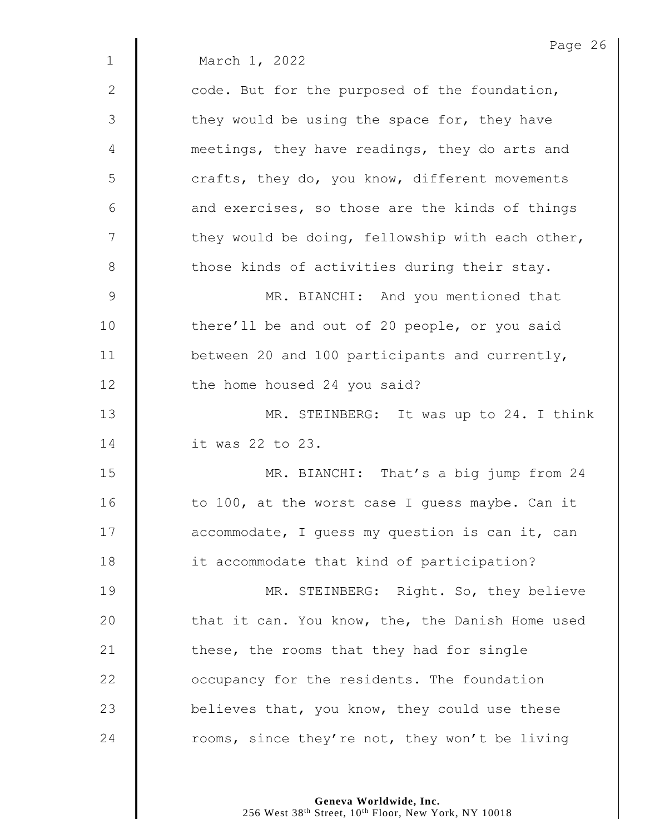Page 26 1 March 1, 2022 2  $\parallel$  code. But for the purposed of the foundation,  $3 \parallel$  they would be using the space for, they have 4 **wave meetings, they have readings, they do arts and**  $5 \parallel$  crafts, they do, you know, different movements  $6 \parallel$  and exercises, so those are the kinds of things  $7 \parallel$  they would be doing, fellowship with each other, 8 those kinds of activities during their stay. 9 | MR. BIANCHI: And you mentioned that 10 | there'll be and out of 20 people, or you said 11 **between** 20 and 100 participants and currently, 12 | the home housed 24 you said? 13 | MR. STEINBERG: It was up to 24. I think 14 it was 22 to 23. 15 | MR. BIANCHI: That's a big jump from 24 16 | to 100, at the worst case I guess maybe. Can it 17 **accommodate,** I guess my question is can it, can 18 **it accommodate that kind of participation?** 19 | MR. STEINBERG: Right. So, they believe  $20$   $\parallel$  that it can. You know, the, the Danish Home used 21  $\parallel$  these, the rooms that they had for single 22 **CO** occupancy for the residents. The foundation 23  $\parallel$  believes that, you know, they could use these 24  $\parallel$  rooms, since they're not, they won't be living

> **Geneva Worldwide, Inc.** 256 West 38<sup>th</sup> Street, 10<sup>th</sup> Floor, New York, NY 10018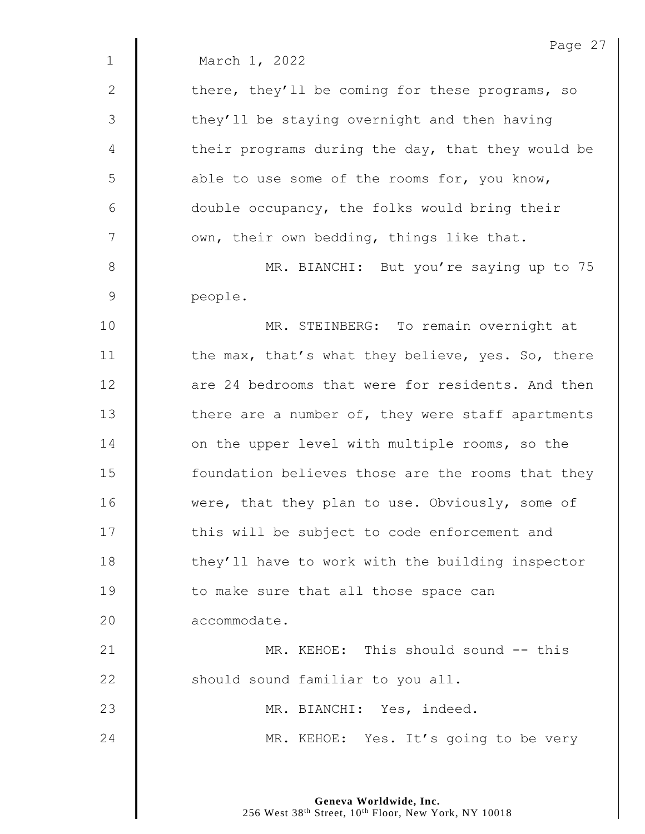|              | Page 27                                           |
|--------------|---------------------------------------------------|
| $\mathbf 1$  | March 1, 2022                                     |
| $\mathbf{2}$ | there, they'll be coming for these programs, so   |
| 3            | they'll be staying overnight and then having      |
| 4            | their programs during the day, that they would be |
| 5            | able to use some of the rooms for, you know,      |
| 6            | double occupancy, the folks would bring their     |
| 7            | own, their own bedding, things like that.         |
| $8\,$        | MR. BIANCHI: But you're saying up to 75           |
| 9            | people.                                           |
| 10           | MR. STEINBERG: To remain overnight at             |
| 11           | the max, that's what they believe, yes. So, there |
| 12           | are 24 bedrooms that were for residents. And then |
| 13           | there are a number of, they were staff apartments |
| 14           | on the upper level with multiple rooms, so the    |
| 15           | foundation believes those are the rooms that they |
| 16           | were, that they plan to use. Obviously, some of   |
| 17           | this will be subject to code enforcement and      |
| 18           | they'll have to work with the building inspector  |
| 19           | to make sure that all those space can             |
| 20           | accommodate.                                      |
| 21           | MR. KEHOE: This should sound -- this              |
| 22           | should sound familiar to you all.                 |
| 23           | MR. BIANCHI: Yes, indeed.                         |
| 24           | MR. KEHOE: Yes. It's going to be very             |
|              |                                                   |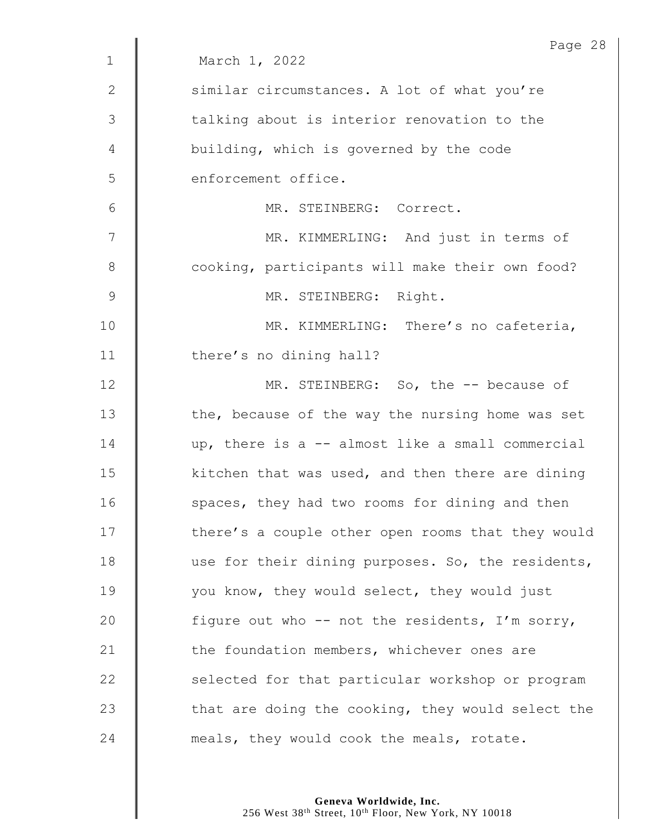|                | Page 28                                           |
|----------------|---------------------------------------------------|
| $\mathbf{1}$   | March 1, 2022                                     |
| $\mathbf{2}$   | similar circumstances. A lot of what you're       |
| $\mathfrak{Z}$ | talking about is interior renovation to the       |
| 4              | building, which is governed by the code           |
| 5              | enforcement office.                               |
| 6              | MR. STEINBERG: Correct.                           |
| 7              | MR. KIMMERLING: And just in terms of              |
| $\,8\,$        | cooking, participants will make their own food?   |
| $\mathcal{G}$  | MR. STEINBERG: Right.                             |
| 10             | MR. KIMMERLING: There's no cafeteria,             |
| 11             | there's no dining hall?                           |
| 12             | MR. STEINBERG: So, the -- because of              |
| 13             | the, because of the way the nursing home was set  |
| 14             | up, there is a -- almost like a small commercial  |
| 15             | kitchen that was used, and then there are dining  |
| 16             | spaces, they had two rooms for dining and then    |
| 17             | there's a couple other open rooms that they would |
| 18             | use for their dining purposes. So, the residents, |
| 19             | you know, they would select, they would just      |
| 20             | figure out who -- not the residents, I'm sorry,   |
| 21             | the foundation members, whichever ones are        |
| 22             | selected for that particular workshop or program  |
| 23             | that are doing the cooking, they would select the |
| 24             | meals, they would cook the meals, rotate.         |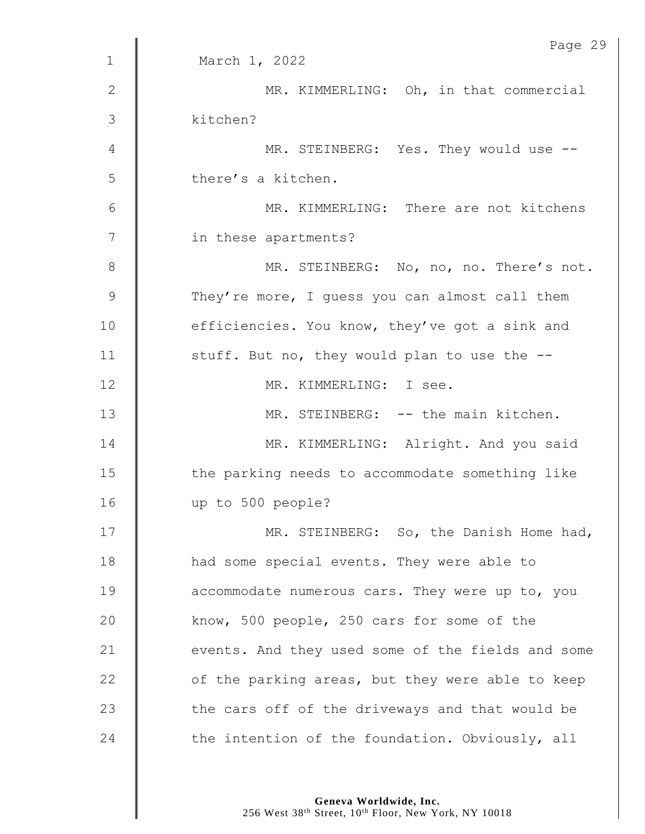|                | Page 29                                           |
|----------------|---------------------------------------------------|
| $\mathbf{1}$   | March 1, 2022                                     |
| $\mathbf{2}$   | MR. KIMMERLING: Oh, in that commercial            |
| 3              | kitchen?                                          |
| $\overline{4}$ | MR. STEINBERG: Yes. They would use --             |
| 5              | there's a kitchen.                                |
| 6              | MR. KIMMERLING: There are not kitchens            |
| 7              | in these apartments?                              |
| $\,8\,$        | MR. STEINBERG: No, no, no. There's not.           |
| $\mathcal{G}$  | They're more, I guess you can almost call them    |
| 10             | efficiencies. You know, they've got a sink and    |
| 11             | stuff. But no, they would plan to use the --      |
| 12             | MR. KIMMERLING: I see.                            |
| 13             | MR. STEINBERG: -- the main kitchen.               |
| 14             | MR. KIMMERLING: Alright. And you said             |
| 15             | the parking needs to accommodate something like   |
| 16             | up to 500 people?                                 |
| 17             | MR. STEINBERG: So, the Danish Home had,           |
| 18             | had some special events. They were able to        |
| 19             | accommodate numerous cars. They were up to, you   |
| 20             | know, 500 people, 250 cars for some of the        |
| 21             | events. And they used some of the fields and some |
| 22             | of the parking areas, but they were able to keep  |
| 23             | the cars off of the driveways and that would be   |
| 24             | the intention of the foundation. Obviously, all   |
|                |                                                   |

Page 29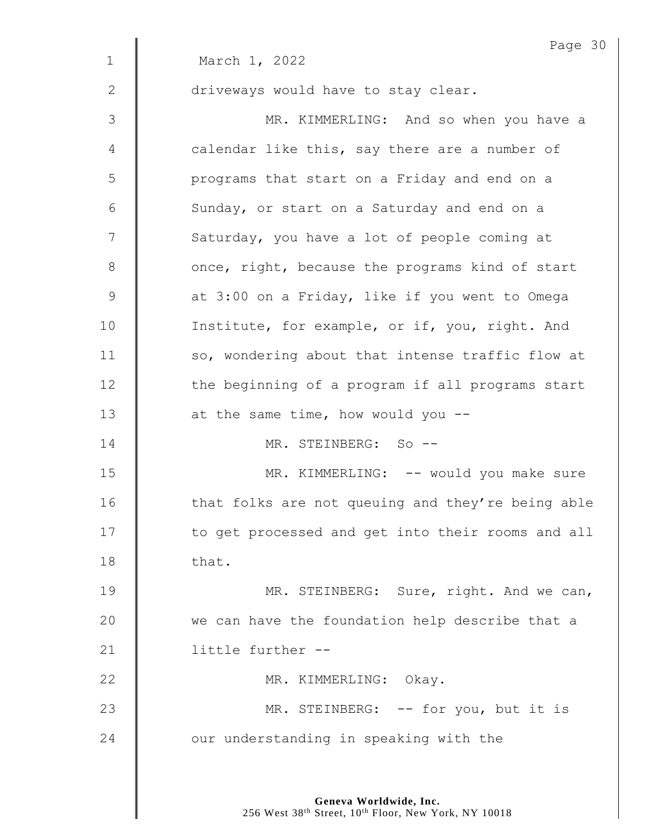|              | Page 30                                           |
|--------------|---------------------------------------------------|
| $\mathbf{1}$ | March 1, 2022                                     |
| $\mathbf{2}$ | driveways would have to stay clear.               |
| 3            | MR. KIMMERLING: And so when you have a            |
| 4            | calendar like this, say there are a number of     |
| 5            | programs that start on a Friday and end on a      |
| 6            | Sunday, or start on a Saturday and end on a       |
| 7            | Saturday, you have a lot of people coming at      |
| 8            | once, right, because the programs kind of start   |
| 9            | at 3:00 on a Friday, like if you went to Omega    |
| 10           | Institute, for example, or if, you, right. And    |
| 11           | so, wondering about that intense traffic flow at  |
| 12           | the beginning of a program if all programs start  |
| 13           | at the same time, how would you --                |
| 14           | MR. STEINBERG: So --                              |
| 15           | MR. KIMMERLING: -- would you make sure            |
| 16           | that folks are not queuing and they're being able |
| 17           | to get processed and get into their rooms and all |
| 18           | that.                                             |
| 19           | MR. STEINBERG: Sure, right. And we can,           |
| 20           | we can have the foundation help describe that a   |
| 21           | little further --                                 |
| 22           | MR. KIMMERLING: Okay.                             |
| 23           | MR. STEINBERG: -- for you, but it is              |
| 24           | our understanding in speaking with the            |
|              |                                                   |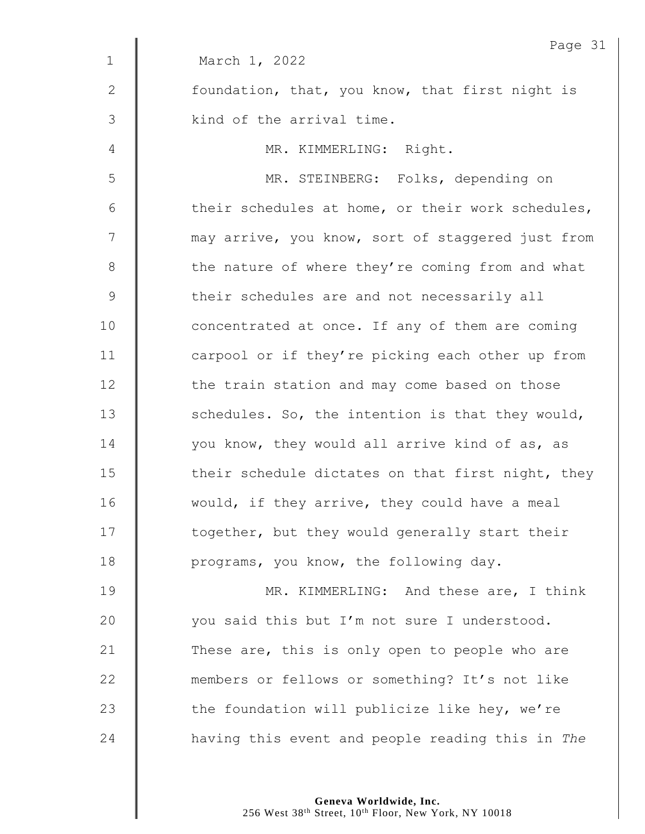|               | Page 31                                           |
|---------------|---------------------------------------------------|
| $\mathbf 1$   | March 1, 2022                                     |
| $\mathbf{2}$  | foundation, that, you know, that first night is   |
| 3             | kind of the arrival time.                         |
| 4             | MR. KIMMERLING: Right.                            |
| 5             | MR. STEINBERG: Folks, depending on                |
| 6             | their schedules at home, or their work schedules, |
| 7             | may arrive, you know, sort of staggered just from |
| $8\,$         | the nature of where they're coming from and what  |
| $\mathcal{G}$ | their schedules are and not necessarily all       |
| 10            | concentrated at once. If any of them are coming   |
| 11            | carpool or if they're picking each other up from  |
| 12            | the train station and may come based on those     |
| 13            | schedules. So, the intention is that they would,  |
| 14            | you know, they would all arrive kind of as, as    |
| 15            | their schedule dictates on that first night, they |
| 16            | would, if they arrive, they could have a meal     |
| 17            | together, but they would generally start their    |
| 18            | programs, you know, the following day.            |
| 19            | MR. KIMMERLING: And these are, I think            |
| 20            | you said this but I'm not sure I understood.      |
| 21            | These are, this is only open to people who are    |
| 22            | members or fellows or something? It's not like    |
| 23            | the foundation will publicize like hey, we're     |
| 24            | having this event and people reading this in The  |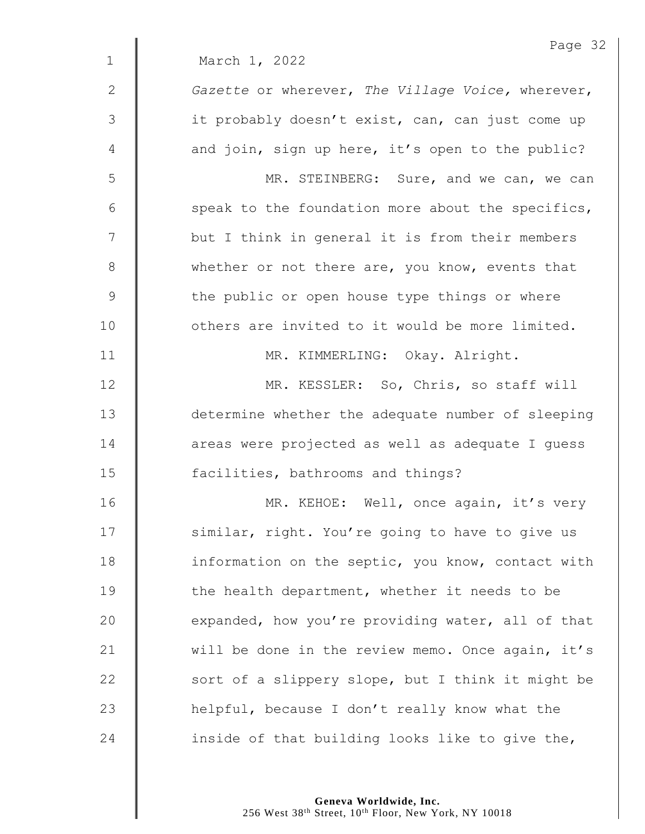|                | Page 32                                           |
|----------------|---------------------------------------------------|
| $\mathbf{1}$   | March 1, 2022                                     |
| 2              | Gazette or wherever, The Village Voice, wherever, |
| $\mathfrak{Z}$ | it probably doesn't exist, can, can just come up  |
| 4              | and join, sign up here, it's open to the public?  |
| 5              | MR. STEINBERG: Sure, and we can, we can           |
| 6              | speak to the foundation more about the specifics, |
| 7              | but I think in general it is from their members   |
| 8              | whether or not there are, you know, events that   |
| $\mathcal{G}$  | the public or open house type things or where     |
| 10             | others are invited to it would be more limited.   |
| 11             | MR. KIMMERLING: Okay. Alright.                    |
| 12             | MR. KESSLER: So, Chris, so staff will             |
| 13             | determine whether the adequate number of sleeping |
| 14             | areas were projected as well as adequate I guess  |
| 15             | facilities, bathrooms and things?                 |
| 16             | MR. KEHOE: Well, once again, it's very            |
| 17             | similar, right. You're going to have to give us   |
| 18             | information on the septic, you know, contact with |
| 19             | the health department, whether it needs to be     |
| 20             | expanded, how you're providing water, all of that |
| 21             | will be done in the review memo. Once again, it's |
| 22             | sort of a slippery slope, but I think it might be |
| 23             | helpful, because I don't really know what the     |
| 24             | inside of that building looks like to give the,   |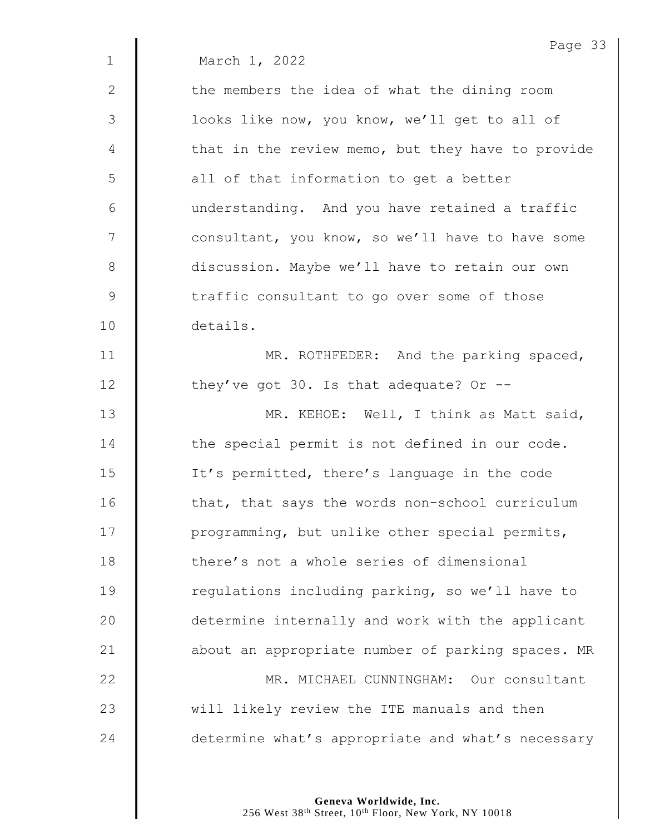|               | Page 33                                           |
|---------------|---------------------------------------------------|
| $\mathbf 1$   | March 1, 2022                                     |
| 2             | the members the idea of what the dining room      |
| 3             | looks like now, you know, we'll get to all of     |
| 4             | that in the review memo, but they have to provide |
| 5             | all of that information to get a better           |
| 6             | understanding. And you have retained a traffic    |
| 7             | consultant, you know, so we'll have to have some  |
| $8\,$         | discussion. Maybe we'll have to retain our own    |
| $\mathcal{G}$ | traffic consultant to go over some of those       |
| 10            | details.                                          |
| 11            | MR. ROTHFEDER: And the parking spaced,            |
| 12            | they've got 30. Is that adequate? Or $-$ -        |
| 13            | MR. KEHOE: Well, I think as Matt said,            |
| 14            | the special permit is not defined in our code.    |
| 15            | It's permitted, there's language in the code      |
| 16            | that, that says the words non-school curriculum   |
| 17            | programming, but unlike other special permits,    |
| 18            | there's not a whole series of dimensional         |
| 19            | regulations including parking, so we'll have to   |
| 20            | determine internally and work with the applicant  |
| 21            | about an appropriate number of parking spaces. MR |
| 22            | MR. MICHAEL CUNNINGHAM: Our consultant            |
| 23            | will likely review the ITE manuals and then       |
| 24            | determine what's appropriate and what's necessary |
|               |                                                   |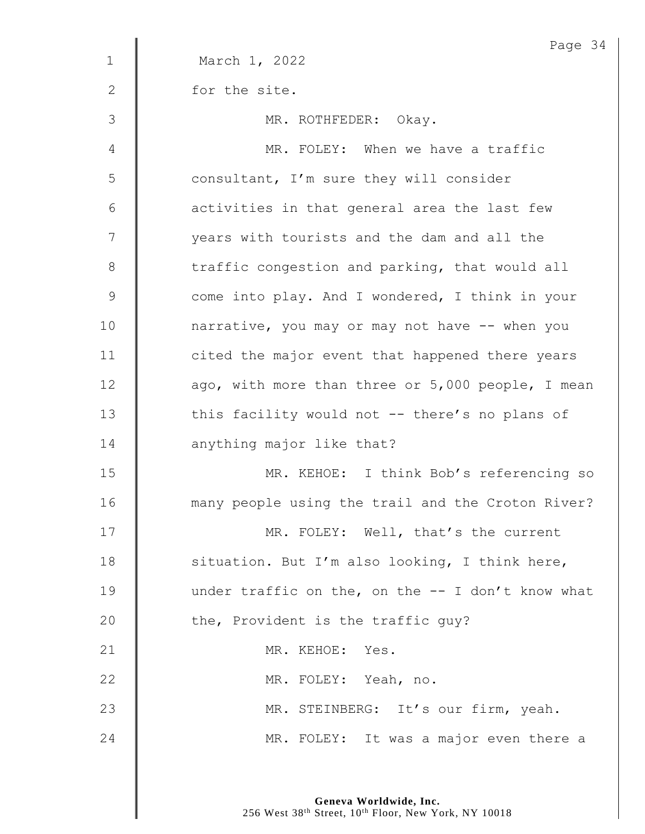|               | Page 34                                              |
|---------------|------------------------------------------------------|
| $\mathbf 1$   | March 1, 2022                                        |
| $\mathbf{2}$  | for the site.                                        |
| $\mathcal{S}$ | MR. ROTHFEDER: Okay.                                 |
| 4             | MR. FOLEY: When we have a traffic                    |
| 5             | consultant, I'm sure they will consider              |
| 6             | activities in that general area the last few         |
| 7             | years with tourists and the dam and all the          |
| $8\,$         | traffic congestion and parking, that would all       |
| $\mathsf 9$   | come into play. And I wondered, I think in your      |
| 10            | narrative, you may or may not have -- when you       |
| 11            | cited the major event that happened there years      |
| 12            | ago, with more than three or 5,000 people, I mean    |
| 13            | this facility would not -- there's no plans of       |
| 14            | anything major like that?                            |
| 15            | MR. KEHOE: I think Bob's referencing so              |
| 16            | many people using the trail and the Croton River?    |
| 17            | MR. FOLEY: Well, that's the current                  |
| 18            | situation. But I'm also looking, I think here,       |
| 19            | under traffic on the, on the $-$ - I don't know what |
| 20            | the, Provident is the traffic guy?                   |
| 21            | MR. KEHOE: Yes.                                      |
| 22            | MR. FOLEY: Yeah, no.                                 |
| 23            | MR. STEINBERG: It's our firm, yeah.                  |
| 24            | MR. FOLEY: It was a major even there a               |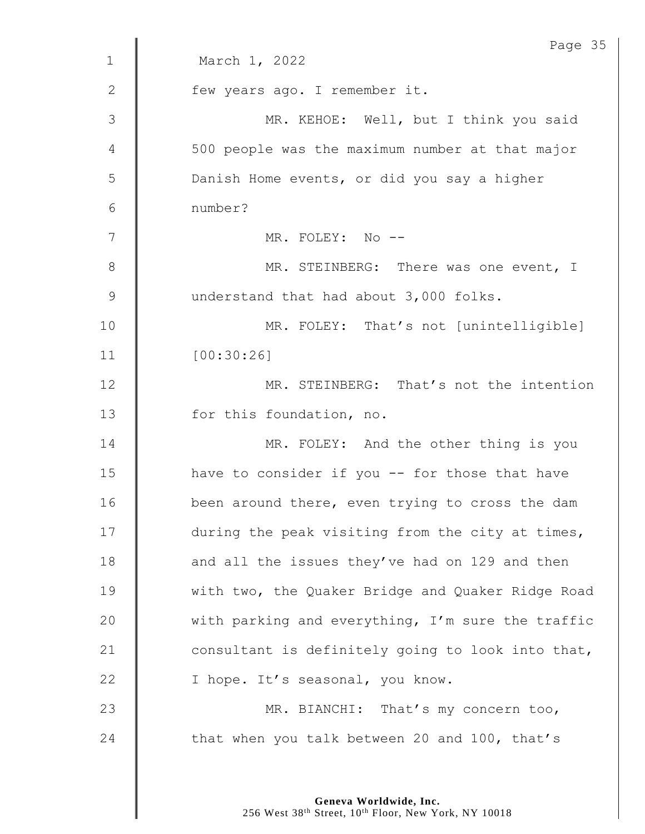|              | Page 35                                           |
|--------------|---------------------------------------------------|
| $\mathbf{1}$ | March 1, 2022                                     |
| 2            | few years ago. I remember it.                     |
| 3            | MR. KEHOE: Well, but I think you said             |
| 4            | 500 people was the maximum number at that major   |
| 5            | Danish Home events, or did you say a higher       |
| 6            | number?                                           |
| 7            | MR. FOLEY: No --                                  |
| $8\,$        | MR. STEINBERG: There was one event, I             |
| 9            | understand that had about 3,000 folks.            |
| 10           | MR. FOLEY: That's not [unintelligible]            |
| 11           | [00:30:26]                                        |
| 12           | MR. STEINBERG: That's not the intention           |
| 13           | for this foundation, no.                          |
| 14           | MR. FOLEY: And the other thing is you             |
| 15           | have to consider if you -- for those that have    |
| 16           | been around there, even trying to cross the dam   |
| 17           | during the peak visiting from the city at times,  |
| 18           | and all the issues they've had on 129 and then    |
| 19           | with two, the Quaker Bridge and Quaker Ridge Road |
| 20           | with parking and everything, I'm sure the traffic |
| 21           | consultant is definitely going to look into that, |
| 22           | I hope. It's seasonal, you know.                  |
| 23           | MR. BIANCHI: That's my concern too,               |
| 24           | that when you talk between 20 and 100, that's     |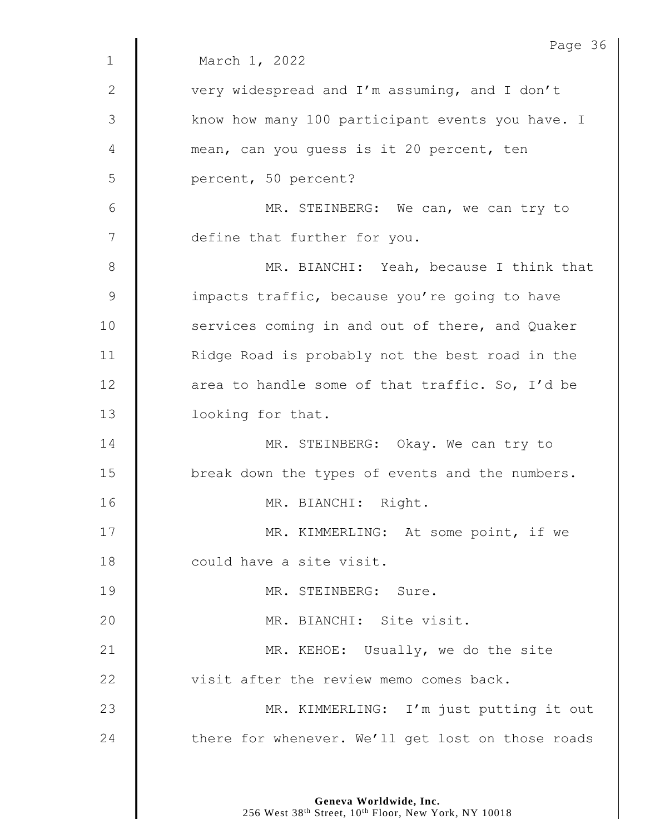| Page 36                                           |
|---------------------------------------------------|
| March 1, 2022                                     |
| very widespread and I'm assuming, and I don't     |
| know how many 100 participant events you have. I  |
| mean, can you quess is it 20 percent, ten         |
| percent, 50 percent?                              |
| MR. STEINBERG: We can, we can try to              |
| define that further for you.                      |
| MR. BIANCHI: Yeah, because I think that           |
| impacts traffic, because you're going to have     |
| services coming in and out of there, and Quaker   |
| Ridge Road is probably not the best road in the   |
| area to handle some of that traffic. So, I'd be   |
| looking for that.                                 |
| MR. STEINBERG: Okay. We can try to                |
| break down the types of events and the numbers.   |
| MR. BIANCHI: Right.                               |
| MR. KIMMERLING: At some point, if we              |
| could have a site visit.                          |
| MR. STEINBERG: Sure.                              |
| MR. BIANCHI: Site visit.                          |
| MR. KEHOE: Usually, we do the site                |
| visit after the review memo comes back.           |
| MR. KIMMERLING: I'm just putting it out           |
| there for whenever. We'll get lost on those roads |
|                                                   |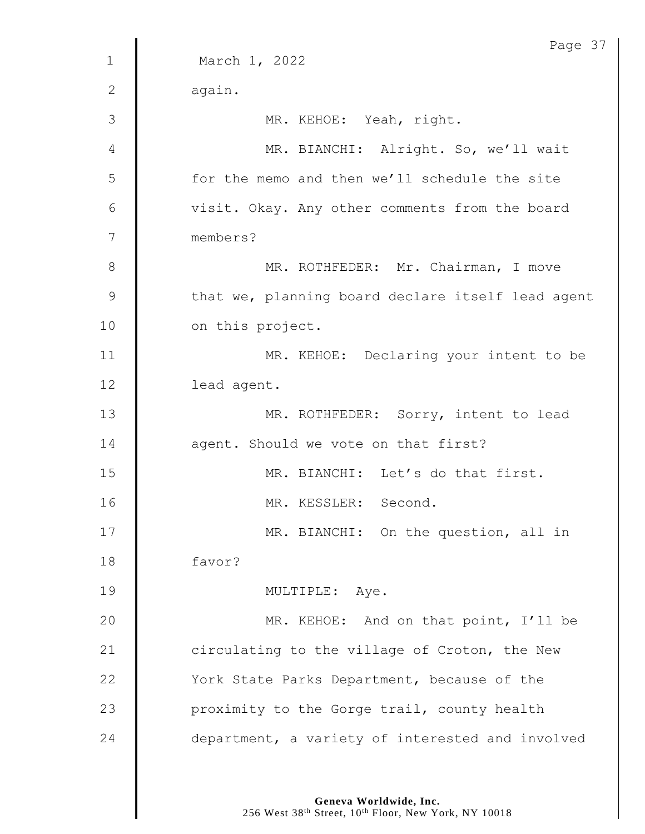|              | Page 37                                           |
|--------------|---------------------------------------------------|
| $\mathbf 1$  | March 1, 2022                                     |
| $\mathbf{2}$ | again.                                            |
| 3            | MR. KEHOE: Yeah, right.                           |
| 4            | MR. BIANCHI: Alright. So, we'll wait              |
| 5            | for the memo and then we'll schedule the site     |
| 6            | visit. Okay. Any other comments from the board    |
| 7            | members?                                          |
| $\,8\,$      | MR. ROTHFEDER: Mr. Chairman, I move               |
| $\mathsf 9$  | that we, planning board declare itself lead agent |
| 10           | on this project.                                  |
| 11           | MR. KEHOE: Declaring your intent to be            |
| 12           | lead agent.                                       |
| 13           | MR. ROTHFEDER: Sorry, intent to lead              |
| 14           | agent. Should we vote on that first?              |
| 15           | MR. BIANCHI: Let's do that first.                 |
| 16           | MR. KESSLER: Second.                              |
| 17           | MR. BIANCHI: On the question, all in              |
| 18           | favor?                                            |
| 19           | MULTIPLE: Aye.                                    |
| 20           | MR. KEHOE: And on that point, I'll be             |
| 21           | circulating to the village of Croton, the New     |
| 22           | York State Parks Department, because of the       |
| 23           | proximity to the Gorge trail, county health       |
| 24           | department, a variety of interested and involved  |
|              |                                                   |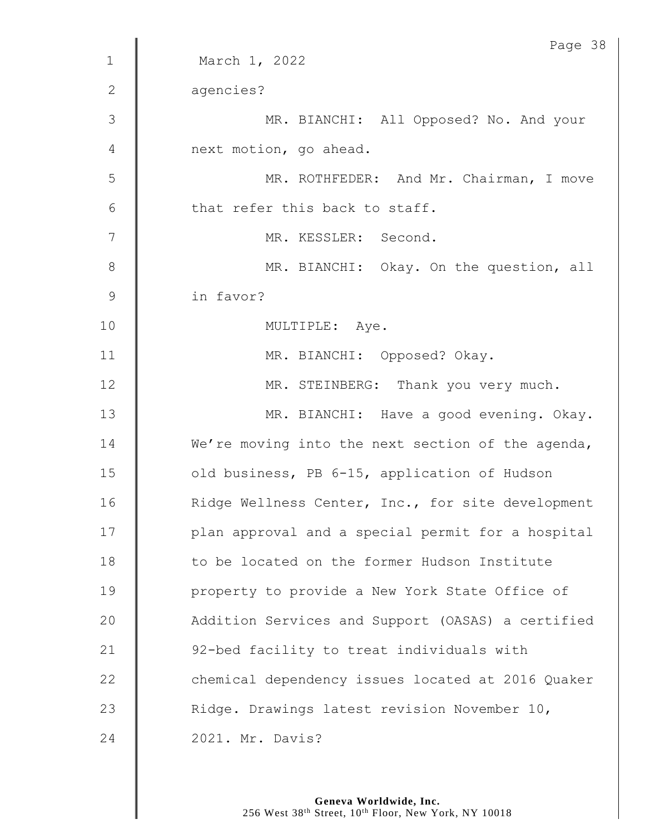|                | Page 38                                           |
|----------------|---------------------------------------------------|
| $\mathbf{1}$   | March 1, 2022                                     |
| 2              | agencies?                                         |
| 3              | MR. BIANCHI: All Opposed? No. And your            |
| 4              | next motion, go ahead.                            |
| 5              | MR. ROTHFEDER: And Mr. Chairman, I move           |
| 6              | that refer this back to staff.                    |
| 7              | MR. KESSLER: Second.                              |
| $\,8\,$        | MR. BIANCHI: Okay. On the question, all           |
| $\overline{9}$ | in favor?                                         |
| 10             | MULTIPLE: Aye.                                    |
| 11             | MR. BIANCHI: Opposed? Okay.                       |
| 12             | MR. STEINBERG: Thank you very much.               |
| 13             | MR. BIANCHI: Have a good evening. Okay.           |
| 14             | We're moving into the next section of the agenda, |
| 15             | old business, PB 6-15, application of Hudson      |
| 16             | Ridge Wellness Center, Inc., for site development |
| 17             | plan approval and a special permit for a hospital |
| 18             | to be located on the former Hudson Institute      |
| 19             | property to provide a New York State Office of    |
| 20             | Addition Services and Support (OASAS) a certified |
| 21             | 92-bed facility to treat individuals with         |
| 22             | chemical dependency issues located at 2016 Quaker |
| 23             | Ridge. Drawings latest revision November 10,      |
| 24             | 2021. Mr. Davis?                                  |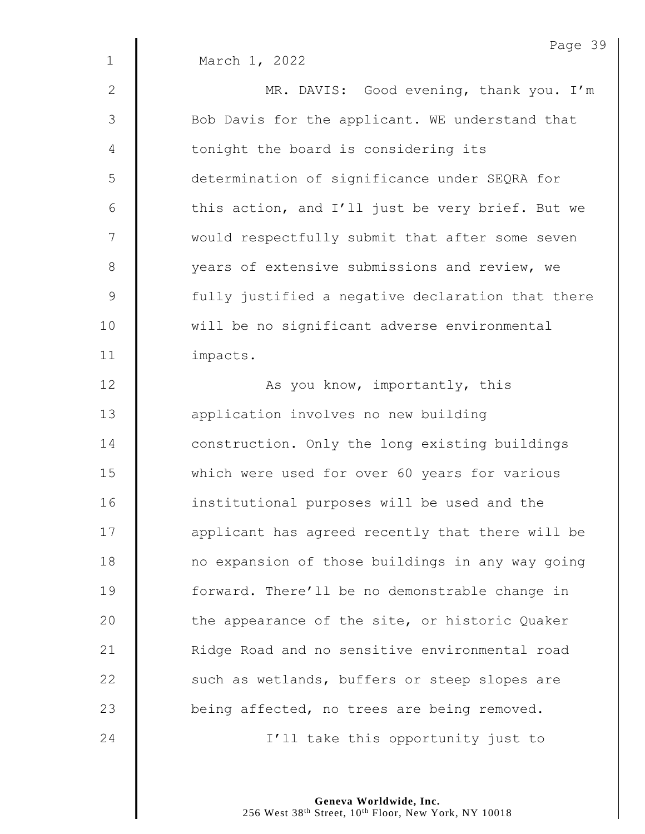|                | Page 39                                           |
|----------------|---------------------------------------------------|
| $\mathbf{1}$   | March 1, 2022                                     |
| $\mathbf{2}$   | MR. DAVIS: Good evening, thank you. I'm           |
| 3              | Bob Davis for the applicant. WE understand that   |
| $\overline{4}$ | tonight the board is considering its              |
| 5              | determination of significance under SEQRA for     |
| 6              | this action, and I'll just be very brief. But we  |
| 7              | would respectfully submit that after some seven   |
| $\,8\,$        | years of extensive submissions and review, we     |
| $\mathsf 9$    | fully justified a negative declaration that there |
| 10             | will be no significant adverse environmental      |
| 11             | impacts.                                          |
| 12             | As you know, importantly, this                    |
| 13             | application involves no new building              |
| 14             | construction. Only the long existing buildings    |
| 15             | which were used for over 60 years for various     |
| 16             | institutional purposes will be used and the       |
| 17             | applicant has agreed recently that there will be  |
| 18             | no expansion of those buildings in any way going  |
| 19             | forward. There'll be no demonstrable change in    |
| 20             | the appearance of the site, or historic Quaker    |
| 21             | Ridge Road and no sensitive environmental road    |
| 22             | such as wetlands, buffers or steep slopes are     |
| 23             | being affected, no trees are being removed.       |
| 24             | I'll take this opportunity just to                |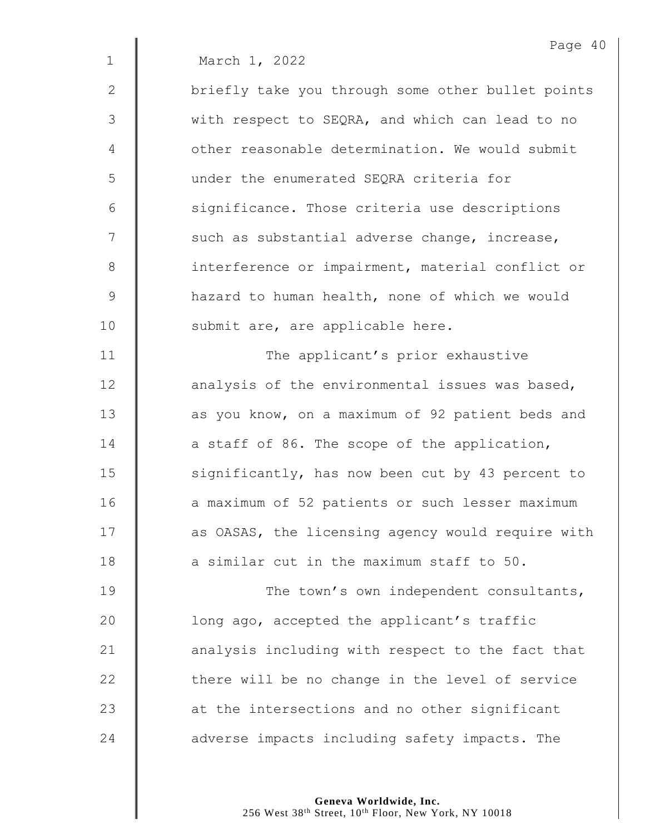|               | Page 40                                           |
|---------------|---------------------------------------------------|
| $\mathbf 1$   | March 1, 2022                                     |
| $\mathbf{2}$  | briefly take you through some other bullet points |
| 3             | with respect to SEQRA, and which can lead to no   |
| 4             | other reasonable determination. We would submit   |
| 5             | under the enumerated SEQRA criteria for           |
| 6             | significance. Those criteria use descriptions     |
| 7             | such as substantial adverse change, increase,     |
| $\,8\,$       | interference or impairment, material conflict or  |
| $\mathcal{G}$ | hazard to human health, none of which we would    |
| 10            | submit are, are applicable here.                  |
| 11            | The applicant's prior exhaustive                  |
| 12            | analysis of the environmental issues was based,   |
| 13            | as you know, on a maximum of 92 patient beds and  |
| 14            | a staff of 86. The scope of the application,      |
| 15            | significantly, has now been cut by 43 percent to  |
| 16            | a maximum of 52 patients or such lesser maximum   |
| 17            | as OASAS, the licensing agency would require with |
| 18            | a similar cut in the maximum staff to 50.         |
| 19            | The town's own independent consultants,           |
| 20            | long ago, accepted the applicant's traffic        |
| 21            | analysis including with respect to the fact that  |
| 22            | there will be no change in the level of service   |
| 23            | at the intersections and no other significant     |
| 24            | adverse impacts including safety impacts. The     |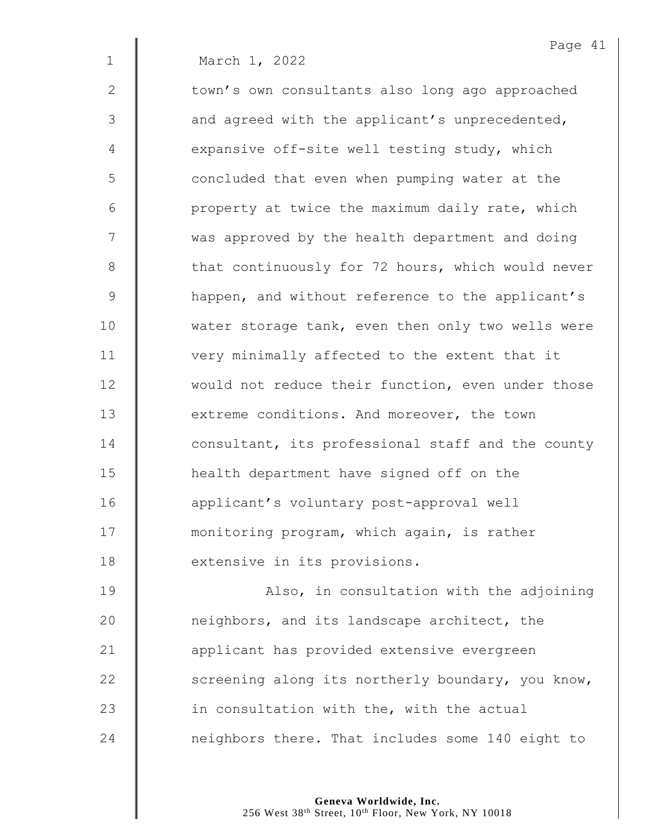Page 41 1 March 1, 2022 2 | town's own consultants also long ago approached  $3 \parallel$  and agreed with the applicant's unprecedented, 4  $\parallel$  expansive off-site well testing study, which 5 | concluded that even when pumping water at the  $6 \parallel$  property at twice the maximum daily rate, which 7 | was approved by the health department and doing 8 | that continuously for 72 hours, which would never 9 | happen, and without reference to the applicant's 10 | water storage tank, even then only two wells were 11 | very minimally affected to the extent that it 12 | would not reduce their function, even under those 13 **extreme conditions.** And moreover, the town 14 **d** consultant, its professional staff and the county 15 **H** health department have signed off on the 16 | applicant's voluntary post-approval well 17 **monitoring program, which again, is rather** 18 **extensive in its provisions.** 

19 | Also, in consultation with the adjoining **neighbors, and its landscape architect, the** 21 | applicant has provided extensive evergreen  $\parallel$  screening along its northerly boundary, you know,  $\parallel$  in consultation with the, with the actual **neighbors there.** That includes some 140 eight to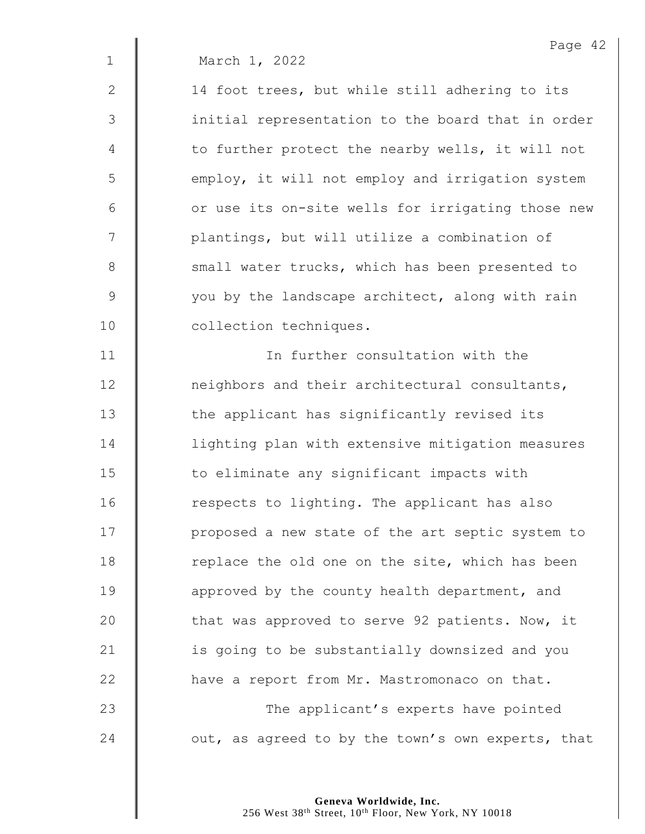1 March 1, 2022

2 | 14 foot trees, but while still adhering to its 3 || initial representation to the board that in order 4 | to further protect the nearby wells, it will not 5 | employ, it will not employ and irrigation system  $6$   $\parallel$  or use its on-site wells for irrigating those new 7 | plantings, but will utilize a combination of 8 Small water trucks, which has been presented to  $9 \parallel$  you by the landscape architect, along with rain 10 | collection techniques.

11 In further consultation with the 12 **neighbors and their architectural consultants,** 13 | the applicant has significantly revised its 14 | lighting plan with extensive mitigation measures  $15$   $\parallel$  to eliminate any significant impacts with 16 | respects to lighting. The applicant has also 17 | proposed a new state of the art septic system to 18 Teplace the old one on the site, which has been 19  $\parallel$  approved by the county health department, and 20 That was approved to serve 92 patients. Now, it 21 | is going to be substantially downsized and you  $22$   $\parallel$  have a report from Mr. Mastromonaco on that. 23 **The applicant's experts have pointed** 24  $\parallel$  out, as agreed to by the town's own experts, that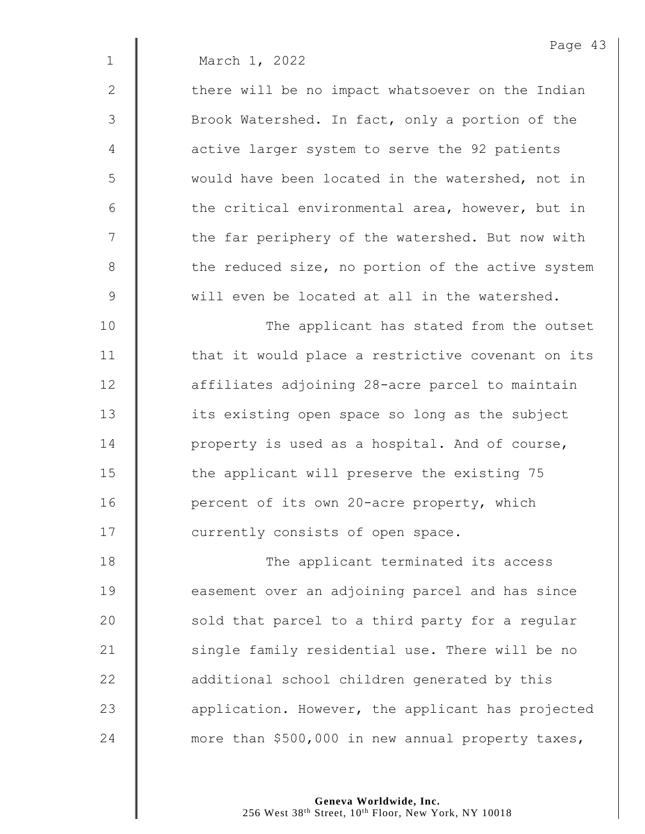1 March 1, 2022

 $2 \parallel$  there will be no impact whatsoever on the Indian 3 Sommark Matershed. In fact, only a portion of the 4 **d** active larger system to serve the 92 patients 5 | would have been located in the watershed, not in  $6 \parallel$  the critical environmental area, however, but in 7 | the far periphery of the watershed. But now with 8 the reduced size, no portion of the active system 9 will even be located at all in the watershed.

10 || The applicant has stated from the outset 11 | that it would place a restrictive covenant on its 12 | affiliates adjoining 28-acre parcel to maintain 13 **its** existing open space so long as the subject 14 **property** is used as a hospital. And of course, 15 The applicant will preserve the existing 75 16 **Quart** percent of its own 20-acre property, which 17 | currently consists of open space.

18 | The applicant terminated its access **easement over an adjoining parcel and has since**  $\parallel$  sold that parcel to a third party for a regular 21 | single family residential use. There will be no **dege** additional school children generated by this **a** application. However, the applicant has projected  $\parallel$  more than \$500,000 in new annual property taxes,

> **Geneva Worldwide, Inc.** 256 West 38<sup>th</sup> Street, 10<sup>th</sup> Floor, New York, NY 10018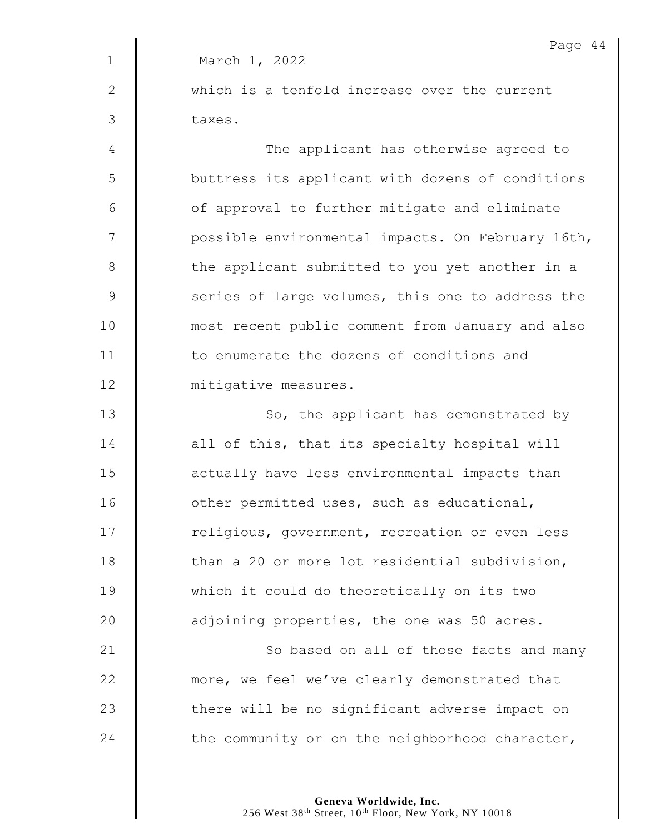| Page 44                                           |
|---------------------------------------------------|
| March 1, 2022                                     |
| which is a tenfold increase over the current      |
| taxes.                                            |
| The applicant has otherwise agreed to             |
| buttress its applicant with dozens of conditions  |
| of approval to further mitigate and eliminate     |
| possible environmental impacts. On February 16th, |
| the applicant submitted to you yet another in a   |
| series of large volumes, this one to address the  |
| most recent public comment from January and also  |
| to enumerate the dozens of conditions and         |
| mitigative measures.                              |
| So, the applicant has demonstrated by             |
| all of this, that its specialty hospital will     |
| actually have less environmental impacts than     |
| other permitted uses, such as educational,        |
| religious, government, recreation or even less    |
| than a 20 or more lot residential subdivision,    |
| which it could do theoretically on its two        |
| adjoining properties, the one was 50 acres.       |
| So based on all of those facts and many           |
| more, we feel we've clearly demonstrated that     |
| there will be no significant adverse impact on    |
| the community or on the neighborhood character,   |
|                                                   |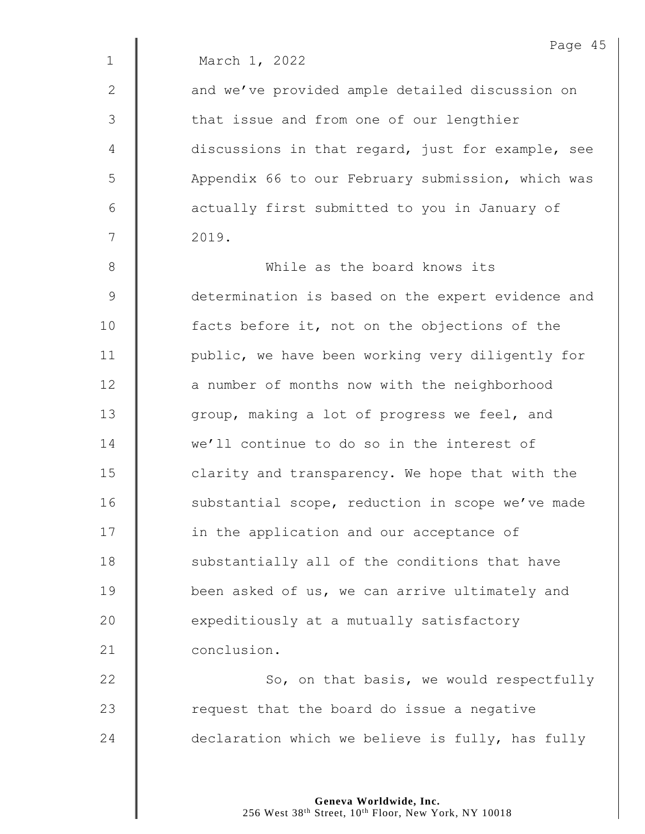|               | Page 45                                           |
|---------------|---------------------------------------------------|
| $\mathbf 1$   | March 1, 2022                                     |
| $\mathbf{2}$  | and we've provided ample detailed discussion on   |
| 3             | that issue and from one of our lengthier          |
| 4             | discussions in that regard, just for example, see |
| 5             | Appendix 66 to our February submission, which was |
| 6             | actually first submitted to you in January of     |
| 7             | 2019.                                             |
| $8\,$         | While as the board knows its                      |
| $\mathcal{G}$ | determination is based on the expert evidence and |
| 10            | facts before it, not on the objections of the     |
| 11            | public, we have been working very diligently for  |
| 12            | a number of months now with the neighborhood      |
| 13            | group, making a lot of progress we feel, and      |
| 14            | we'll continue to do so in the interest of        |
| 15            | clarity and transparency. We hope that with the   |
| 16            | substantial scope, reduction in scope we've made  |
| 17            | in the application and our acceptance of          |
| 18            | substantially all of the conditions that have     |
| 19            | been asked of us, we can arrive ultimately and    |
| 20            | expeditiously at a mutually satisfactory          |
| 21            | conclusion.                                       |
| 22            | So, on that basis, we would respectfully          |
| 23            | request that the board do issue a negative        |
| 24            | declaration which we believe is fully, has fully  |

Page 45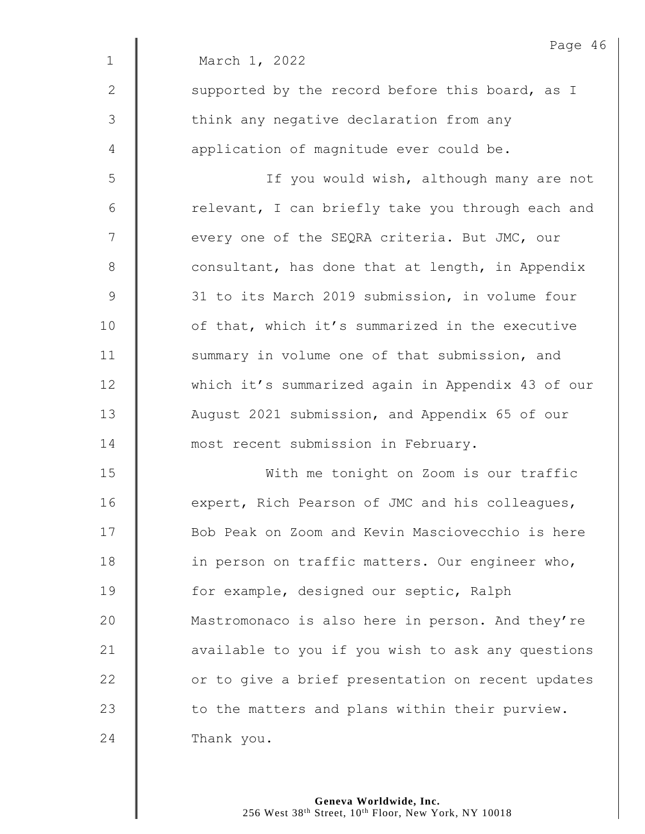|               | Page 46                                           |
|---------------|---------------------------------------------------|
| $\mathbf 1$   | March 1, 2022                                     |
| $\mathbf{2}$  | supported by the record before this board, as I   |
| 3             | think any negative declaration from any           |
| 4             | application of magnitude ever could be.           |
| 5             | If you would wish, although many are not          |
| $6\,$         | relevant, I can briefly take you through each and |
| 7             | every one of the SEQRA criteria. But JMC, our     |
| $8\,$         | consultant, has done that at length, in Appendix  |
| $\mathcal{G}$ | 31 to its March 2019 submission, in volume four   |
| 10            | of that, which it's summarized in the executive   |
| 11            | summary in volume one of that submission, and     |
| 12            | which it's summarized again in Appendix 43 of our |
| 13            | August 2021 submission, and Appendix 65 of our    |
| 14            | most recent submission in February.               |
| 15            | With me tonight on Zoom is our traffic            |
| 16            | expert, Rich Pearson of JMC and his colleagues,   |
| 17            | Bob Peak on Zoom and Kevin Masciovecchio is here  |
| 18            | in person on traffic matters. Our engineer who,   |
| 19            | for example, designed our septic, Ralph           |
| 20            | Mastromonaco is also here in person. And they're  |
| 21            | available to you if you wish to ask any questions |
| 22            | or to give a brief presentation on recent updates |
| 23            | to the matters and plans within their purview.    |
| 24            | Thank you.                                        |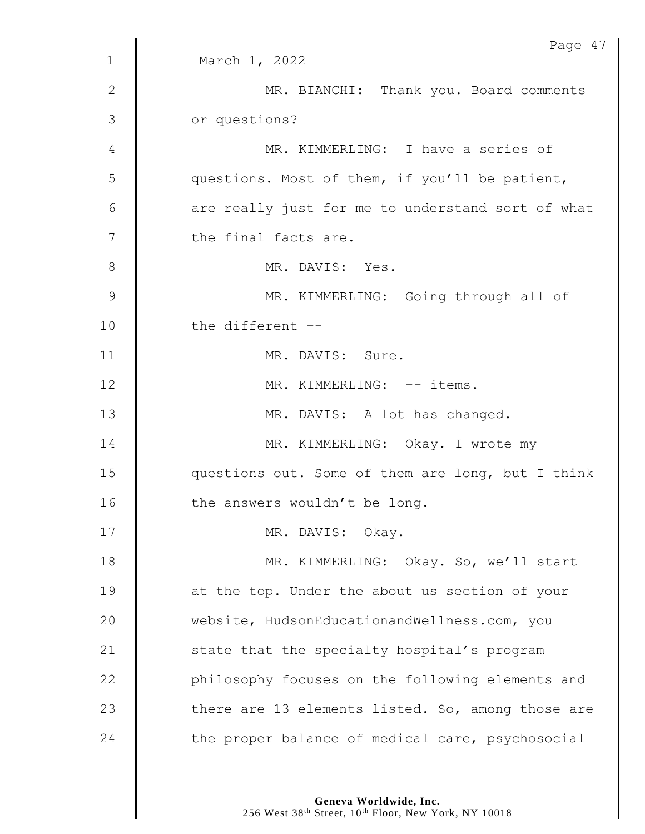|              | Page 47                                           |
|--------------|---------------------------------------------------|
| $\mathbf 1$  | March 1, 2022                                     |
| $\mathbf{2}$ | MR. BIANCHI: Thank you. Board comments            |
| 3            | or questions?                                     |
| 4            | MR. KIMMERLING: I have a series of                |
| 5            | questions. Most of them, if you'll be patient,    |
| 6            | are really just for me to understand sort of what |
| 7            | the final facts are.                              |
| 8            | MR. DAVIS: Yes.                                   |
| 9            | MR. KIMMERLING: Going through all of              |
| 10           | the different --                                  |
| 11           | MR. DAVIS: Sure.                                  |
| 12           | MR. KIMMERLING: -- items.                         |
| 13           | MR. DAVIS: A lot has changed.                     |
| 14           | MR. KIMMERLING: Okay. I wrote my                  |
| 15           | questions out. Some of them are long, but I think |
| 16           | the answers wouldn't be long.                     |
| 17           | MR. DAVIS: Okay.                                  |
| 18           | MR. KIMMERLING: Okay. So, we'll start             |
| 19           | at the top. Under the about us section of your    |
| 20           | website, HudsonEducationandWellness.com, you      |
| 21           | state that the specialty hospital's program       |
| 22           | philosophy focuses on the following elements and  |
| 23           | there are 13 elements listed. So, among those are |
| 24           | the proper balance of medical care, psychosocial  |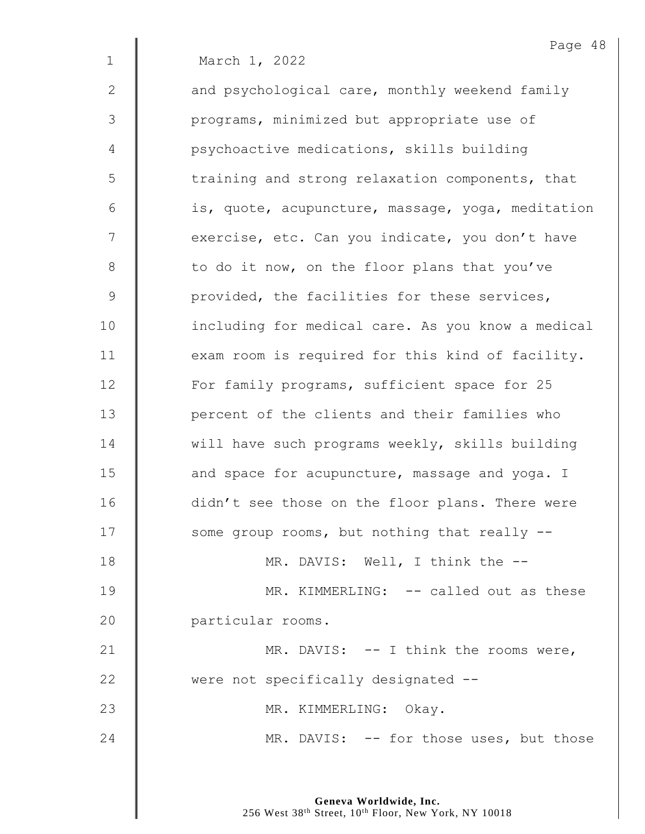|              | Page 48                                           |
|--------------|---------------------------------------------------|
| $\mathbf{1}$ | March 1, 2022                                     |
| $\mathbf{2}$ | and psychological care, monthly weekend family    |
| 3            | programs, minimized but appropriate use of        |
| 4            | psychoactive medications, skills building         |
| 5            | training and strong relaxation components, that   |
| 6            | is, quote, acupuncture, massage, yoga, meditation |
| 7            | exercise, etc. Can you indicate, you don't have   |
| $8\,$        | to do it now, on the floor plans that you've      |
| $\mathsf 9$  | provided, the facilities for these services,      |
| 10           | including for medical care. As you know a medical |
| 11           | exam room is required for this kind of facility.  |
| 12           | For family programs, sufficient space for 25      |
| 13           | percent of the clients and their families who     |
| 14           | will have such programs weekly, skills building   |
| 15           | and space for acupuncture, massage and yoga. I    |
| 16           | didn't see those on the floor plans. There were   |
| 17           | some group rooms, but nothing that really --      |
| 18           | MR. DAVIS: Well, I think the --                   |
| 19           | MR. KIMMERLING: -- called out as these            |
| 20           | particular rooms.                                 |
| 21           | MR. DAVIS: $--$ I think the rooms were,           |
| 22           | were not specifically designated --               |
| 23           | MR. KIMMERLING: Okay.                             |
| 24           | MR. DAVIS: -- for those uses, but those           |
|              |                                                   |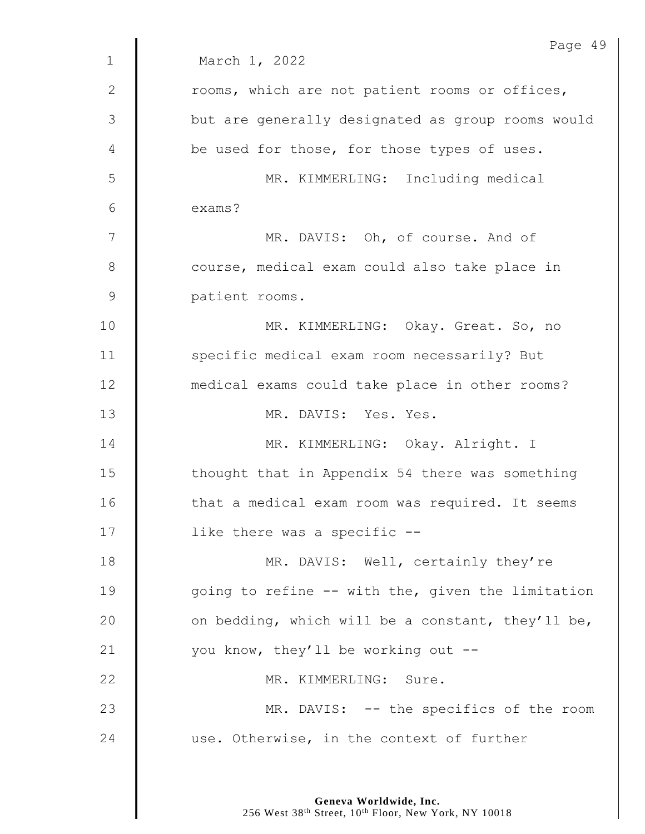|              | Page 49                                           |
|--------------|---------------------------------------------------|
| $\mathbf{1}$ | March 1, 2022                                     |
| $\mathbf{2}$ | rooms, which are not patient rooms or offices,    |
| 3            | but are generally designated as group rooms would |
| 4            | be used for those, for those types of uses.       |
| 5            | MR. KIMMERLING: Including medical                 |
| 6            | exams?                                            |
| 7            | MR. DAVIS: Oh, of course. And of                  |
| 8            | course, medical exam could also take place in     |
| $\mathsf 9$  | patient rooms.                                    |
| 10           | MR. KIMMERLING: Okay. Great. So, no               |
| 11           | specific medical exam room necessarily? But       |
| 12           | medical exams could take place in other rooms?    |
| 13           | MR. DAVIS: Yes. Yes.                              |
| 14           | MR. KIMMERLING: Okay. Alright. I                  |
| 15           | thought that in Appendix 54 there was something   |
| 16           | that a medical exam room was required. It seems   |
| 17           | like there was a specific --                      |
| 18           | MR. DAVIS: Well, certainly they're                |
| 19           | going to refine -- with the, given the limitation |
| 20           | on bedding, which will be a constant, they'll be, |
| 21           | you know, they'll be working out --               |
| 22           | MR. KIMMERLING: Sure.                             |
| 23           | MR. DAVIS: -- the specifics of the room           |
| 24           | use. Otherwise, in the context of further         |
|              |                                                   |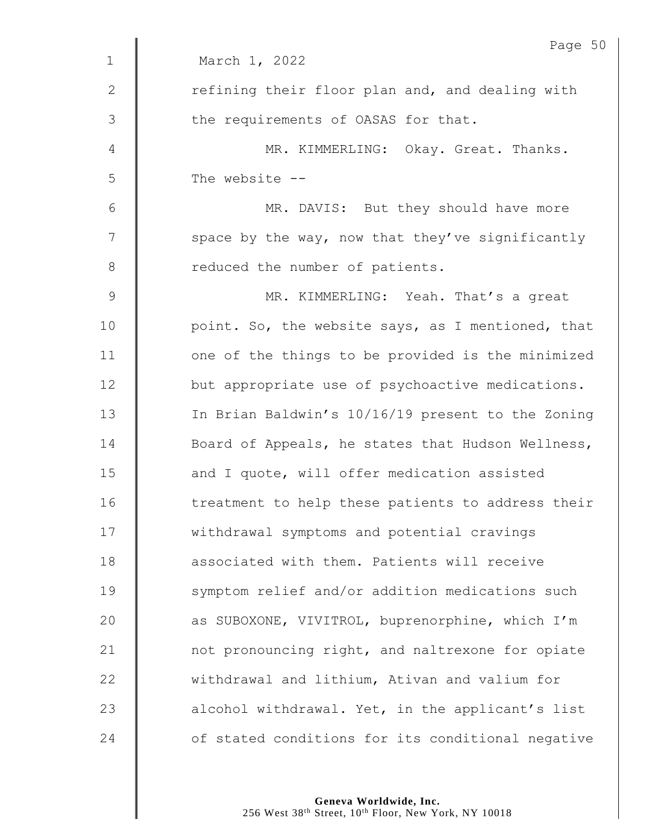|              | Page 50                                           |
|--------------|---------------------------------------------------|
| $\mathbf 1$  | March 1, 2022                                     |
| $\mathbf{2}$ | refining their floor plan and, and dealing with   |
| 3            | the requirements of OASAS for that.               |
| 4            | MR. KIMMERLING: Okay. Great. Thanks.              |
| 5            | The website --                                    |
| $\epsilon$   | MR. DAVIS: But they should have more              |
| 7            | space by the way, now that they've significantly  |
| $8\,$        | reduced the number of patients.                   |
| $\mathsf 9$  | MR. KIMMERLING: Yeah. That's a great              |
| 10           | point. So, the website says, as I mentioned, that |
| 11           | one of the things to be provided is the minimized |
| 12           | but appropriate use of psychoactive medications.  |
| 13           | In Brian Baldwin's 10/16/19 present to the Zoning |
| 14           | Board of Appeals, he states that Hudson Wellness, |
| 15           | and I quote, will offer medication assisted       |
| 16           | treatment to help these patients to address their |
| 17           | withdrawal symptoms and potential cravings        |
| 18           | associated with them. Patients will receive       |
| 19           | symptom relief and/or addition medications such   |
| 20           | as SUBOXONE, VIVITROL, buprenorphine, which I'm   |
| 21           | not pronouncing right, and naltrexone for opiate  |
| 22           | withdrawal and lithium, Ativan and valium for     |
| 23           | alcohol withdrawal. Yet, in the applicant's list  |
| 24           | of stated conditions for its conditional negative |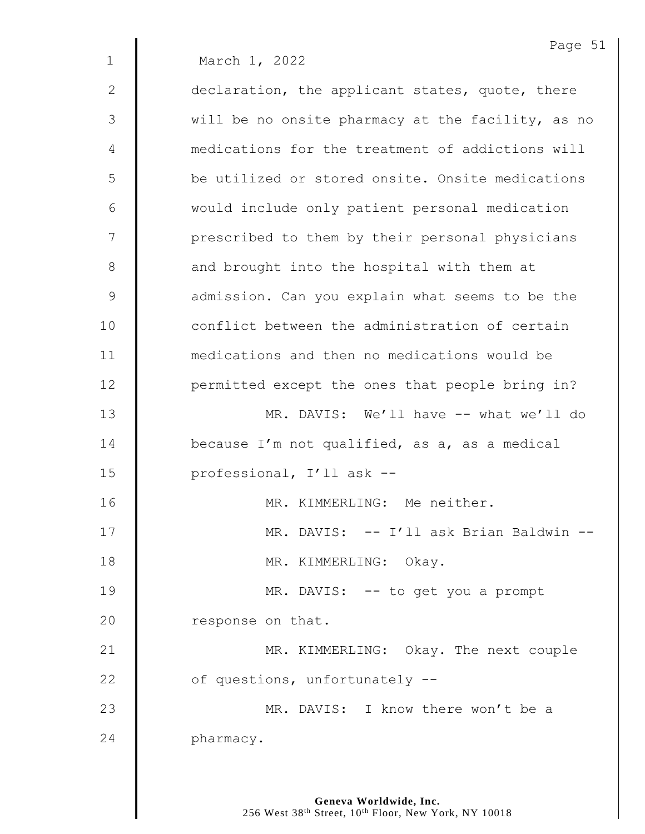|              | Page 51                                           |
|--------------|---------------------------------------------------|
| $\mathbf{1}$ | March 1, 2022                                     |
| $\mathbf{2}$ | declaration, the applicant states, quote, there   |
| 3            | will be no onsite pharmacy at the facility, as no |
| 4            | medications for the treatment of addictions will  |
| 5            | be utilized or stored onsite. Onsite medications  |
| 6            | would include only patient personal medication    |
| 7            | prescribed to them by their personal physicians   |
| 8            | and brought into the hospital with them at        |
| 9            | admission. Can you explain what seems to be the   |
| 10           | conflict between the administration of certain    |
| 11           | medications and then no medications would be      |
| 12           | permitted except the ones that people bring in?   |
| 13           | MR. DAVIS: We'll have -- what we'll do            |
| 14           | because I'm not qualified, as a, as a medical     |
| 15           | professional, I'll ask --                         |
| 16           | MR. KIMMERLING: Me neither.                       |
| 17           | MR. DAVIS: -- I'll ask Brian Baldwin --           |
| 18           | MR. KIMMERLING: Okay.                             |
| 19           | MR. DAVIS: -- to get you a prompt                 |
| 20           | response on that.                                 |
| 21           | MR. KIMMERLING: Okay. The next couple             |
| 22           | of questions, unfortunately --                    |
| 23           | MR. DAVIS: I know there won't be a                |
| 24           | pharmacy.                                         |
|              |                                                   |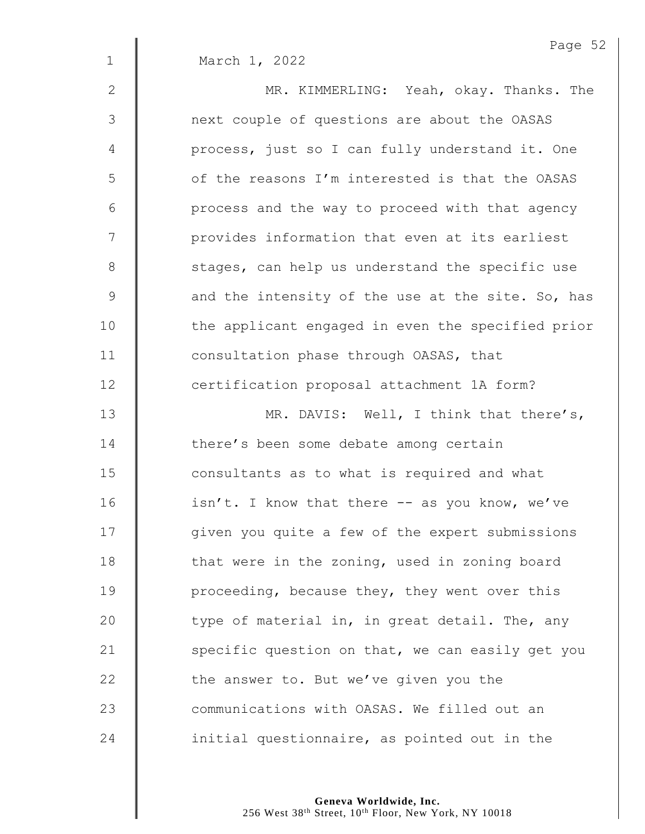|               | Page 52                                             |
|---------------|-----------------------------------------------------|
| $\mathbf 1$   | March 1, 2022                                       |
| $\mathbf{2}$  | MR. KIMMERLING: Yeah, okay. Thanks. The             |
| $\mathcal{S}$ | next couple of questions are about the OASAS        |
| 4             | process, just so I can fully understand it. One     |
| 5             | of the reasons I'm interested is that the OASAS     |
| 6             | process and the way to proceed with that agency     |
| 7             | provides information that even at its earliest      |
| $8\,$         | stages, can help us understand the specific use     |
| $\mathsf 9$   | and the intensity of the use at the site. So, has   |
| 10            | the applicant engaged in even the specified prior   |
| 11            | consultation phase through OASAS, that              |
| 12            | certification proposal attachment 1A form?          |
| 13            | MR. DAVIS: Well, I think that there's,              |
| 14            | there's been some debate among certain              |
| 15            | consultants as to what is required and what         |
| 16            | $isn't$ . I know that there $--$ as you know, we've |
| 17            | given you quite a few of the expert submissions     |
| 18            | that were in the zoning, used in zoning board       |
| 19            | proceeding, because they, they went over this       |
| 20            | type of material in, in great detail. The, any      |
| 21            | specific question on that, we can easily get you    |
| 22            | the answer to. But we've given you the              |
| 23            | communications with OASAS. We filled out an         |
| 24            | initial questionnaire, as pointed out in the        |

Page 52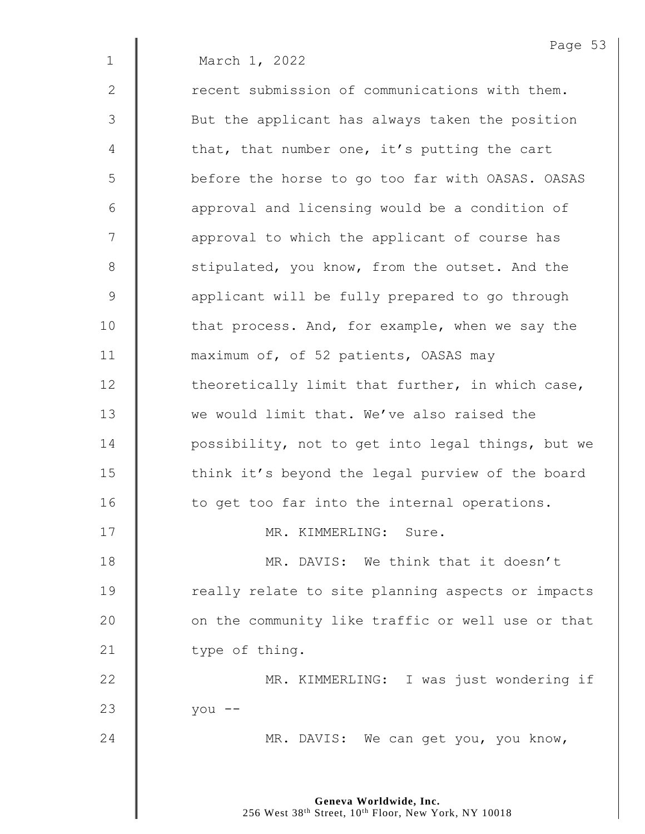1 March 1, 2022

2 **deg of the matuation** of communications with them. 3 || But the applicant has always taken the position 4  $\parallel$  that, that number one, it's putting the cart 5 | before the horse to go too far with OASAS. OASAS  $6$   $\parallel$  approval and licensing would be a condition of 7 | approval to which the applicant of course has 8 Solution 1 stipulated, you know, from the outset. And the 9 **applicant will be fully prepared to go through** 10 | that process. And, for example, when we say the 11 **maximum of, of 52 patients, OASAS may**  $12$   $\parallel$  theoretically limit that further, in which case, 13 we would limit that. We've also raised the 14 **| possibility, not to get into legal things, but we** 15 | think it's beyond the legal purview of the board  $16$   $\parallel$  to get too far into the internal operations. 17 || MR. KIMMERLING: Sure. 18 || MR. DAVIS: We think that it doesn't 19 | Treally relate to site planning aspects or impacts 20 | on the community like traffic or well use or that 21  $\parallel$  type of thing. 22 | MR. KIMMERLING: I was just wondering if

23 you --

24 MR. DAVIS: We can get you, you know,

**Geneva Worldwide, Inc.** 256 West 38<sup>th</sup> Street, 10<sup>th</sup> Floor, New York, NY 10018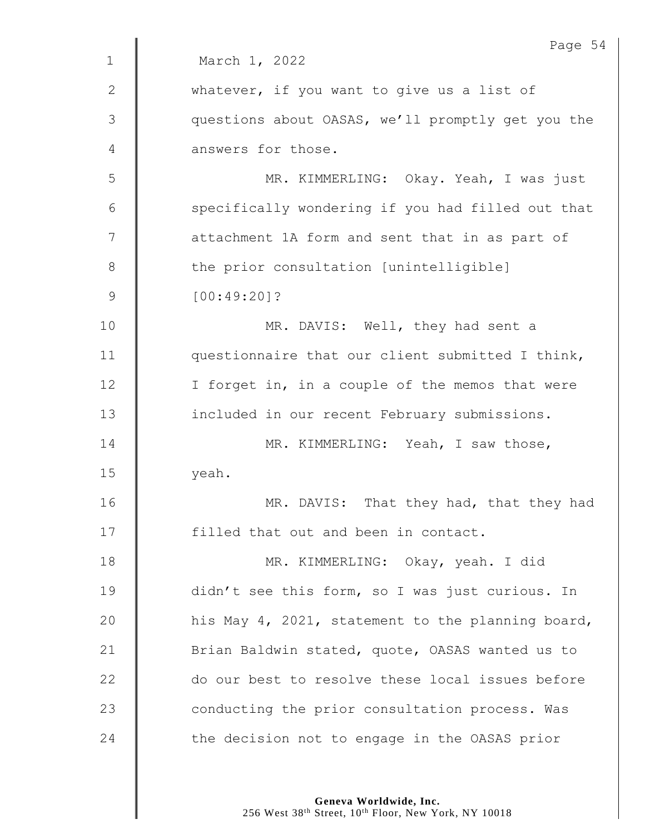|               | Page 54                                           |
|---------------|---------------------------------------------------|
| $\mathbf 1$   | March 1, 2022                                     |
| 2             | whatever, if you want to give us a list of        |
| $\mathcal{S}$ | questions about OASAS, we'll promptly get you the |
| 4             | answers for those.                                |
| 5             | MR. KIMMERLING: Okay. Yeah, I was just            |
| 6             | specifically wondering if you had filled out that |
| 7             | attachment 1A form and sent that in as part of    |
| 8             | the prior consultation [unintelligible]           |
| $\mathsf 9$   | $[00:49:20]$ ?                                    |
| 10            | MR. DAVIS: Well, they had sent a                  |
| 11            | questionnaire that our client submitted I think,  |
| 12            | I forget in, in a couple of the memos that were   |
| 13            | included in our recent February submissions.      |
| 14            | MR. KIMMERLING: Yeah, I saw those,                |
| 15            | yeah.                                             |
| 16            | MR. DAVIS: That they had, that they had           |
| 17            | filled that out and been in contact.              |
| 18            | MR. KIMMERLING: Okay, yeah. I did                 |
| 19            | didn't see this form, so I was just curious. In   |
| 20            | his May 4, 2021, statement to the planning board, |
| 21            | Brian Baldwin stated, quote, OASAS wanted us to   |
| 22            | do our best to resolve these local issues before  |
| 23            | conducting the prior consultation process. Was    |
| 24            | the decision not to engage in the OASAS prior     |
|               |                                                   |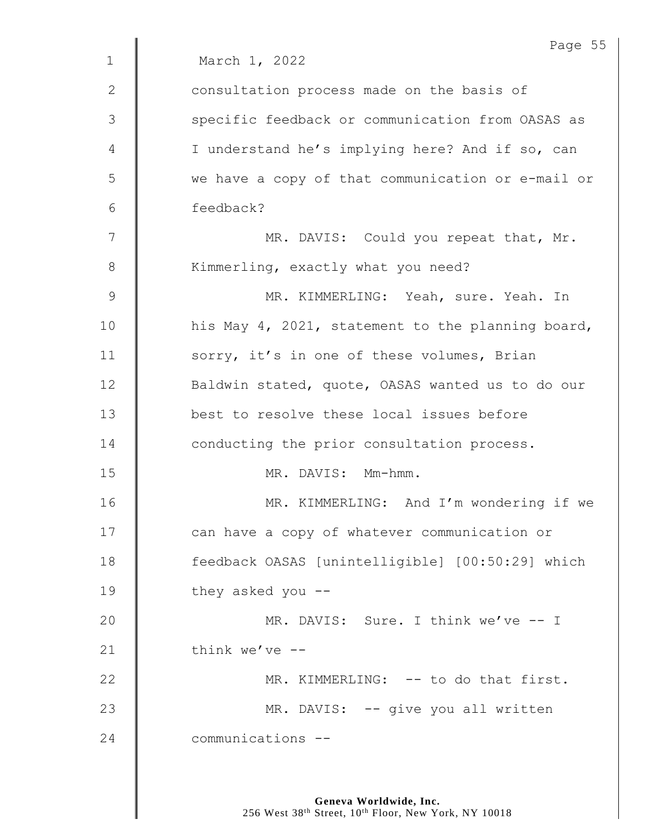|               | Page 55                                           |
|---------------|---------------------------------------------------|
| $\mathbf{1}$  | March 1, 2022                                     |
| 2             | consultation process made on the basis of         |
| 3             | specific feedback or communication from OASAS as  |
| 4             | I understand he's implying here? And if so, can   |
| 5             | we have a copy of that communication or e-mail or |
| 6             | feedback?                                         |
| 7             | MR. DAVIS: Could you repeat that, Mr.             |
| 8             | Kimmerling, exactly what you need?                |
| $\mathcal{G}$ | MR. KIMMERLING: Yeah, sure. Yeah. In              |
| 10            | his May 4, 2021, statement to the planning board, |
| 11            | sorry, it's in one of these volumes, Brian        |
| 12            | Baldwin stated, quote, OASAS wanted us to do our  |
| 13            | best to resolve these local issues before         |
| 14            | conducting the prior consultation process.        |
| 15            | MR. DAVIS: Mm-hmm.                                |
| 16            | MR. KIMMERLING: And I'm wondering if we           |
| 17            | can have a copy of whatever communication or      |
| 18            | feedback OASAS [unintelligible] [00:50:29] which  |
| 19            | they asked you --                                 |
| 20            | MR. DAVIS: Sure. I think we've -- I               |
| 21            | think we've $-$                                   |
| 22            | MR. KIMMERLING: -- to do that first.              |
| 23            | MR. DAVIS: -- give you all written                |
| 24            | communications --                                 |
|               |                                                   |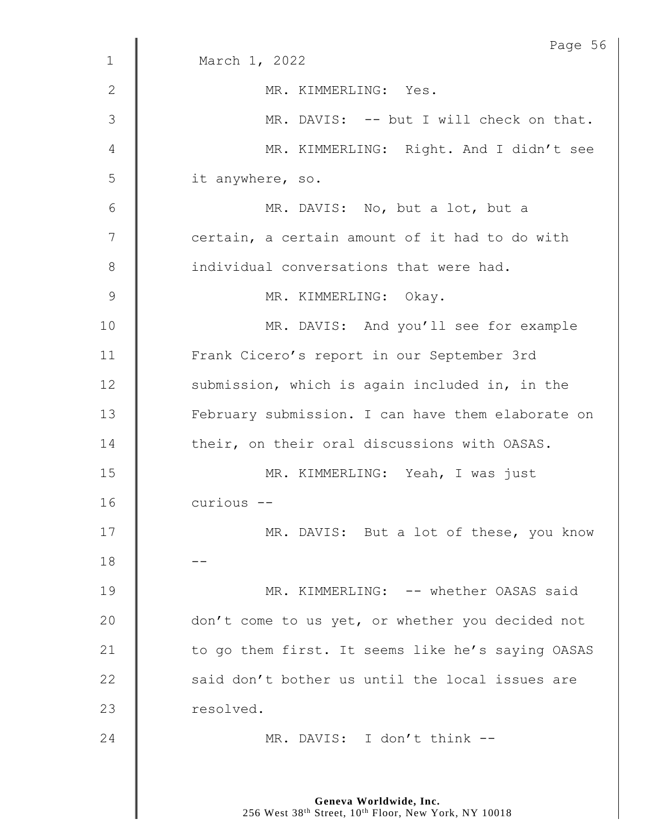|             | Page 56                                           |
|-------------|---------------------------------------------------|
| $\mathbf 1$ | March 1, 2022                                     |
| 2           | MR. KIMMERLING: Yes.                              |
| 3           | MR. DAVIS: -- but I will check on that.           |
| 4           | MR. KIMMERLING: Right. And I didn't see           |
| 5           | it anywhere, so.                                  |
| 6           | MR. DAVIS: No, but a lot, but a                   |
| 7           | certain, a certain amount of it had to do with    |
| 8           | individual conversations that were had.           |
| 9           | MR. KIMMERLING: Okay.                             |
| 10          | MR. DAVIS: And you'll see for example             |
| 11          | Frank Cicero's report in our September 3rd        |
| 12          | submission, which is again included in, in the    |
| 13          | February submission. I can have them elaborate on |
| 14          | their, on their oral discussions with OASAS.      |
| 15          | MR. KIMMERLING: Yeah, I was just                  |
| 16          | curious --                                        |
| 17          | MR. DAVIS: But a lot of these, you know           |
| 18          |                                                   |
| 19          | MR. KIMMERLING: -- whether OASAS said             |
| 20          | don't come to us yet, or whether you decided not  |
| 21          | to go them first. It seems like he's saying OASAS |
| 22          | said don't bother us until the local issues are   |
| 23          | resolved.                                         |
| 24          | MR. DAVIS: I don't think --                       |
|             |                                                   |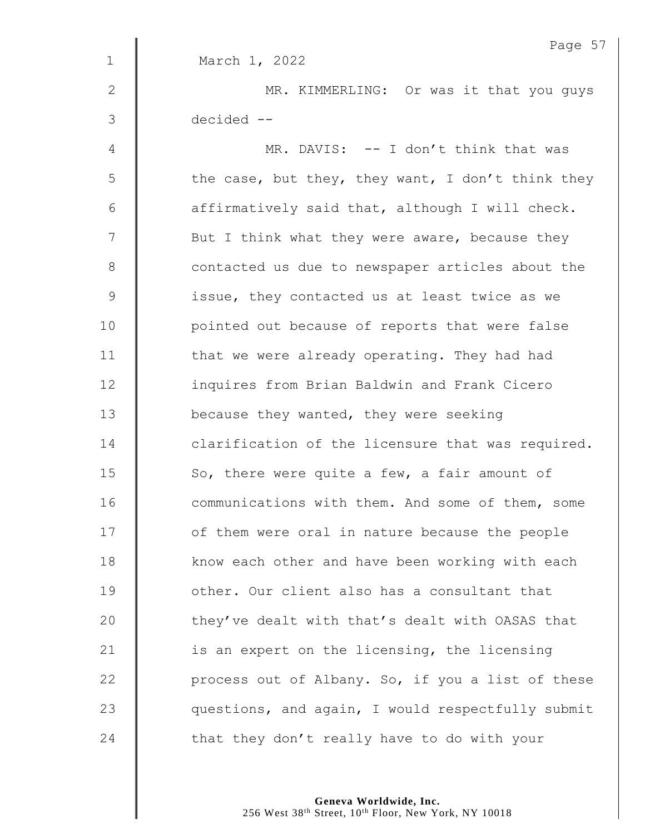|                | Page 5                                            |
|----------------|---------------------------------------------------|
| $\mathbf 1$    | March 1, 2022                                     |
| $\mathbf{2}$   | MR. KIMMERLING: Or was it that you guys           |
| 3              | decided --                                        |
| 4              | MR. DAVIS: -- I don't think that was              |
| 5              | the case, but they, they want, I don't think they |
| $6\,$          | affirmatively said that, although I will check.   |
| $\overline{7}$ | But I think what they were aware, because they    |
| $\,8\,$        | contacted us due to newspaper articles about the  |
| $\mathcal{G}$  | issue, they contacted us at least twice as we     |
| 10             | pointed out because of reports that were false    |
| 11             | that we were already operating. They had had      |
| 12             | inquires from Brian Baldwin and Frank Cicero      |
| 13             | because they wanted, they were seeking            |
| 14             | clarification of the licensure that was required. |
| 15             | So, there were quite a few, a fair amount of      |
| 16             | communications with them. And some of them, some  |
| 17             | of them were oral in nature because the people    |
| 18             | know each other and have been working with each   |
| 19             | other. Our client also has a consultant that      |
| 20             | they've dealt with that's dealt with OASAS that   |
| 21             | is an expert on the licensing, the licensing      |
| 22             | process out of Albany. So, if you a list of these |
| 23             | questions, and again, I would respectfully submit |
| 24             | that they don't really have to do with your       |

Page 57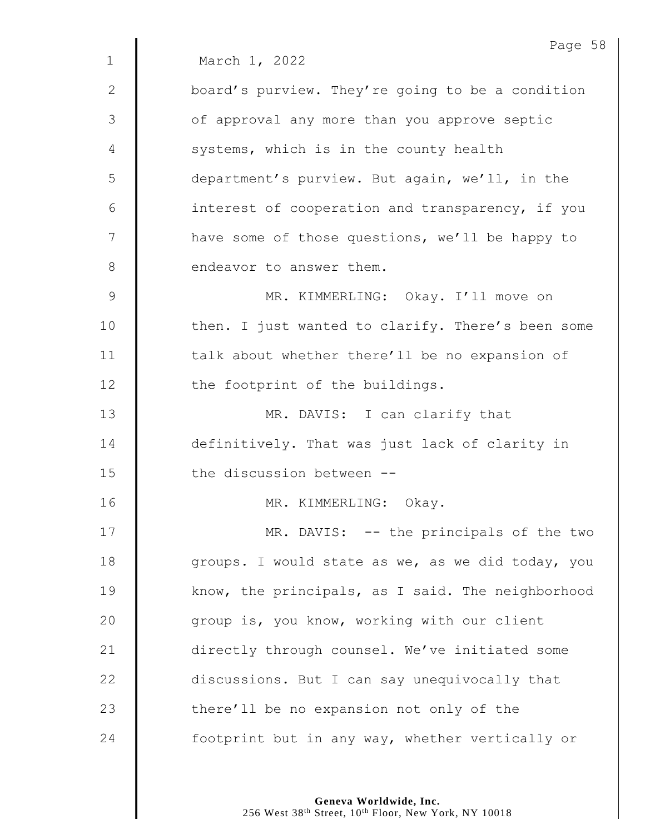|             | Page 58                                           |
|-------------|---------------------------------------------------|
| $\mathbf 1$ | March 1, 2022                                     |
| 2           | board's purview. They're going to be a condition  |
| 3           | of approval any more than you approve septic      |
| 4           | systems, which is in the county health            |
| 5           | department's purview. But again, we'll, in the    |
| 6           | interest of cooperation and transparency, if you  |
| 7           | have some of those questions, we'll be happy to   |
| $8\,$       | endeavor to answer them.                          |
| 9           | MR. KIMMERLING: Okay. I'll move on                |
| 10          | then. I just wanted to clarify. There's been some |
| 11          | talk about whether there'll be no expansion of    |
| 12          | the footprint of the buildings.                   |
| 13          | MR. DAVIS: I can clarify that                     |
| 14          | definitively. That was just lack of clarity in    |
| 15          | the discussion between --                         |
| 16          | Okay.<br>MR. KIMMERLING:                          |
| 17          | MR. DAVIS: -- the principals of the two           |
| 18          | groups. I would state as we, as we did today, you |
| 19          | know, the principals, as I said. The neighborhood |
| 20          | group is, you know, working with our client       |
| 21          | directly through counsel. We've initiated some    |
| 22          | discussions. But I can say unequivocally that     |
| 23          | there'll be no expansion not only of the          |
| 24          | footprint but in any way, whether vertically or   |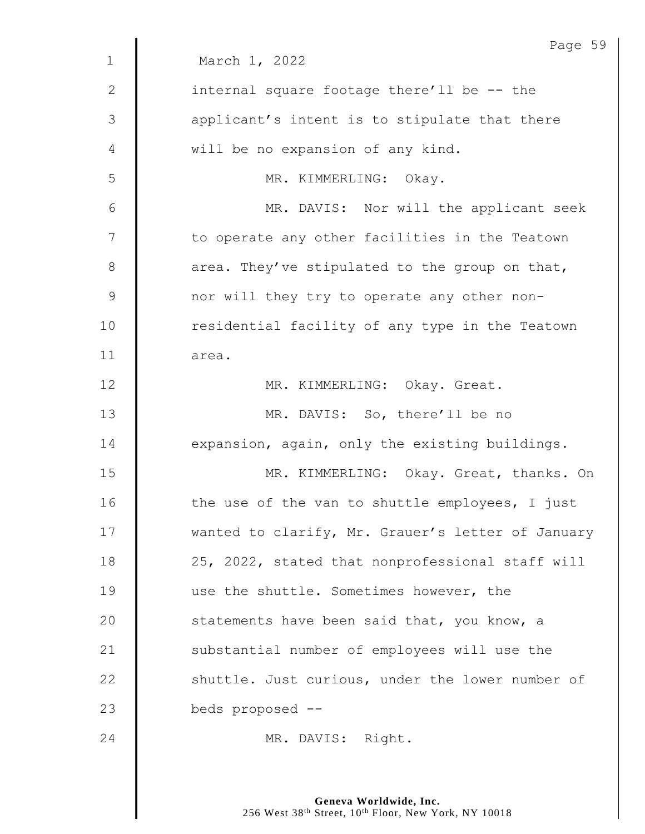|             | Page 59                                           |
|-------------|---------------------------------------------------|
| $\mathbf 1$ | March 1, 2022                                     |
| 2           | internal square footage there'll be -- the        |
| 3           | applicant's intent is to stipulate that there     |
| 4           | will be no expansion of any kind.                 |
| 5           | MR. KIMMERLING: Okay.                             |
| 6           | MR. DAVIS: Nor will the applicant seek            |
| 7           | to operate any other facilities in the Teatown    |
| $8\,$       | area. They've stipulated to the group on that,    |
| $\mathsf 9$ | nor will they try to operate any other non-       |
| 10          | residential facility of any type in the Teatown   |
| 11          | area.                                             |
| 12          | MR. KIMMERLING: Okay. Great.                      |
| 13          | MR. DAVIS: So, there'll be no                     |
| 14          | expansion, again, only the existing buildings.    |
| 15          | MR. KIMMERLING: Okay. Great, thanks. On           |
| 16          | the use of the van to shuttle employees, I just   |
| 17          | wanted to clarify, Mr. Grauer's letter of January |
| 18          | 25, 2022, stated that nonprofessional staff will  |
| 19          | use the shuttle. Sometimes however, the           |
| 20          | statements have been said that, you know, a       |
| 21          | substantial number of employees will use the      |
| 22          | shuttle. Just curious, under the lower number of  |
| 23          | beds proposed --                                  |
| 24          | MR. DAVIS: Right.                                 |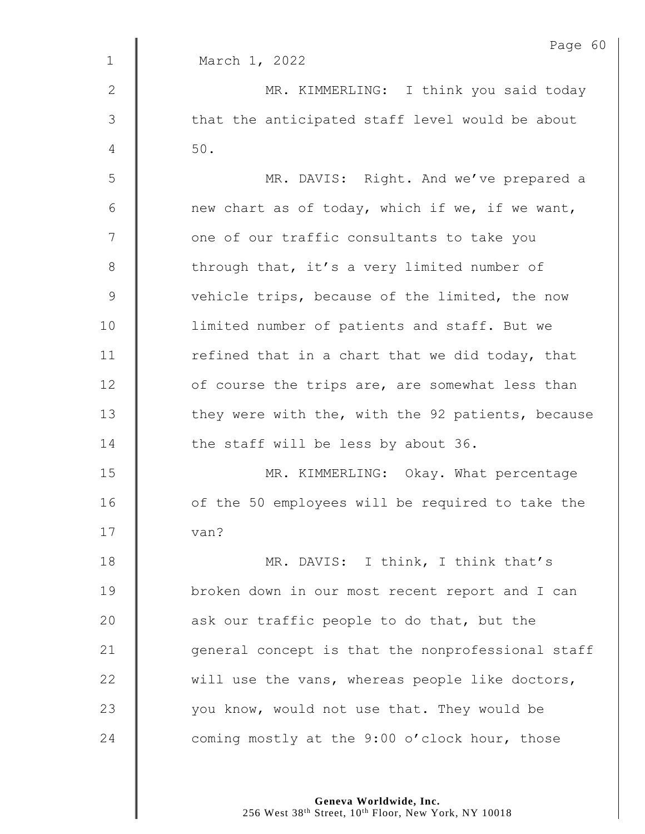|              | Page 60                                           |
|--------------|---------------------------------------------------|
| $\mathbf 1$  | March 1, 2022                                     |
| $\mathbf{2}$ | MR. KIMMERLING: I think you said today            |
| 3            | that the anticipated staff level would be about   |
| 4            | $50.$                                             |
| 5            | MR. DAVIS: Right. And we've prepared a            |
| 6            | new chart as of today, which if we, if we want,   |
| 7            | one of our traffic consultants to take you        |
| $\,8\,$      | through that, it's a very limited number of       |
| $\mathsf 9$  | vehicle trips, because of the limited, the now    |
| 10           | limited number of patients and staff. But we      |
| 11           | refined that in a chart that we did today, that   |
| 12           | of course the trips are, are somewhat less than   |
| 13           | they were with the, with the 92 patients, because |
| 14           | the staff will be less by about 36.               |
| 15           | MR. KIMMERLING: Okay. What percentage             |
| 16           | of the 50 employees will be required to take the  |
| 17           | van?                                              |
| 18           | MR. DAVIS: I think, I think that's                |
| 19           | broken down in our most recent report and I can   |
| 20           | ask our traffic people to do that, but the        |
| 21           | general concept is that the nonprofessional staff |
| 22           | will use the vans, whereas people like doctors,   |
| 23           | you know, would not use that. They would be       |
| 24           | coming mostly at the 9:00 o'clock hour, those     |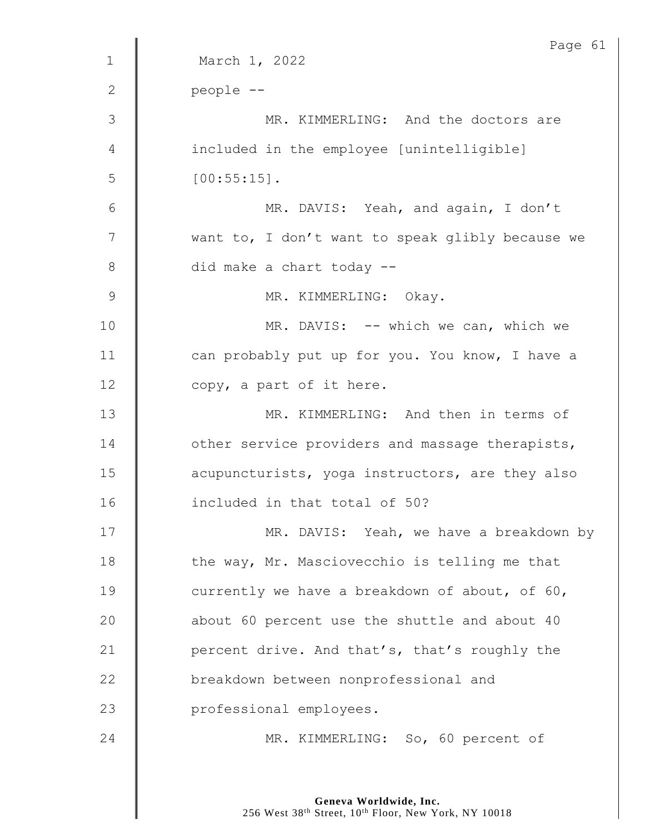|              | Page 61                                          |
|--------------|--------------------------------------------------|
| $\mathbf{1}$ | March 1, 2022                                    |
| $\mathbf{2}$ | people --                                        |
| 3            | MR. KIMMERLING: And the doctors are              |
| 4            | included in the employee [unintelligible]        |
| 5            | $[00:55:15]$ .                                   |
| 6            | MR. DAVIS: Yeah, and again, I don't              |
| 7            | want to, I don't want to speak glibly because we |
| $8\,$        | did make a chart today --                        |
| 9            | MR. KIMMERLING: Okay.                            |
| 10           | MR. DAVIS: -- which we can, which we             |
| 11           | can probably put up for you. You know, I have a  |
| 12           | copy, a part of it here.                         |
| 13           | MR. KIMMERLING: And then in terms of             |
| 14           | other service providers and massage therapists,  |
| 15           | acupuncturists, yoga instructors, are they also  |
| 16           | included in that total of 50?                    |
| 17           | MR. DAVIS: Yeah, we have a breakdown by          |
| 18           | the way, Mr. Masciovecchio is telling me that    |
| 19           | currently we have a breakdown of about, of 60,   |
| 20           | about 60 percent use the shuttle and about 40    |
| 21           | percent drive. And that's, that's roughly the    |
| 22           | breakdown between nonprofessional and            |
| 23           | professional employees.                          |
| 24           | MR. KIMMERLING: So, 60 percent of                |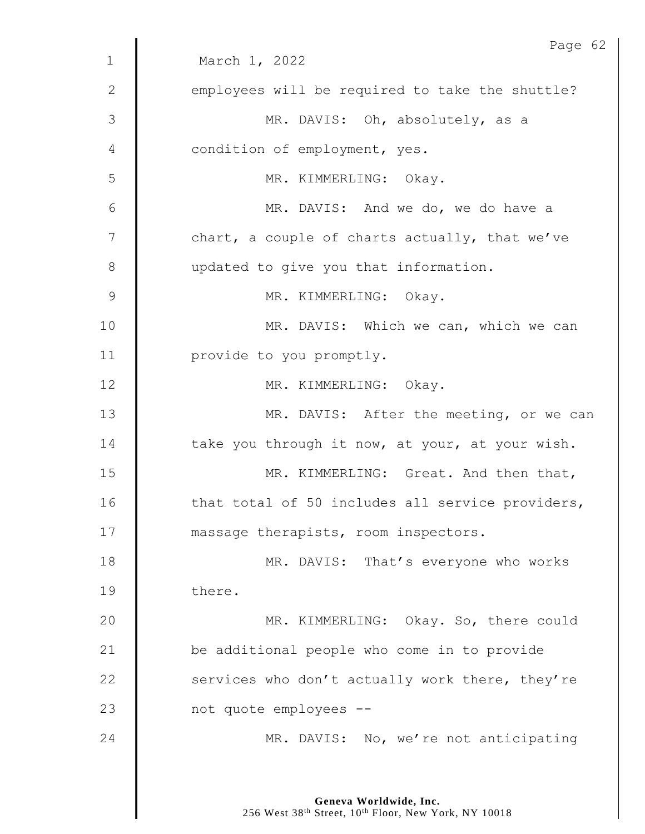|              | Page 62                                          |
|--------------|--------------------------------------------------|
| $\mathbf{1}$ | March 1, 2022                                    |
| $\mathbf{2}$ | employees will be required to take the shuttle?  |
| 3            | MR. DAVIS: Oh, absolutely, as a                  |
| 4            | condition of employment, yes.                    |
| 5            | MR. KIMMERLING: Okay.                            |
| 6            | MR. DAVIS: And we do, we do have a               |
| 7            | chart, a couple of charts actually, that we've   |
| 8            | updated to give you that information.            |
| 9            | MR. KIMMERLING: Okay.                            |
| 10           | MR. DAVIS: Which we can, which we can            |
| 11           | provide to you promptly.                         |
| 12           | MR. KIMMERLING: Okay.                            |
| 13           | MR. DAVIS: After the meeting, or we can          |
| 14           | take you through it now, at your, at your wish.  |
| 15           | MR. KIMMERLING: Great. And then that,            |
| 16           | that total of 50 includes all service providers, |
| 17           | massage therapists, room inspectors.             |
| 18           | MR. DAVIS: That's everyone who works             |
| 19           | there.                                           |
| 20           | MR. KIMMERLING: Okay. So, there could            |
| 21           | be additional people who come in to provide      |
| 22           | services who don't actually work there, they're  |
| 23           | not quote employees --                           |
| 24           | MR. DAVIS: No, we're not anticipating            |
|              |                                                  |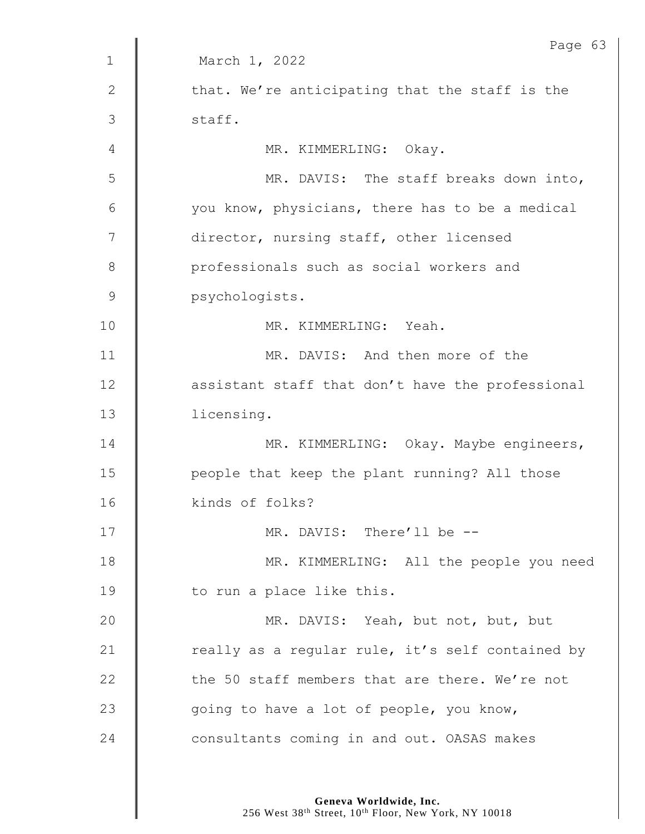|                | Page 63                                          |
|----------------|--------------------------------------------------|
| $\mathbf 1$    | March 1, 2022                                    |
| $\mathbf{2}$   | that. We're anticipating that the staff is the   |
| $\mathfrak{Z}$ | staff.                                           |
| 4              | MR. KIMMERLING: Okay.                            |
| 5              | MR. DAVIS: The staff breaks down into,           |
| 6              | you know, physicians, there has to be a medical  |
| 7              | director, nursing staff, other licensed          |
| 8              | professionals such as social workers and         |
| $\mathsf 9$    | psychologists.                                   |
| 10             | MR. KIMMERLING: Yeah.                            |
| 11             | MR. DAVIS: And then more of the                  |
| 12             | assistant staff that don't have the professional |
| 13             | licensing.                                       |
| 14             | MR. KIMMERLING: Okay. Maybe engineers,           |
| 15             | people that keep the plant running? All those    |
| 16             | kinds of folks?                                  |
| 17             | MR. DAVIS: There'll be --                        |
| 18             | MR. KIMMERLING: All the people you need          |
| 19             | to run a place like this.                        |
| 20             | MR. DAVIS: Yeah, but not, but, but               |
| 21             | really as a regular rule, it's self contained by |
| 22             | the 50 staff members that are there. We're not   |
| 23             | going to have a lot of people, you know,         |
| 24             | consultants coming in and out. OASAS makes       |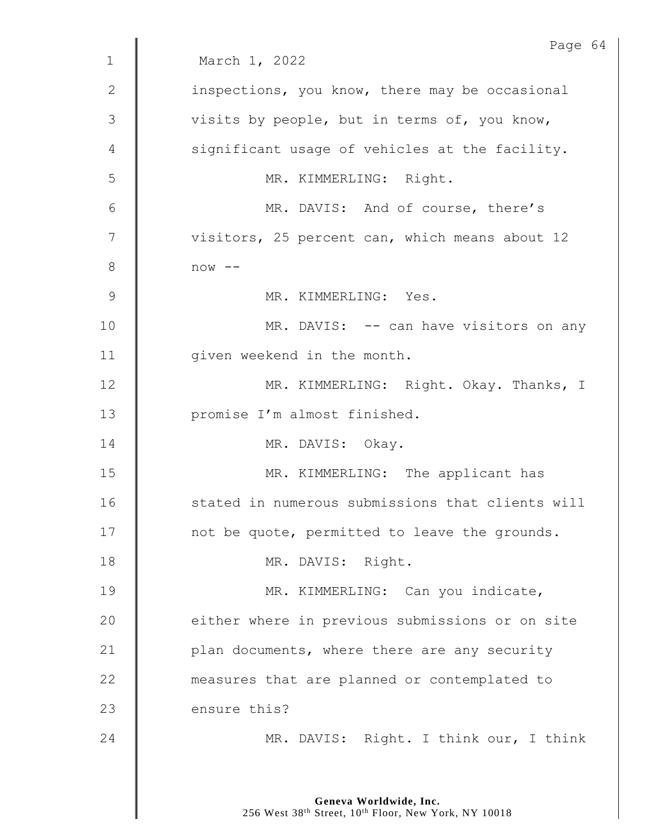|                | Page 64                                          |
|----------------|--------------------------------------------------|
| $\mathbf 1$    | March 1, 2022                                    |
| 2              | inspections, you know, there may be occasional   |
| $\mathfrak{Z}$ | visits by people, but in terms of, you know,     |
| 4              | significant usage of vehicles at the facility.   |
| 5              | MR. KIMMERLING: Right.                           |
| 6              | MR. DAVIS: And of course, there's                |
| 7              | visitors, 25 percent can, which means about 12   |
| $8\,$          | $now --$                                         |
| $\mathsf 9$    | MR. KIMMERLING: Yes.                             |
| 10             | MR. DAVIS: -- can have visitors on any           |
| 11             | given weekend in the month.                      |
| 12             | MR. KIMMERLING: Right. Okay. Thanks, I           |
| 13             | promise I'm almost finished.                     |
| 14             | MR. DAVIS: Okay.                                 |
| 15             | MR. KIMMERLING: The applicant has                |
| 16             | stated in numerous submissions that clients will |
| 17             | not be quote, permitted to leave the grounds.    |
| 18             | MR. DAVIS: Right.                                |
| 19             | MR. KIMMERLING: Can you indicate,                |
| 20             | either where in previous submissions or on site  |
| 21             | plan documents, where there are any security     |
| 22             | measures that are planned or contemplated to     |
| 23             | ensure this?                                     |
| 24             | MR. DAVIS: Right. I think our, I think           |
|                |                                                  |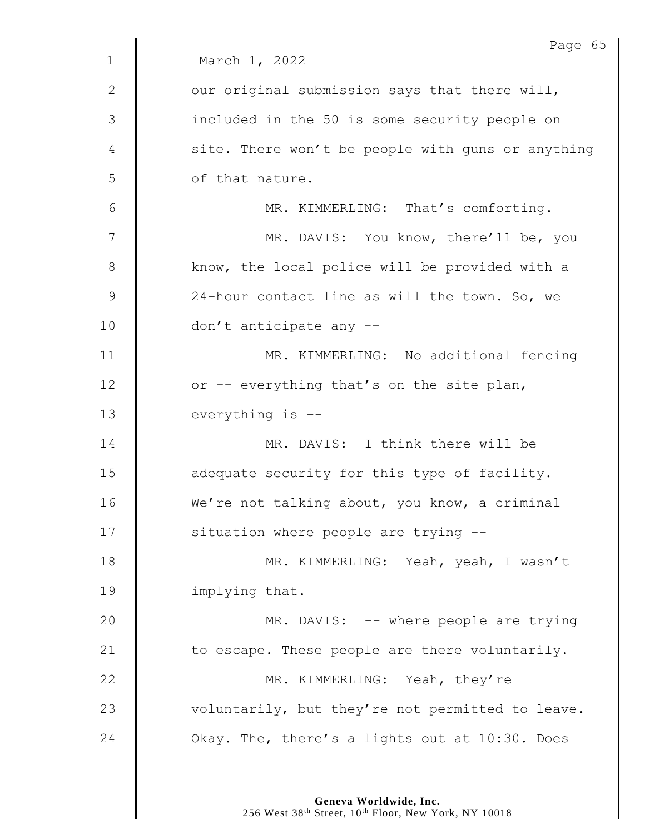|                | Page 65                                           |
|----------------|---------------------------------------------------|
| $\mathbf{1}$   | March 1, 2022                                     |
| 2              | our original submission says that there will,     |
| $\mathfrak{Z}$ | included in the 50 is some security people on     |
| 4              | site. There won't be people with guns or anything |
| 5              | of that nature.                                   |
| 6              | MR. KIMMERLING: That's comforting.                |
| 7              | MR. DAVIS: You know, there'll be, you             |
| 8              | know, the local police will be provided with a    |
| $\mathsf 9$    | 24-hour contact line as will the town. So, we     |
| 10             | don't anticipate any --                           |
| 11             | MR. KIMMERLING: No additional fencing             |
| 12             | or -- everything that's on the site plan,         |
| 13             | everything is --                                  |
| 14             | MR. DAVIS: I think there will be                  |
| 15             | adequate security for this type of facility.      |
| 16             | We're not talking about, you know, a criminal     |
| 17             | situation where people are trying --              |
| 18             | MR. KIMMERLING: Yeah, yeah, I wasn't              |
| 19             | implying that.                                    |
| 20             | MR. DAVIS: -- where people are trying             |
| 21             | to escape. These people are there voluntarily.    |
| 22             | MR. KIMMERLING: Yeah, they're                     |
| 23             | voluntarily, but they're not permitted to leave.  |
| 24             | Okay. The, there's a lights out at 10:30. Does    |
|                |                                                   |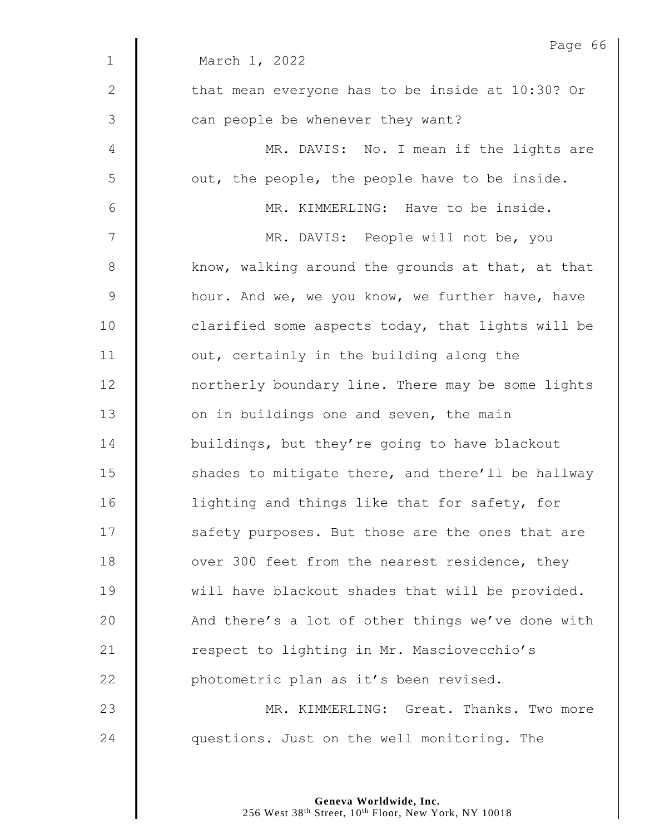|              | Page 66                                           |
|--------------|---------------------------------------------------|
| $\mathbf{1}$ | March 1, 2022                                     |
| 2            | that mean everyone has to be inside at 10:30? Or  |
| 3            | can people be whenever they want?                 |
| 4            | MR. DAVIS: No. I mean if the lights are           |
| 5            | out, the people, the people have to be inside.    |
| 6            | MR. KIMMERLING: Have to be inside.                |
| 7            | MR. DAVIS: People will not be, you                |
| 8            | know, walking around the grounds at that, at that |
| $\mathsf 9$  | hour. And we, we you know, we further have, have  |
| 10           | clarified some aspects today, that lights will be |
| 11           | out, certainly in the building along the          |
| 12           | northerly boundary line. There may be some lights |
| 13           | on in buildings one and seven, the main           |
| 14           | buildings, but they're going to have blackout     |
| 15           | shades to mitigate there, and there'll be hallway |
| 16           | lighting and things like that for safety, for     |
| 17           | safety purposes. But those are the ones that are  |
| 18           | over 300 feet from the nearest residence, they    |
| 19           | will have blackout shades that will be provided.  |
| 20           | And there's a lot of other things we've done with |
| 21           | respect to lighting in Mr. Masciovecchio's        |
| 22           | photometric plan as it's been revised.            |
| 23           | MR. KIMMERLING: Great. Thanks. Two more           |
| 24           | questions. Just on the well monitoring. The       |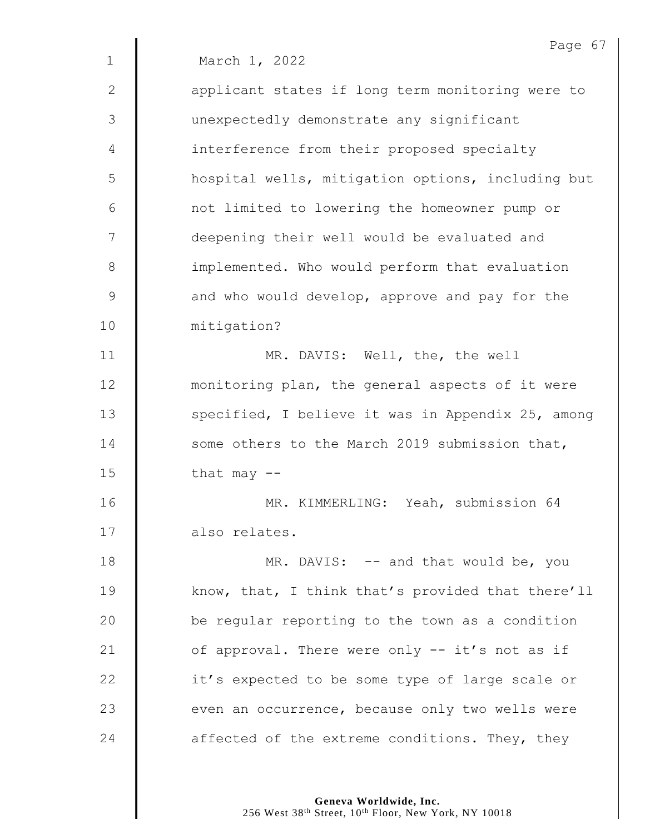|              | Page 67                                           |
|--------------|---------------------------------------------------|
| $\mathbf{1}$ | March 1, 2022                                     |
| $\mathbf{2}$ | applicant states if long term monitoring were to  |
| 3            | unexpectedly demonstrate any significant          |
| 4            | interference from their proposed specialty        |
| 5            | hospital wells, mitigation options, including but |
| 6            | not limited to lowering the homeowner pump or     |
| 7            | deepening their well would be evaluated and       |
| $8\,$        | implemented. Who would perform that evaluation    |
| 9            | and who would develop, approve and pay for the    |
| 10           | mitigation?                                       |
| 11           | MR. DAVIS: Well, the, the well                    |
| 12           | monitoring plan, the general aspects of it were   |
| 13           | specified, I believe it was in Appendix 25, among |
| 14           | some others to the March 2019 submission that,    |
| 15           | that may $--$                                     |
| 16           | MR. KIMMERLING: Yeah, submission 64               |
| 17           | also relates.                                     |
| 18           | MR. DAVIS: -- and that would be, you              |
| 19           | know, that, I think that's provided that there'll |
| 20           | be regular reporting to the town as a condition   |
| 21           | of approval. There were only -- it's not as if    |
| 22           | it's expected to be some type of large scale or   |
| 23           | even an occurrence, because only two wells were   |
| 24           | affected of the extreme conditions. They, they    |
|              |                                                   |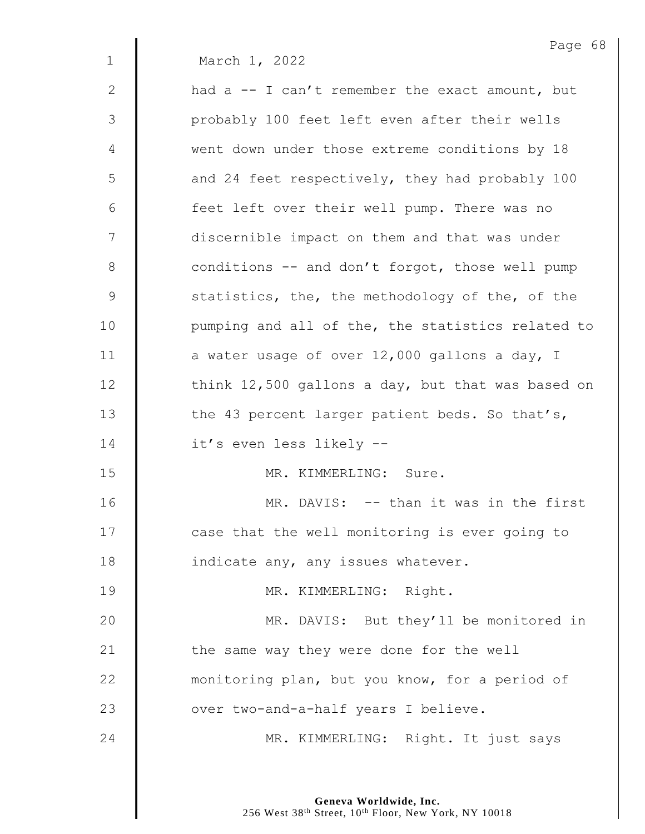Page 68 1 March 1, 2022 2 **h** had a -- I can't remember the exact amount, but 3 || probably 100 feet left even after their wells 4 went down under those extreme conditions by 18 5 | and 24 feet respectively, they had probably 100 6 | feet left over their well pump. There was no 7 | discernible impact on them and that was under 8 conditions -- and don't forgot, those well pump 9 Statistics, the, the methodology of the, of the 10 | pumping and all of the, the statistics related to 11  $\parallel$  a water usage of over 12,000 gallons a day, I 12 | think 12,500 gallons a day, but that was based on 13 The 43 percent larger patient beds. So that's, 14 **d** it's even less likely --15 | MR. KIMMERLING: Sure. 16 **Number 16** MR. DAVIS: -- than it was in the first 17 | case that the well monitoring is ever going to 18 **indicate any, any issues whatever.** 19 || MR. KIMMERLING: Right. 20 MR. DAVIS: But they'll be monitored in 21  $\parallel$  the same way they were done for the well 22 **wave incontant and the monumition** plan, but you know, for a period of 23 | over two-and-a-half years I believe. 24 | MR. KIMMERLING: Right. It just says

> **Geneva Worldwide, Inc.** 256 West 38<sup>th</sup> Street, 10<sup>th</sup> Floor, New York, NY 10018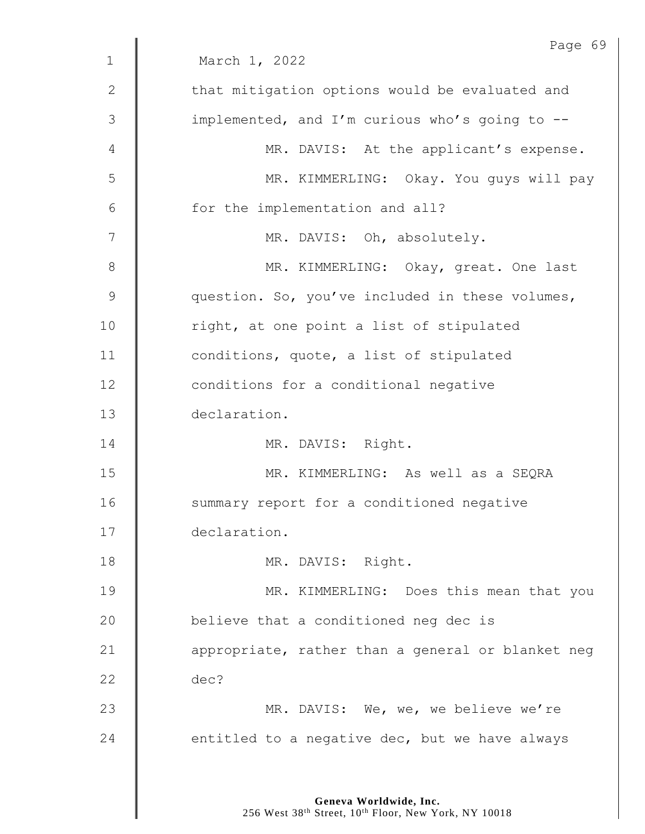|                | Page 69                                           |
|----------------|---------------------------------------------------|
| $\mathbf{1}$   | March 1, 2022                                     |
| $\mathbf{2}$   | that mitigation options would be evaluated and    |
| $\mathfrak{Z}$ | implemented, and I'm curious who's going to --    |
| 4              | MR. DAVIS: At the applicant's expense.            |
| 5              | MR. KIMMERLING: Okay. You guys will pay           |
| 6              | for the implementation and all?                   |
| 7              | MR. DAVIS: Oh, absolutely.                        |
| 8              | MR. KIMMERLING: Okay, great. One last             |
| $\mathsf 9$    | question. So, you've included in these volumes,   |
| 10             | right, at one point a list of stipulated          |
| 11             | conditions, quote, a list of stipulated           |
| 12             | conditions for a conditional negative             |
| 13             | declaration.                                      |
| 14             | MR. DAVIS: Right.                                 |
| 15             | MR. KIMMERLING: As well as a SEQRA                |
| 16             | summary report for a conditioned negative         |
| 17             | declaration.                                      |
| 18             | MR. DAVIS: Right.                                 |
| 19             | MR. KIMMERLING: Does this mean that you           |
| 20             | believe that a conditioned neg dec is             |
| 21             | appropriate, rather than a general or blanket neg |
| 22             | dec?                                              |
| 23             | MR. DAVIS: We, we, we believe we're               |
| 24             | entitled to a negative dec, but we have always    |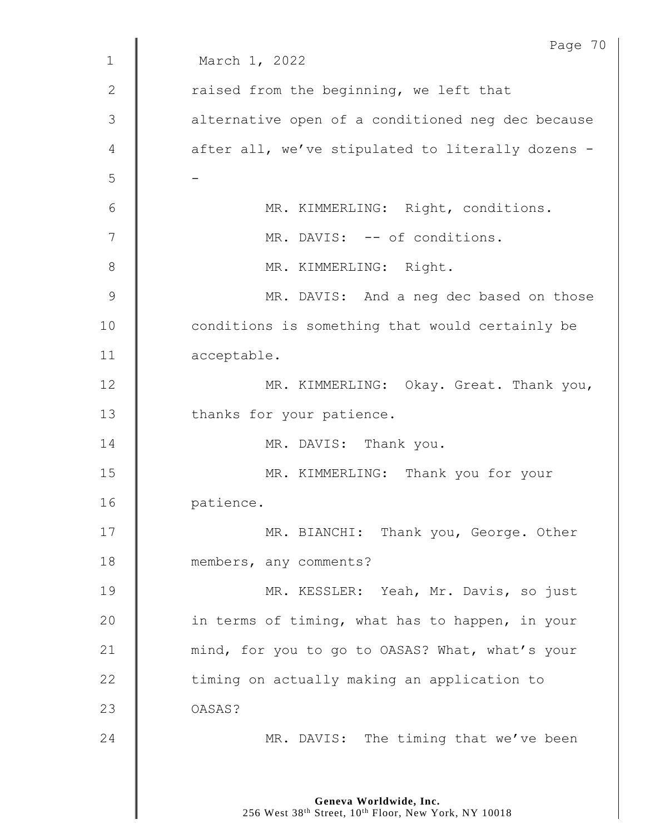|               | Page 70                                           |
|---------------|---------------------------------------------------|
| $\mathbf 1$   | March 1, 2022                                     |
| $\mathbf{2}$  | raised from the beginning, we left that           |
| 3             | alternative open of a conditioned neg dec because |
| 4             | after all, we've stipulated to literally dozens - |
| 5             |                                                   |
| 6             | MR. KIMMERLING: Right, conditions.                |
| 7             | MR. DAVIS: -- of conditions.                      |
| 8             | MR. KIMMERLING: Right.                            |
| $\mathcal{G}$ | MR. DAVIS: And a neg dec based on those           |
| 10            | conditions is something that would certainly be   |
| 11            | acceptable.                                       |
| 12            | MR. KIMMERLING: Okay. Great. Thank you,           |
| 13            | thanks for your patience.                         |
| 14            | MR. DAVIS: Thank you.                             |
| 15            | MR. KIMMERLING: Thank you for your                |
| 16            | patience.                                         |
| 17            | MR. BIANCHI: Thank you, George. Other             |
| 18            | members, any comments?                            |
| 19            | MR. KESSLER: Yeah, Mr. Davis, so just             |
| 20            | in terms of timing, what has to happen, in your   |
| 21            | mind, for you to go to OASAS? What, what's your   |
| 22            | timing on actually making an application to       |
| 23            | OASAS?                                            |
| 24            | MR. DAVIS: The timing that we've been             |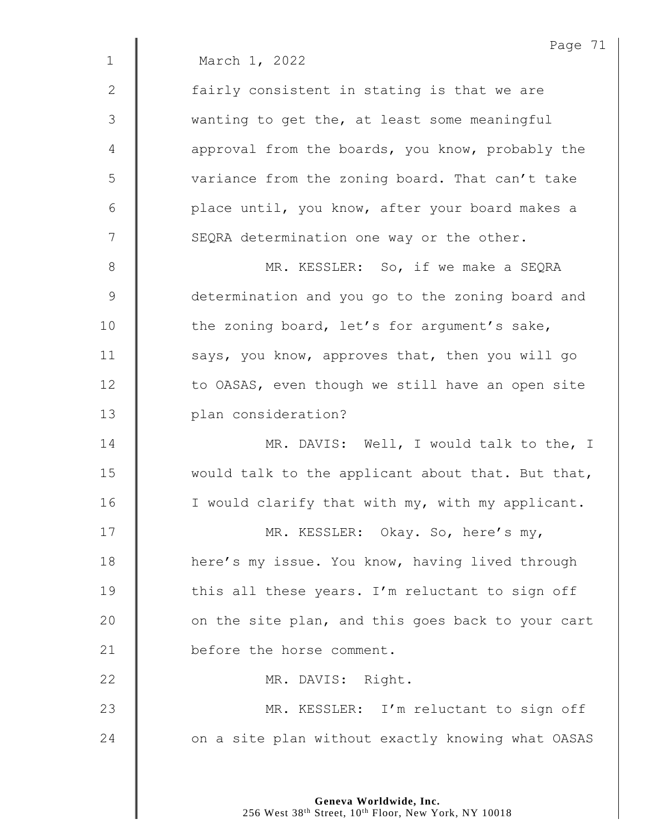|              | Page 71                                           |
|--------------|---------------------------------------------------|
| $\mathbf{1}$ | March 1, 2022                                     |
| 2            | fairly consistent in stating is that we are       |
| 3            | wanting to get the, at least some meaningful      |
| 4            | approval from the boards, you know, probably the  |
| 5            | variance from the zoning board. That can't take   |
| 6            | place until, you know, after your board makes a   |
| 7            | SEQRA determination one way or the other.         |
| 8            | MR. KESSLER: So, if we make a SEQRA               |
| $\mathsf 9$  | determination and you go to the zoning board and  |
| 10           | the zoning board, let's for argument's sake,      |
| 11           | says, you know, approves that, then you will go   |
| 12           | to OASAS, even though we still have an open site  |
| 13           | plan consideration?                               |
| 14           | MR. DAVIS: Well, I would talk to the, I           |
| 15           | would talk to the applicant about that. But that, |
| 16           | I would clarify that with my, with my applicant.  |
| 17           | MR. KESSLER: Okay. So, here's my,                 |
| 18           | here's my issue. You know, having lived through   |
| 19           | this all these years. I'm reluctant to sign off   |
| 20           | on the site plan, and this goes back to your cart |
| 21           | before the horse comment.                         |
| 22           | MR. DAVIS: Right.                                 |
| 23           | MR. KESSLER: I'm reluctant to sign off            |
| 24           | on a site plan without exactly knowing what OASAS |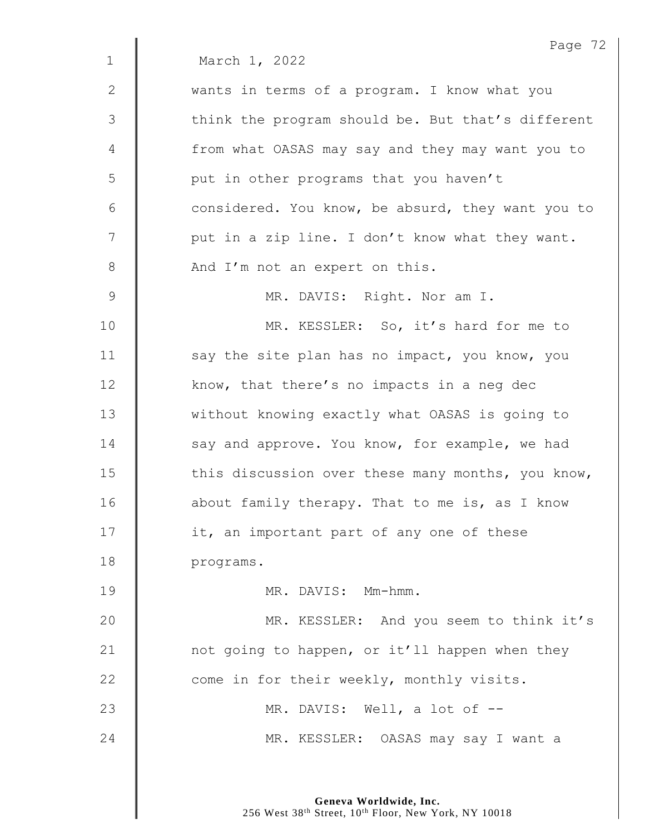|             | Page 72                                           |
|-------------|---------------------------------------------------|
| $\mathbf 1$ | March 1, 2022                                     |
| 2           | wants in terms of a program. I know what you      |
| 3           | think the program should be. But that's different |
| 4           | from what OASAS may say and they may want you to  |
| 5           | put in other programs that you haven't            |
| 6           | considered. You know, be absurd, they want you to |
| 7           | put in a zip line. I don't know what they want.   |
| 8           | And I'm not an expert on this.                    |
| 9           | MR. DAVIS: Right. Nor am I.                       |
| 10          | MR. KESSLER: So, it's hard for me to              |
| 11          | say the site plan has no impact, you know, you    |
| 12          | know, that there's no impacts in a neg dec        |
| 13          | without knowing exactly what OASAS is going to    |
| 14          | say and approve. You know, for example, we had    |
| 15          | this discussion over these many months, you know, |
| 16          | about family therapy. That to me is, as I know    |
| 17          | it, an important part of any one of these         |
| 18          | programs.                                         |
| 19          | MR. DAVIS: Mm-hmm.                                |
| 20          | MR. KESSLER: And you seem to think it's           |
| 21          | not going to happen, or it'll happen when they    |
| 22          | come in for their weekly, monthly visits.         |
| 23          | MR. DAVIS: Well, a lot of --                      |
| 24          | MR. KESSLER: OASAS may say I want a               |
|             |                                                   |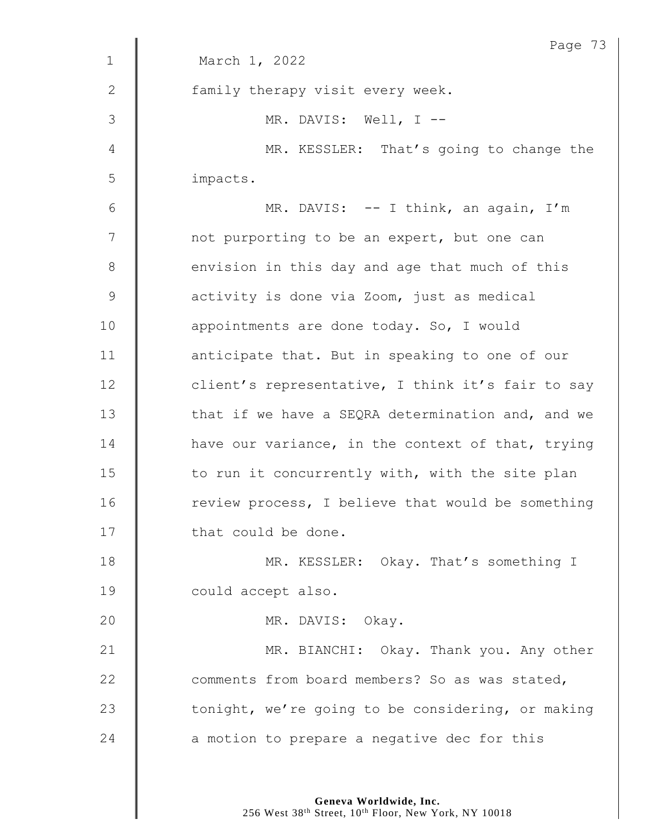|                | Page 73                                           |
|----------------|---------------------------------------------------|
| $\mathbf 1$    | March 1, 2022                                     |
| 2              | family therapy visit every week.                  |
| 3              | MR. DAVIS: Well, $I$ --                           |
| $\overline{4}$ | MR. KESSLER: That's going to change the           |
| 5              | impacts.                                          |
| 6              | MR. DAVIS: -- I think, an again, I'm              |
| 7              | not purporting to be an expert, but one can       |
| $8\,$          | envision in this day and age that much of this    |
| $\mathsf 9$    | activity is done via Zoom, just as medical        |
| 10             | appointments are done today. So, I would          |
| 11             | anticipate that. But in speaking to one of our    |
| 12             | client's representative, I think it's fair to say |
| 13             | that if we have a SEQRA determination and, and we |
| 14             | have our variance, in the context of that, trying |
| 15             | to run it concurrently with, with the site plan   |
| 16             | review process, I believe that would be something |
| 17             | that could be done.                               |
| 18             | MR. KESSLER: Okay. That's something I             |
| 19             | could accept also.                                |
| 20             | MR. DAVIS: Okay.                                  |
| 21             | MR. BIANCHI: Okay. Thank you. Any other           |
| 22             | comments from board members? So as was stated,    |
| 23             | tonight, we're going to be considering, or making |
| 24             | a motion to prepare a negative dec for this       |
|                |                                                   |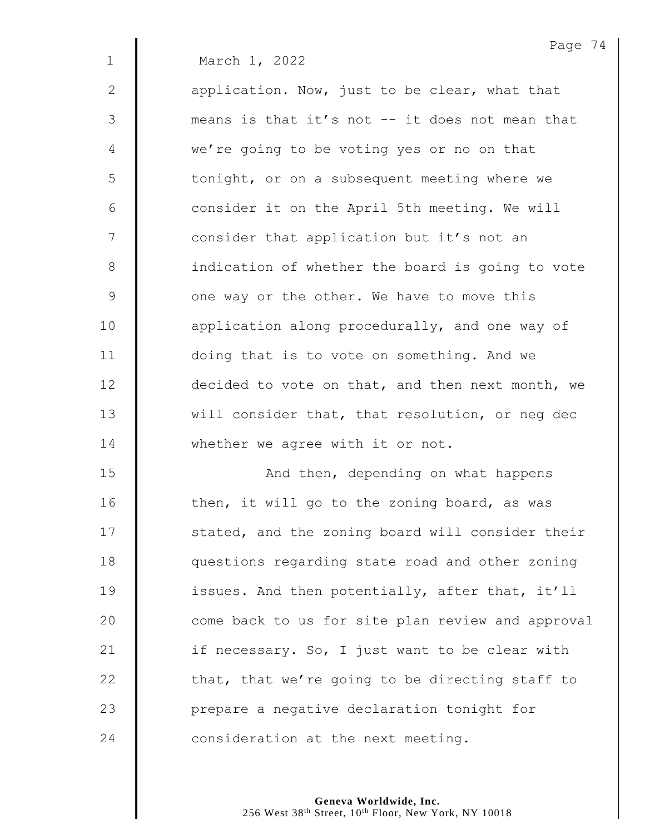1 March 1, 2022

2  $\parallel$  application. Now, just to be clear, what that 3 means is that it's not -- it does not mean that 4 we're going to be voting yes or no on that 5 | tonight, or on a subsequent meeting where we 6 | consider it on the April 5th meeting. We will 7 | consider that application but it's not an 8 | indication of whether the board is going to vote 9 **J** one way or the other. We have to move this 10 **deg** application along procedurally, and one way of 11 doing that is to vote on something. And we 12 **decided to vote on that, and then next month, we** 13 Will consider that, that resolution, or neg dec 14 Whether we agree with it or not.

15 | And then, depending on what happens  $\parallel$  then, it will go to the zoning board, as was 17 | stated, and the zoning board will consider their **questions regarding state road and other zoning issues.** And then potentially, after that, it'll 20 | come back to us for site plan review and approval  $\parallel$  if necessary. So, I just want to be clear with  $\parallel$  that, that we're going to be directing staff to **Quart 23** prepare a negative declaration tonight for **consideration at the next meeting.**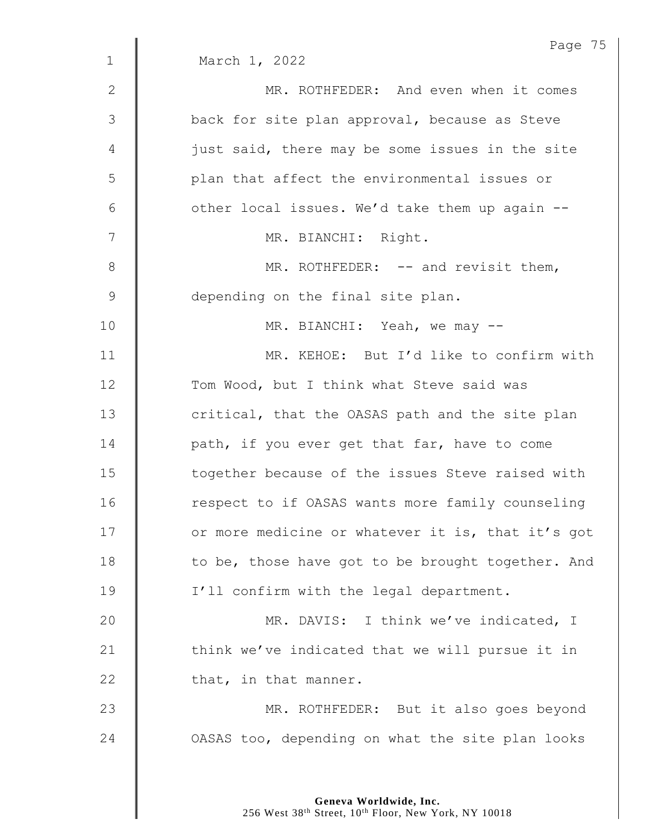|               | Page 75                                           |
|---------------|---------------------------------------------------|
| $\mathbf{1}$  | March 1, 2022                                     |
| $\mathbf{2}$  | MR. ROTHFEDER: And even when it comes             |
| $\mathcal{S}$ | back for site plan approval, because as Steve     |
| 4             | just said, there may be some issues in the site   |
| 5             | plan that affect the environmental issues or      |
| 6             | other local issues. We'd take them up again --    |
| 7             | MR. BIANCHI: Right.                               |
| $8\,$         | MR. ROTHFEDER: -- and revisit them,               |
| $\mathsf 9$   | depending on the final site plan.                 |
| 10            | MR. BIANCHI: Yeah, we may --                      |
| 11            | MR. KEHOE: But I'd like to confirm with           |
| 12            | Tom Wood, but I think what Steve said was         |
| 13            | critical, that the OASAS path and the site plan   |
| 14            | path, if you ever get that far, have to come      |
| 15            | together because of the issues Steve raised with  |
| 16            | respect to if OASAS wants more family counseling  |
| 17            | or more medicine or whatever it is, that it's got |
| 18            | to be, those have got to be brought together. And |
| 19            | I'll confirm with the legal department.           |
| 20            | MR. DAVIS: I think we've indicated, I             |
| 21            | think we've indicated that we will pursue it in   |
| 22            | that, in that manner.                             |
| 23            | MR. ROTHFEDER: But it also goes beyond            |
| 24            | OASAS too, depending on what the site plan looks  |
|               |                                                   |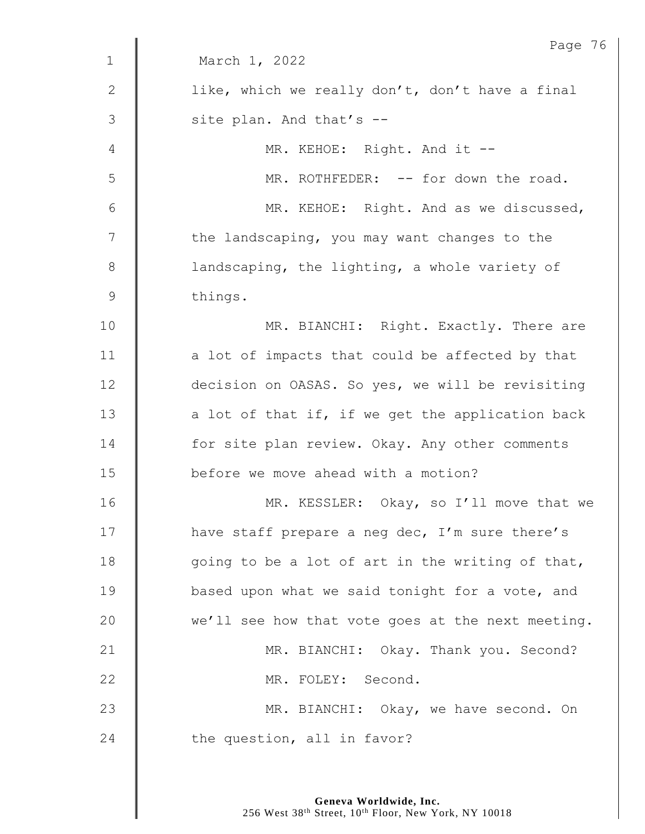|                | Page 76                                           |
|----------------|---------------------------------------------------|
| $\mathbf 1$    | March 1, 2022                                     |
| $\mathbf{2}$   | like, which we really don't, don't have a final   |
| $\mathfrak{Z}$ | site plan. And that's --                          |
| 4              | MR. KEHOE: Right. And it --                       |
| 5              | MR. ROTHFEDER: -- for down the road.              |
| 6              | MR. KEHOE: Right. And as we discussed,            |
| 7              | the landscaping, you may want changes to the      |
| $8\,$          | landscaping, the lighting, a whole variety of     |
| $\mathsf 9$    | things.                                           |
| 10             | MR. BIANCHI: Right. Exactly. There are            |
| 11             | a lot of impacts that could be affected by that   |
| 12             | decision on OASAS. So yes, we will be revisiting  |
| 13             | a lot of that if, if we get the application back  |
| 14             | for site plan review. Okay. Any other comments    |
| 15             | before we move ahead with a motion?               |
| 16             | MR. KESSLER: Okay, so I'll move that we           |
| 17             | have staff prepare a neg dec, I'm sure there's    |
| 18             | going to be a lot of art in the writing of that,  |
| 19             | based upon what we said tonight for a vote, and   |
| 20             | we'll see how that vote goes at the next meeting. |
| 21             | MR. BIANCHI: Okay. Thank you. Second?             |
| 22             | MR. FOLEY: Second.                                |
| 23             | MR. BIANCHI: Okay, we have second. On             |
| 24             | the question, all in favor?                       |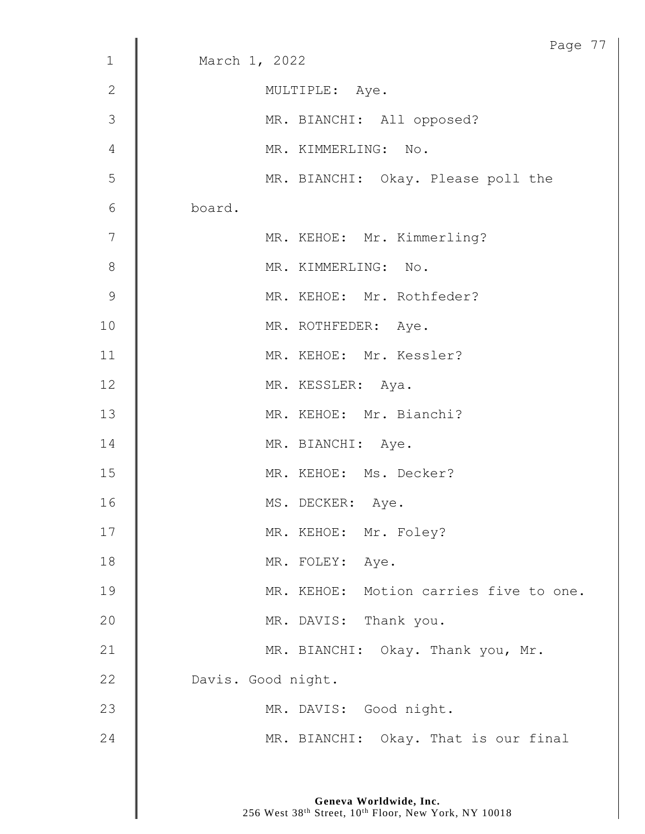| $\mathbf 1$     | Page 77<br>March 1, 2022               |
|-----------------|----------------------------------------|
|                 |                                        |
| $\mathbf{2}$    | MULTIPLE: Aye.                         |
| 3               | MR. BIANCHI: All opposed?              |
| 4               | MR. KIMMERLING: No.                    |
| 5               | MR. BIANCHI: Okay. Please poll the     |
| $6\phantom{1}6$ | board.                                 |
| 7               | MR. KEHOE: Mr. Kimmerling?             |
| 8               | MR. KIMMERLING: No.                    |
| 9               | MR. KEHOE: Mr. Rothfeder?              |
| 10              | MR. ROTHFEDER: Aye.                    |
| 11              | MR. KEHOE: Mr. Kessler?                |
| 12              | MR. KESSLER: Aya.                      |
| 13              | MR. KEHOE: Mr. Bianchi?                |
| 14              | MR. BIANCHI: Aye.                      |
| 15              | MR. KEHOE: Ms. Decker?                 |
| 16              | MS. DECKER: Aye.                       |
| 17              | MR. KEHOE: Mr. Foley?                  |
| 18              | MR. FOLEY: Aye.                        |
| 19              | MR. KEHOE: Motion carries five to one. |
| 20              | MR. DAVIS: Thank you.                  |
| 21              | MR. BIANCHI: Okay. Thank you, Mr.      |
| 22              | Davis. Good night.                     |
| 23              | MR. DAVIS: Good night.                 |
| 24              | MR. BIANCHI: Okay. That is our final   |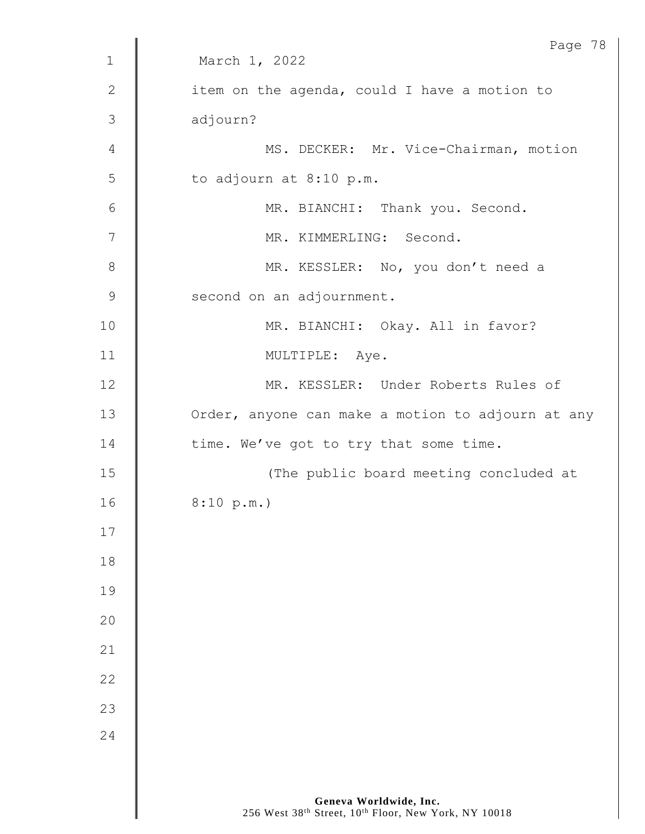|                | Page 78                                           |
|----------------|---------------------------------------------------|
| $\mathbf 1$    | March 1, 2022                                     |
| $\sqrt{2}$     | item on the agenda, could I have a motion to      |
| 3              | adjourn?                                          |
| $\overline{4}$ | MS. DECKER: Mr. Vice-Chairman, motion             |
| 5              | to adjourn at 8:10 p.m.                           |
| $6\,$          | MR. BIANCHI: Thank you. Second.                   |
| 7              | MR. KIMMERLING: Second.                           |
| $8\,$          | MR. KESSLER: No, you don't need a                 |
| $\mathcal{G}$  | second on an adjournment.                         |
| 10             | MR. BIANCHI: Okay. All in favor?                  |
| 11             | MULTIPLE: Aye.                                    |
| 12             | MR. KESSLER: Under Roberts Rules of               |
| 13             | Order, anyone can make a motion to adjourn at any |
| 14             | time. We've got to try that some time.            |
| 15             | (The public board meeting concluded at            |
| 16             | 8:10 p.m.                                         |
| 17             |                                                   |
| 18             |                                                   |
| 19             |                                                   |
| 20             |                                                   |
| 21             |                                                   |
| 22             |                                                   |
| 23             |                                                   |
| 24             |                                                   |
|                |                                                   |